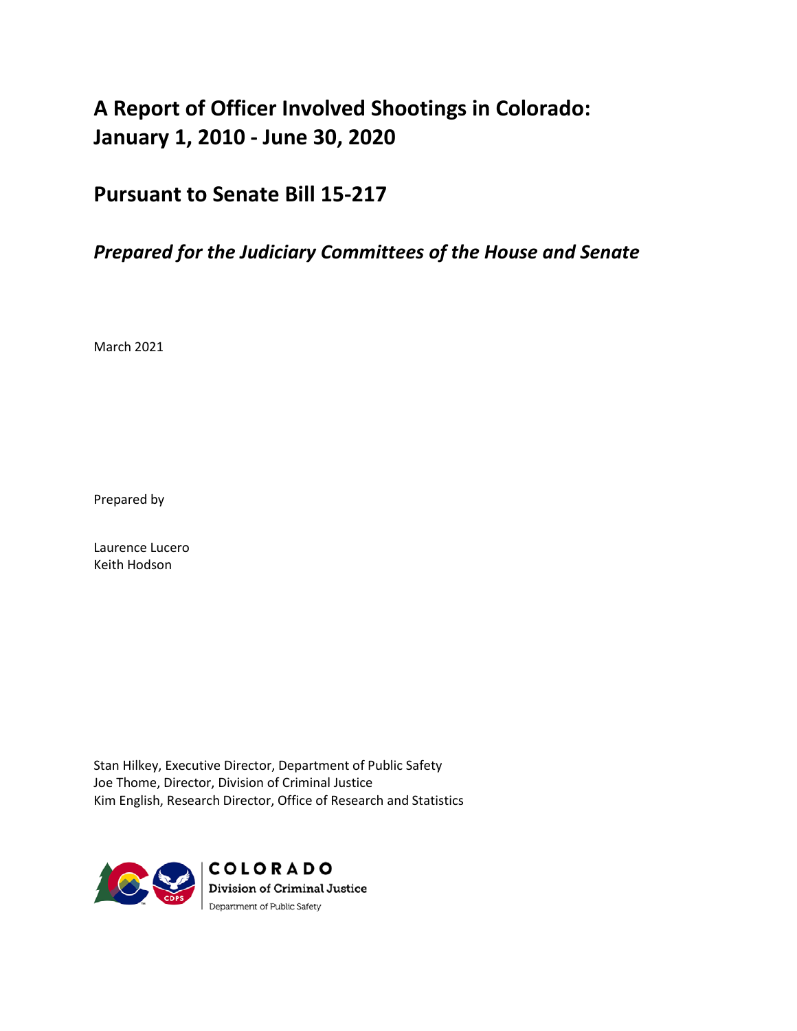# **A Report of Officer Involved Shootings in Colorado: January 1, 2010 - June 30, 2020**

## **Pursuant to Senate Bill 15-217**

## *Prepared for the Judiciary Committees of the House and Senate*

March 2021

Prepared by

Laurence Lucero Keith Hodson

Stan Hilkey, Executive Director, Department of Public Safety Joe Thome, Director, Division of Criminal Justice Kim English, Research Director, Office of Research and Statistics

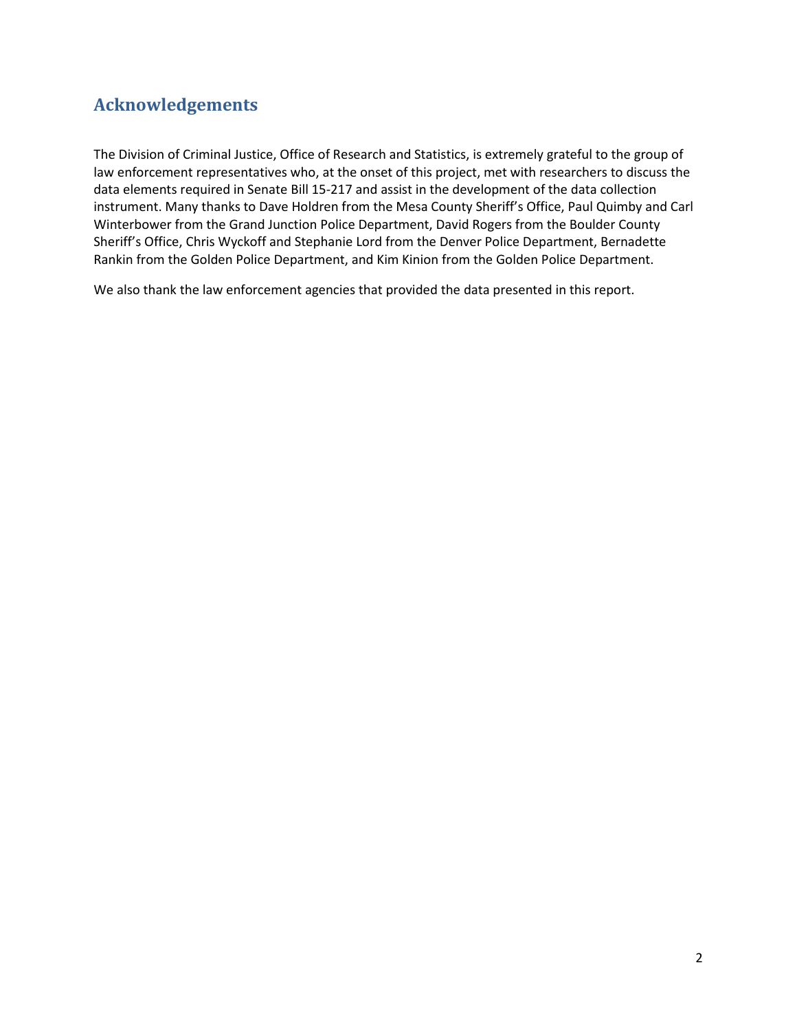## <span id="page-1-0"></span>**Acknowledgements**

The Division of Criminal Justice, Office of Research and Statistics, is extremely grateful to the group of law enforcement representatives who, at the onset of this project, met with researchers to discuss the data elements required in Senate Bill 15-217 and assist in the development of the data collection instrument. Many thanks to Dave Holdren from the Mesa County Sheriff's Office, Paul Quimby and Carl Winterbower from the Grand Junction Police Department, David Rogers from the Boulder County Sheriff's Office, Chris Wyckoff and Stephanie Lord from the Denver Police Department, Bernadette Rankin from the Golden Police Department, and Kim Kinion from the Golden Police Department.

We also thank the law enforcement agencies that provided the data presented in this report.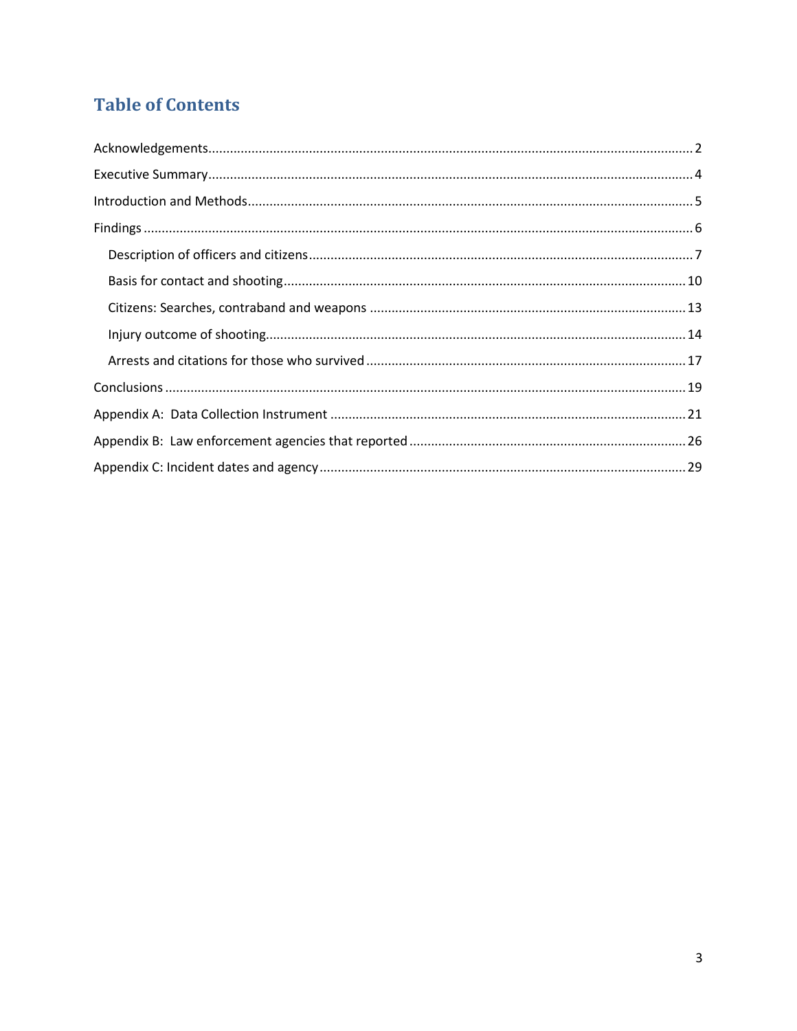# **Table of Contents**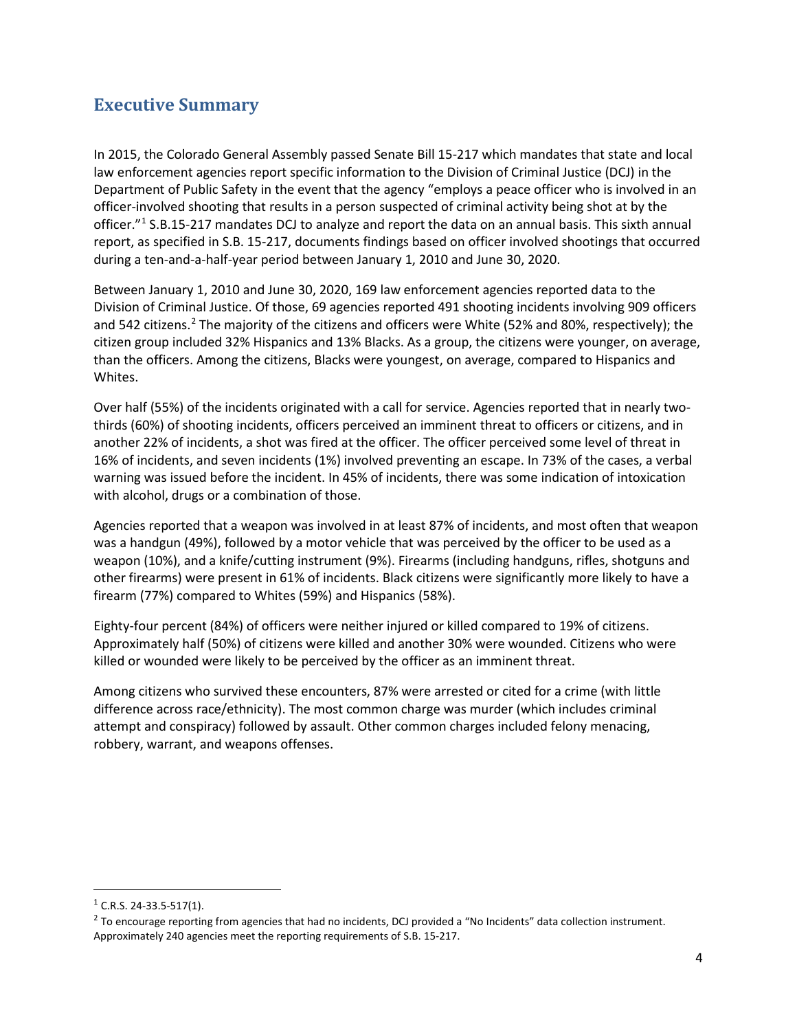## <span id="page-3-0"></span>**Executive Summary**

In 2015, the Colorado General Assembly passed Senate Bill 15-217 which mandates that state and local law enforcement agencies report specific information to the Division of Criminal Justice (DCJ) in the Department of Public Safety in the event that the agency "employs a peace officer who is involved in an officer-involved shooting that results in a person suspected of criminal activity being shot at by the officer."[1](#page-3-1) S.B.15-217 mandates DCJ to analyze and report the data on an annual basis. This sixth annual report, as specified in S.B. 15-217, documents findings based on officer involved shootings that occurred during a ten-and-a-half-year period between January 1, 2010 and June 30, 2020.

Between January 1, 2010 and June 30, 2020, 169 law enforcement agencies reported data to the Division of Criminal Justice. Of those, 69 agencies reported 491 shooting incidents involving 909 officers and 54[2](#page-3-2) citizens.<sup>2</sup> The majority of the citizens and officers were White (52% and 80%, respectively); the citizen group included 32% Hispanics and 13% Blacks. As a group, the citizens were younger, on average, than the officers. Among the citizens, Blacks were youngest, on average, compared to Hispanics and Whites.

Over half (55%) of the incidents originated with a call for service. Agencies reported that in nearly twothirds (60%) of shooting incidents, officers perceived an imminent threat to officers or citizens, and in another 22% of incidents, a shot was fired at the officer. The officer perceived some level of threat in 16% of incidents, and seven incidents (1%) involved preventing an escape. In 73% of the cases, a verbal warning was issued before the incident. In 45% of incidents, there was some indication of intoxication with alcohol, drugs or a combination of those.

Agencies reported that a weapon was involved in at least 87% of incidents, and most often that weapon was a handgun (49%), followed by a motor vehicle that was perceived by the officer to be used as a weapon (10%), and a knife/cutting instrument (9%). Firearms (including handguns, rifles, shotguns and other firearms) were present in 61% of incidents. Black citizens were significantly more likely to have a firearm (77%) compared to Whites (59%) and Hispanics (58%).

Eighty-four percent (84%) of officers were neither injured or killed compared to 19% of citizens. Approximately half (50%) of citizens were killed and another 30% were wounded. Citizens who were killed or wounded were likely to be perceived by the officer as an imminent threat.

Among citizens who survived these encounters, 87% were arrested or cited for a crime (with little difference across race/ethnicity). The most common charge was murder (which includes criminal attempt and conspiracy) followed by assault. Other common charges included felony menacing, robbery, warrant, and weapons offenses.

<span id="page-3-1"></span> $1$  C.R.S. 24-33.5-517(1).

<span id="page-3-2"></span><sup>&</sup>lt;sup>2</sup> To encourage reporting from agencies that had no incidents, DCJ provided a "No Incidents" data collection instrument. Approximately 240 agencies meet the reporting requirements of S.B. 15-217.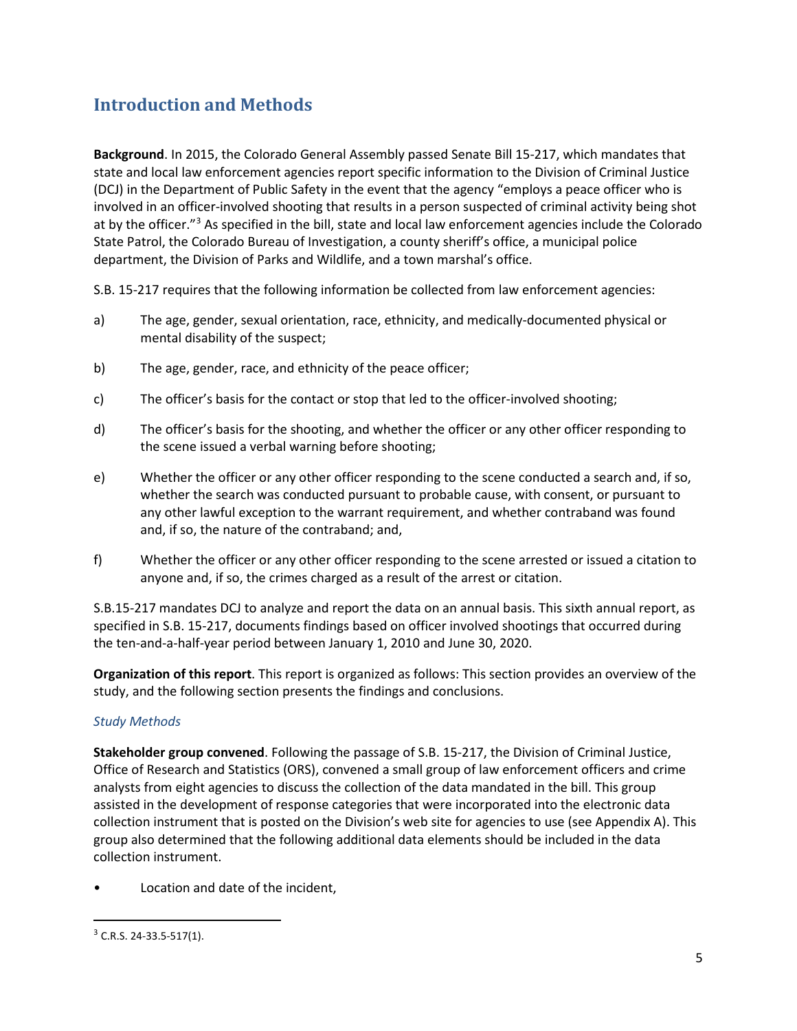## <span id="page-4-0"></span>**Introduction and Methods**

**Background**. In 2015, the Colorado General Assembly passed Senate Bill 15-217, which mandates that state and local law enforcement agencies report specific information to the Division of Criminal Justice (DCJ) in the Department of Public Safety in the event that the agency "employs a peace officer who is involved in an officer-involved shooting that results in a person suspected of criminal activity being shot at by the officer."[3](#page-4-1) As specified in the bill, state and local law enforcement agencies include the Colorado State Patrol, the Colorado Bureau of Investigation, a county sheriff's office, a municipal police department, the Division of Parks and Wildlife, and a town marshal's office.

S.B. 15-217 requires that the following information be collected from law enforcement agencies:

- a) The age, gender, sexual orientation, race, ethnicity, and medically-documented physical or mental disability of the suspect;
- b) The age, gender, race, and ethnicity of the peace officer;
- c) The officer's basis for the contact or stop that led to the officer-involved shooting;
- d) The officer's basis for the shooting, and whether the officer or any other officer responding to the scene issued a verbal warning before shooting;
- e) Whether the officer or any other officer responding to the scene conducted a search and, if so, whether the search was conducted pursuant to probable cause, with consent, or pursuant to any other lawful exception to the warrant requirement, and whether contraband was found and, if so, the nature of the contraband; and,
- f) Whether the officer or any other officer responding to the scene arrested or issued a citation to anyone and, if so, the crimes charged as a result of the arrest or citation.

S.B.15-217 mandates DCJ to analyze and report the data on an annual basis. This sixth annual report, as specified in S.B. 15-217, documents findings based on officer involved shootings that occurred during the ten-and-a-half-year period between January 1, 2010 and June 30, 2020.

**Organization of this report**. This report is organized as follows: This section provides an overview of the study, and the following section presents the findings and conclusions.

#### *Study Methods*

**Stakeholder group convened**. Following the passage of S.B. 15-217, the Division of Criminal Justice, Office of Research and Statistics (ORS), convened a small group of law enforcement officers and crime analysts from eight agencies to discuss the collection of the data mandated in the bill. This group assisted in the development of response categories that were incorporated into the electronic data collection instrument that is posted on the Division's web site for agencies to use (see Appendix A). This group also determined that the following additional data elements should be included in the data collection instrument.

Location and date of the incident,

<span id="page-4-1"></span> $3$  C.R.S. 24-33.5-517(1).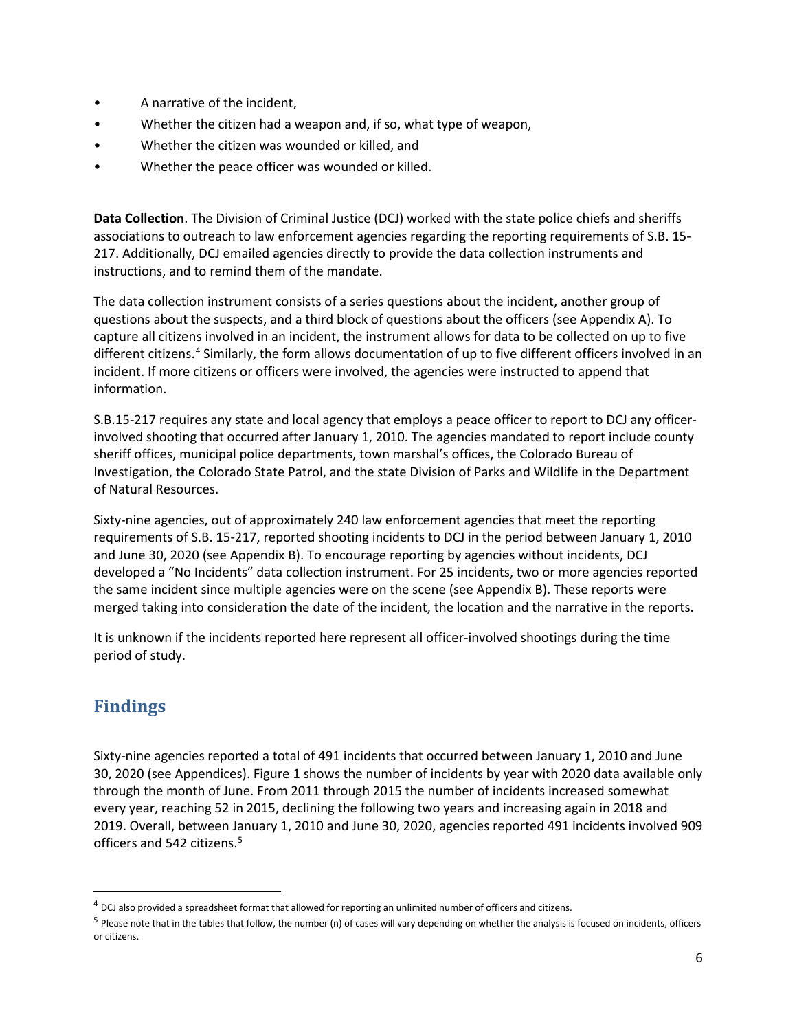- A narrative of the incident,
- Whether the citizen had a weapon and, if so, what type of weapon,
- Whether the citizen was wounded or killed, and
- Whether the peace officer was wounded or killed.

**Data Collection**. The Division of Criminal Justice (DCJ) worked with the state police chiefs and sheriffs associations to outreach to law enforcement agencies regarding the reporting requirements of S.B. 15- 217. Additionally, DCJ emailed agencies directly to provide the data collection instruments and instructions, and to remind them of the mandate.

The data collection instrument consists of a series questions about the incident, another group of questions about the suspects, and a third block of questions about the officers (see Appendix A). To capture all citizens involved in an incident, the instrument allows for data to be collected on up to five different citizens.[4](#page-5-1) Similarly, the form allows documentation of up to five different officers involved in an incident. If more citizens or officers were involved, the agencies were instructed to append that information.

S.B.15-217 requires any state and local agency that employs a peace officer to report to DCJ any officerinvolved shooting that occurred after January 1, 2010. The agencies mandated to report include county sheriff offices, municipal police departments, town marshal's offices, the Colorado Bureau of Investigation, the Colorado State Patrol, and the state Division of Parks and Wildlife in the Department of Natural Resources.

Sixty-nine agencies, out of approximately 240 law enforcement agencies that meet the reporting requirements of S.B. 15-217, reported shooting incidents to DCJ in the period between January 1, 2010 and June 30, 2020 (see Appendix B). To encourage reporting by agencies without incidents, DCJ developed a "No Incidents" data collection instrument. For 25 incidents, two or more agencies reported the same incident since multiple agencies were on the scene (see Appendix B). These reports were merged taking into consideration the date of the incident, the location and the narrative in the reports.

It is unknown if the incidents reported here represent all officer-involved shootings during the time period of study.

## <span id="page-5-0"></span>**Findings**

Sixty-nine agencies reported a total of 491 incidents that occurred between January 1, 2010 and June 30, 2020 (see Appendices)[. Figure 1](#page-6-1) shows the number of incidents by year with 2020 data available only through the month of June. From 2011 through 2015 the number of incidents increased somewhat every year, reaching 52 in 2015, declining the following two years and increasing again in 2018 and 2019. Overall, between January 1, 2010 and June 30, 2020, agencies reported 491 incidents involved 909 officers and [5](#page-5-2)42 citizens.<sup>5</sup>

<span id="page-5-1"></span><sup>&</sup>lt;sup>4</sup> DCJ also provided a spreadsheet format that allowed for reporting an unlimited number of officers and citizens.

<span id="page-5-2"></span> $5$  Please note that in the tables that follow, the number (n) of cases will vary depending on whether the analysis is focused on incidents, officers or citizens.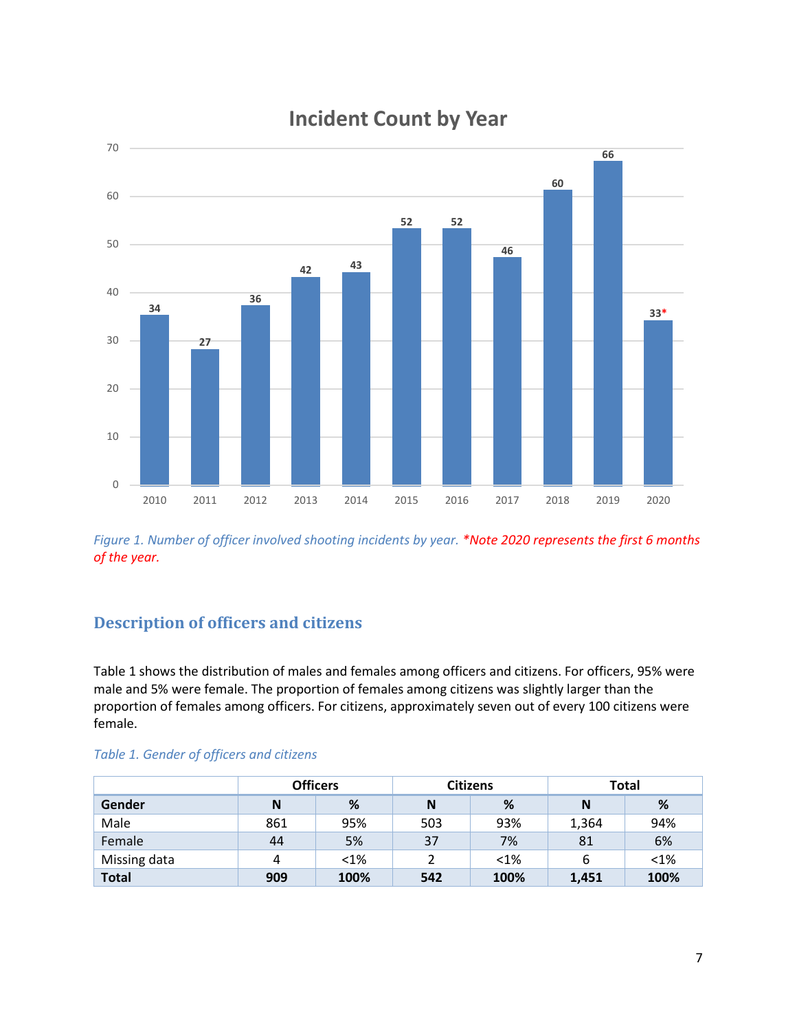

# **Incident Count by Year**

<span id="page-6-1"></span>*Figure 1. Number of officer involved shooting incidents by year. \*Note 2020 represents the first 6 months of the year.* 

## <span id="page-6-0"></span>**Description of officers and citizens**

Table 1 shows the distribution of males and females among officers and citizens. For officers, 95% were male and 5% were female. The proportion of females among citizens was slightly larger than the proportion of females among officers. For citizens, approximately seven out of every 100 citizens were female.

|              |     | <b>Officers</b> |     | <b>Citizens</b> | <b>Total</b> |         |  |
|--------------|-----|-----------------|-----|-----------------|--------------|---------|--|
| Gender       | N   | %               | N   | %               | N            | %       |  |
| Male         | 861 | 95%             | 503 | 93%             | 1,364        | 94%     |  |
| Female       | 44  | 5%              | 37  | 7%              | 81           | 6%      |  |
| Missing data | 4   | $< 1\%$         |     | $< 1\%$         | 6            | $< 1\%$ |  |
| <b>Total</b> | 909 | 100%            | 542 | 100%            | 1,451        | 100%    |  |

#### *Table 1. Gender of officers and citizens*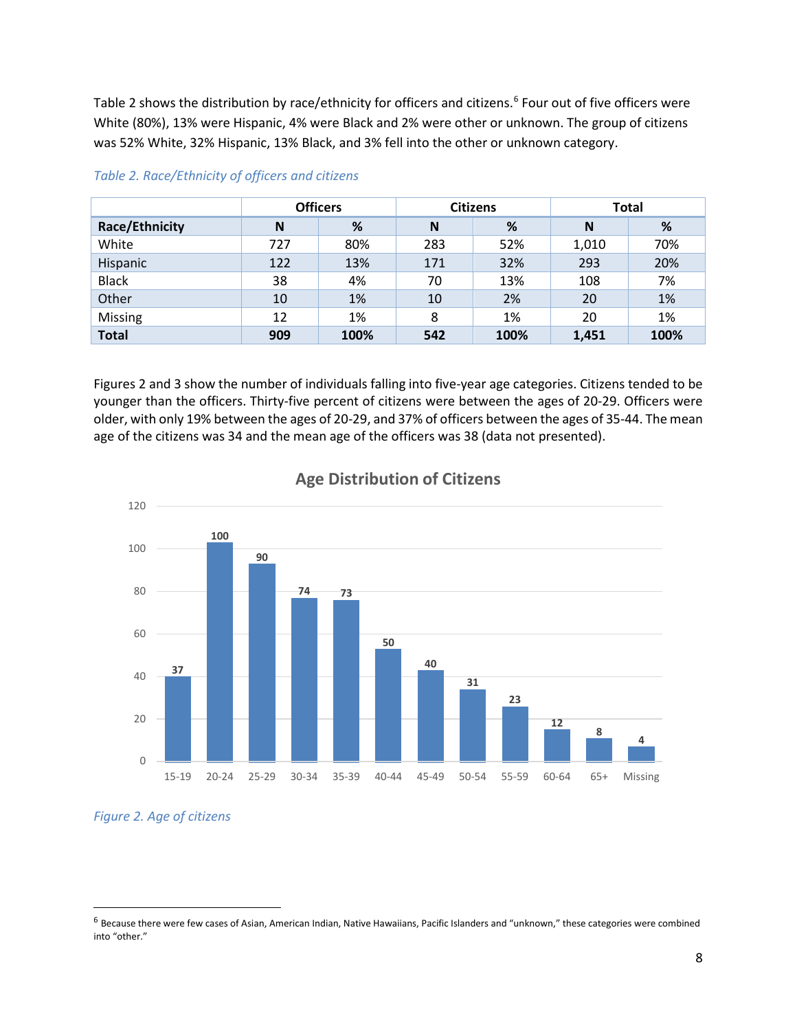Table 2 shows the distribution by race/ethnicity for officers and citizens.<sup>[6](#page-7-0)</sup> Four out of five officers were White (80%), 13% were Hispanic, 4% were Black and 2% were other or unknown. The group of citizens was 52% White, 32% Hispanic, 13% Black, and 3% fell into the other or unknown category.

|                       | <b>Officers</b> |      | <b>Citizens</b> |      | <b>Total</b> |      |
|-----------------------|-----------------|------|-----------------|------|--------------|------|
| <b>Race/Ethnicity</b> | N               | %    | N               | %    | N            | %    |
| White                 | 727             | 80%  | 283             | 52%  | 1,010        | 70%  |
| Hispanic              | 122             | 13%  | 171             | 32%  | 293          | 20%  |
| <b>Black</b>          | 38              | 4%   | 70              | 13%  | 108          | 7%   |
| Other                 | 10              | 1%   | 10              | 2%   | 20           | 1%   |
| Missing               | 12              | 1%   | 8               | 1%   | 20           | 1%   |
| <b>Total</b>          | 909             | 100% | 542             | 100% | 1,451        | 100% |

#### *Table 2. Race/Ethnicity of officers and citizens*

Figures 2 and 3 show the number of individuals falling into five-year age categories. Citizens tended to be younger than the officers. Thirty-five percent of citizens were between the ages of 20-29. Officers were older, with only 19% between the ages of 20-29, and 37% of officers between the ages of 35-44. The mean age of the citizens was 34 and the mean age of the officers was 38 (data not presented).



#### **Age Distribution of Citizens**

*Figure 2. Age of citizens*

<span id="page-7-0"></span><sup>&</sup>lt;sup>6</sup> Because there were few cases of Asian, American Indian, Native Hawaiians, Pacific Islanders and "unknown," these categories were combined into "other."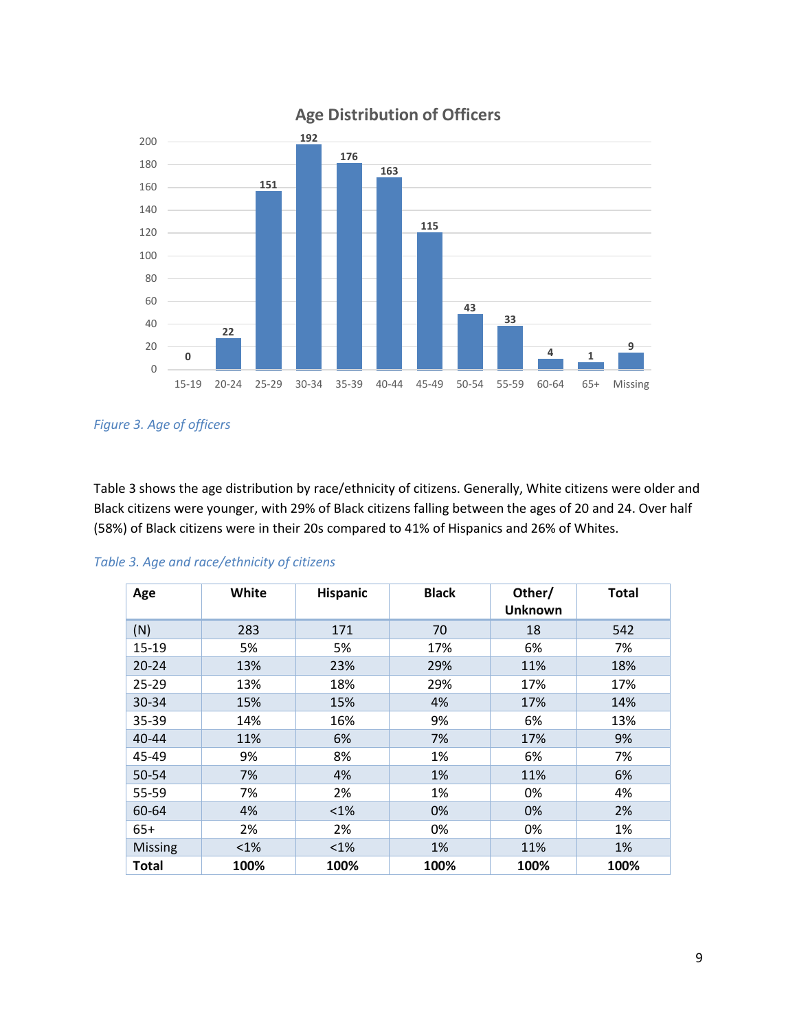

## **Age Distribution of Officers**

*Figure 3. Age of officers*

Table 3 shows the age distribution by race/ethnicity of citizens. Generally, White citizens were older and Black citizens were younger, with 29% of Black citizens falling between the ages of 20 and 24. Over half (58%) of Black citizens were in their 20s compared to 41% of Hispanics and 26% of Whites.

| Age            | White   | <b>Hispanic</b> | <b>Black</b> | Other/<br><b>Unknown</b> | <b>Total</b> |
|----------------|---------|-----------------|--------------|--------------------------|--------------|
| (N)            | 283     | 171             | 70           | 18                       | 542          |
| $15-19$        | 5%      | 5%              | 17%          | 6%                       | 7%           |
| $20 - 24$      | 13%     | 23%             | 29%          | 11%                      | 18%          |
| 25-29          | 13%     | 18%             | 29%          | 17%                      | 17%          |
| 30-34          | 15%     | 15%             | 4%           | 17%                      | 14%          |
| 35-39          | 14%     | 16%             | 9%           | 6%                       | 13%          |
| $40 - 44$      | 11%     | 6%              | 7%           | 17%                      | 9%           |
| 45-49          | 9%      | 8%              | 1%           | 6%                       | 7%           |
| 50-54          | 7%      | 4%              | 1%           | 11%                      | 6%           |
| 55-59          | 7%      | 2%              | 1%           | 0%                       | 4%           |
| 60-64          | 4%      | $< 1\%$         | 0%           | 0%                       | 2%           |
| $65+$          | 2%      | 2%              | 0%           | 0%                       | 1%           |
| <b>Missing</b> | $< 1\%$ | $<1\%$          | 1%           | 11%                      | 1%           |
| Total          | 100%    | 100%            | 100%         | 100%                     | 100%         |

#### *Table 3. Age and race/ethnicity of citizens*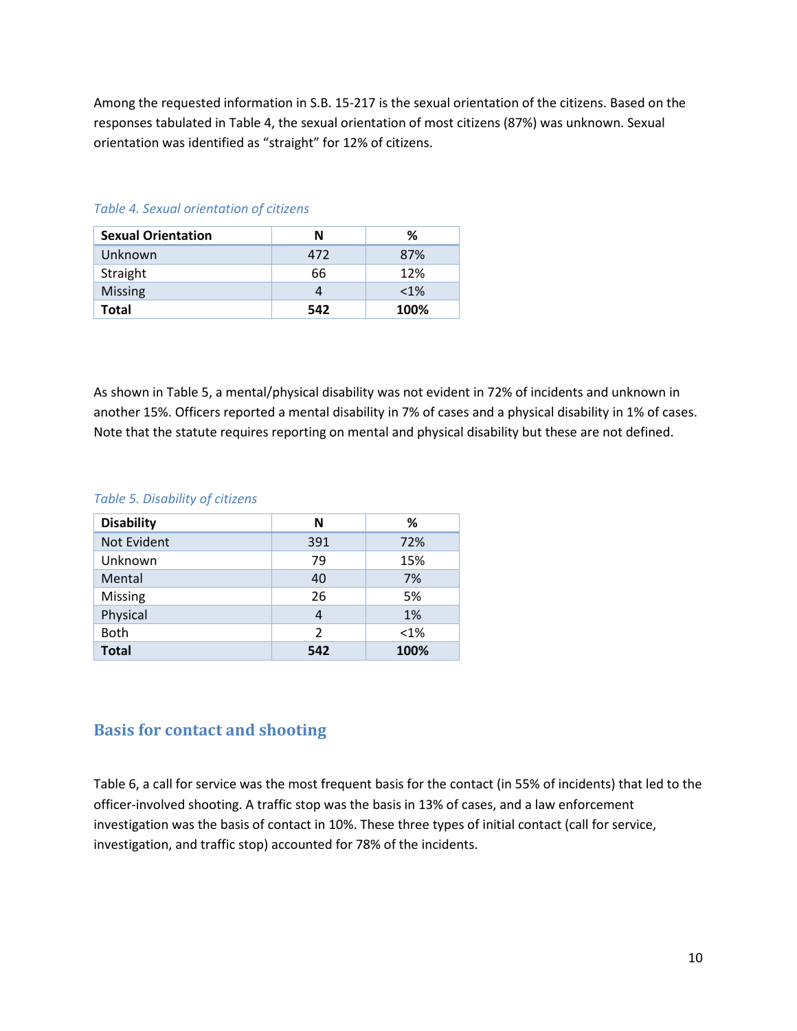Among the requested information in S.B. 15-217 is the sexual orientation of the citizens. Based on the responses tabulated in Table 4, the sexual orientation of most citizens (87%) was unknown. Sexual orientation was identified as "straight" for 12% of citizens.

| <b>Sexual Orientation</b> | N   | ℅       |
|---------------------------|-----|---------|
| Unknown                   | 472 | 87%     |
| Straight                  | 66  | 12%     |
| <b>Missing</b>            |     | $< 1\%$ |
| Total                     | 542 | 100%    |

#### *Table 4. Sexual orientation of citizens*

As shown in Table 5, a mental/physical disability was not evident in 72% of incidents and unknown in another 15%. Officers reported a mental disability in 7% of cases and a physical disability in 1% of cases. Note that the statute requires reporting on mental and physical disability but these are not defined.

#### *Table 5. Disability of citizens*

| <b>Disability</b> | N              | ℅       |
|-------------------|----------------|---------|
| Not Evident       | 391            | 72%     |
| Unknown           | 79             | 15%     |
| Mental            | 40             | 7%      |
| <b>Missing</b>    | 26             | 5%      |
| Physical          | 4              | 1%      |
| <b>Both</b>       | $\overline{2}$ | $< 1\%$ |
| <b>Total</b>      | 542            | 100%    |

### <span id="page-9-0"></span>**Basis for contact and shooting**

Table 6, a call for service was the most frequent basis for the contact (in 55% of incidents) that led to the officer-involved shooting. A traffic stop was the basis in 13% of cases, and a law enforcement investigation was the basis of contact in 10%. These three types of initial contact (call for service, investigation, and traffic stop) accounted for 78% of the incidents.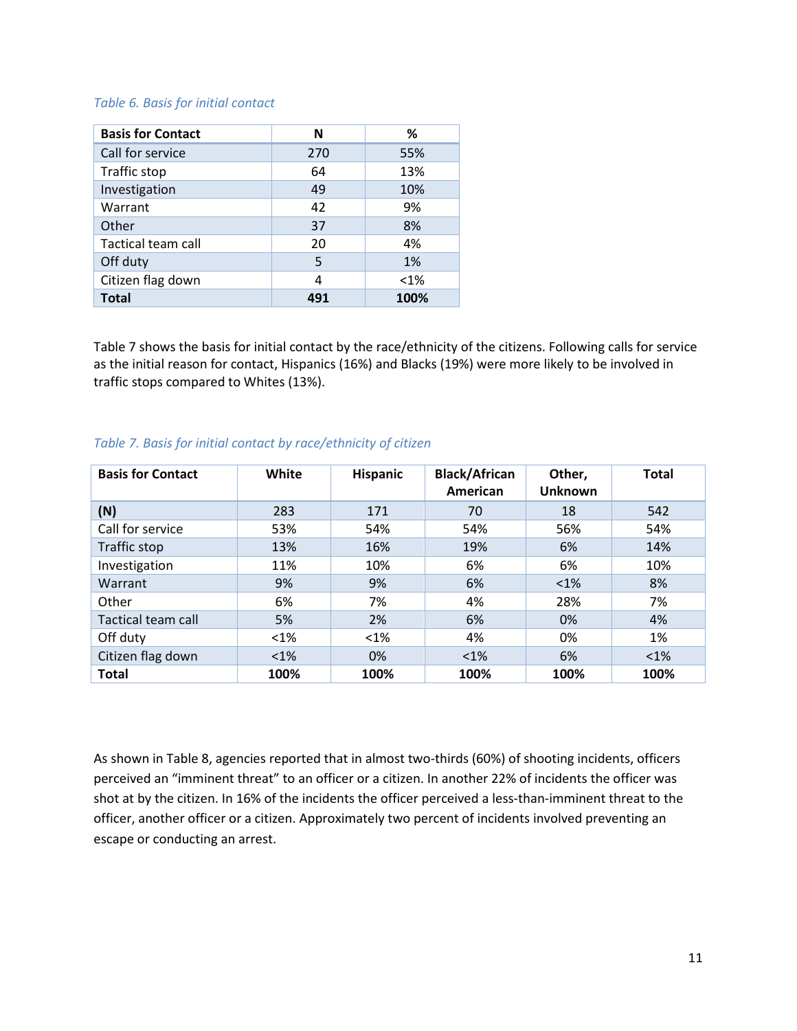#### *Table 6. Basis for initial contact*

| <b>Basis for Contact</b> | N   | %       |
|--------------------------|-----|---------|
| Call for service         | 270 | 55%     |
| Traffic stop             | 64  | 13%     |
| Investigation            | 49  | 10%     |
| Warrant                  | 42  | 9%      |
| Other                    | 37  | 8%      |
| Tactical team call       | 20  | 4%      |
| Off duty                 | 5   | 1%      |
| Citizen flag down        | 4   | $< 1\%$ |
| <b>Total</b>             | 491 | 100%    |

Table 7 shows the basis for initial contact by the race/ethnicity of the citizens. Following calls for service as the initial reason for contact, Hispanics (16%) and Blacks (19%) were more likely to be involved in traffic stops compared to Whites (13%).

|  |  | Table 7. Basis for initial contact by race/ethnicity of citizen |  |  |
|--|--|-----------------------------------------------------------------|--|--|
|  |  |                                                                 |  |  |

| <b>Basis for Contact</b> | White   | <b>Hispanic</b> | <b>Black/African</b><br>American | Other,<br><b>Unknown</b> | <b>Total</b> |
|--------------------------|---------|-----------------|----------------------------------|--------------------------|--------------|
| (N)                      | 283     | 171             | 70                               | 18                       | 542          |
| Call for service         | 53%     | 54%             | 54%                              | 56%                      | 54%          |
| Traffic stop             | 13%     | 16%             | 19%                              | 6%                       | 14%          |
| Investigation            | 11%     | 10%             | 6%                               | 6%                       | 10%          |
| Warrant                  | 9%      | 9%              | 6%                               | $<1\%$                   | 8%           |
| Other                    | 6%      | 7%              | 4%                               | 28%                      | 7%           |
| Tactical team call       | 5%      | 2%              | 6%                               | 0%                       | 4%           |
| Off duty                 | $< 1\%$ | $<1\%$          | 4%                               | 0%                       | 1%           |
| Citizen flag down        | $< 1\%$ | 0%              | $<1\%$                           | 6%                       | $<1\%$       |
| <b>Total</b>             | 100%    | 100%            | 100%                             | 100%                     | 100%         |

As shown in Table 8, agencies reported that in almost two-thirds (60%) of shooting incidents, officers perceived an "imminent threat" to an officer or a citizen. In another 22% of incidents the officer was shot at by the citizen. In 16% of the incidents the officer perceived a less-than-imminent threat to the officer, another officer or a citizen. Approximately two percent of incidents involved preventing an escape or conducting an arrest.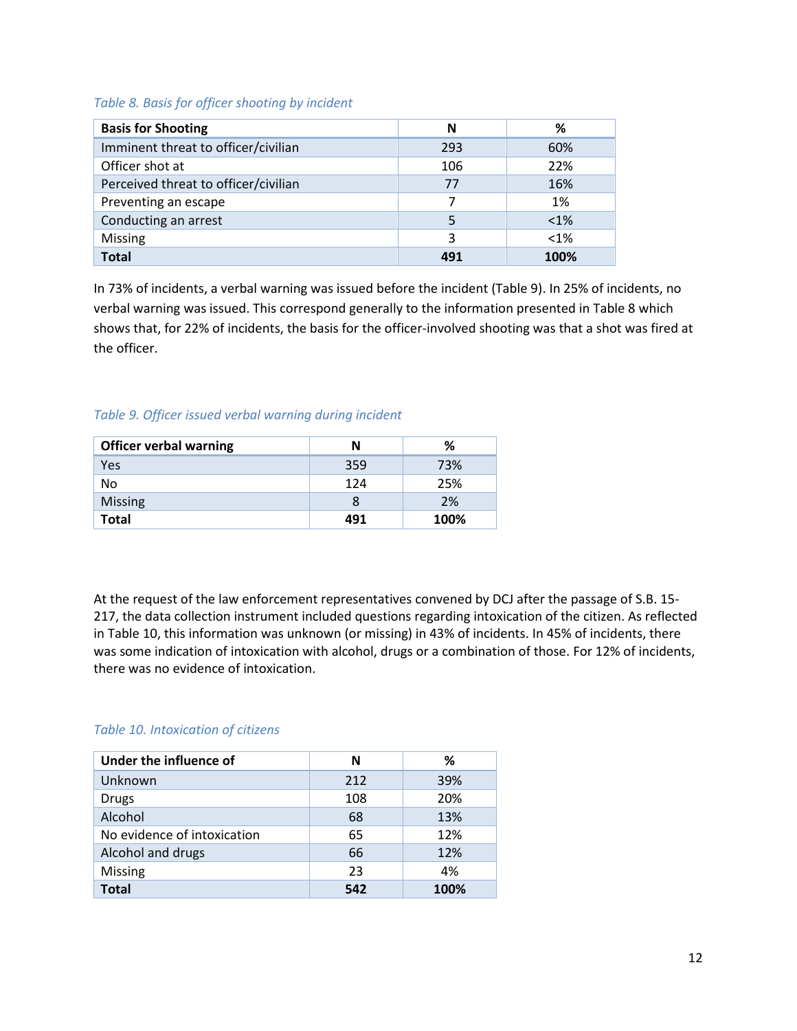#### *Table 8. Basis for officer shooting by incident*

| <b>Basis for Shooting</b>            | N   | ℅       |
|--------------------------------------|-----|---------|
| Imminent threat to officer/civilian  | 293 | 60%     |
| Officer shot at                      | 106 | 22%     |
| Perceived threat to officer/civilian | 77  | 16%     |
| Preventing an escape                 |     | 1%      |
| Conducting an arrest                 |     | $< 1\%$ |
| Missing                              | 3   | $<1\%$  |
| <b>Total</b>                         | 491 | 100%    |

In 73% of incidents, a verbal warning was issued before the incident (Table 9). In 25% of incidents, no verbal warning was issued. This correspond generally to the information presented in Table 8 which shows that, for 22% of incidents, the basis for the officer-involved shooting was that a shot was fired at the officer.

#### *Table 9. Officer issued verbal warning during incident*

| <b>Officer verbal warning</b> | N   | %    |
|-------------------------------|-----|------|
| Yes                           | 359 | 73%  |
| No                            | 124 | 25%  |
| <b>Missing</b>                | 8   | 2%   |
| Total                         | 491 | 100% |

At the request of the law enforcement representatives convened by DCJ after the passage of S.B. 15- 217, the data collection instrument included questions regarding intoxication of the citizen. As reflected in Table 10, this information was unknown (or missing) in 43% of incidents. In 45% of incidents, there was some indication of intoxication with alcohol, drugs or a combination of those. For 12% of incidents, there was no evidence of intoxication.

#### *Table 10. Intoxication of citizens*

| Under the influence of      | N   | ℅    |
|-----------------------------|-----|------|
| Unknown                     | 212 | 39%  |
| <b>Drugs</b>                | 108 | 20%  |
| Alcohol                     | 68  | 13%  |
| No evidence of intoxication | 65  | 12%  |
| Alcohol and drugs           | 66  | 12%  |
| Missing                     | 23  | 4%   |
| Total                       | 542 | 100% |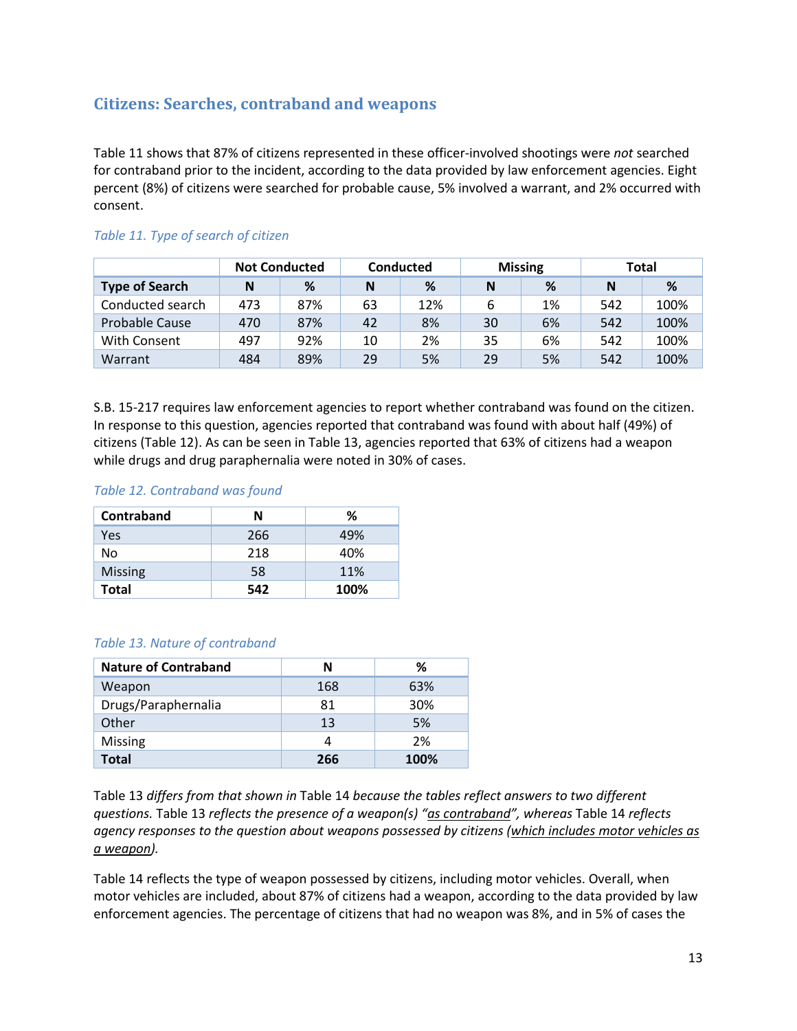## <span id="page-12-0"></span>**Citizens: Searches, contraband and weapons**

Table 11 shows that 87% of citizens represented in these officer-involved shootings were *not* searched for contraband prior to the incident, according to the data provided by law enforcement agencies. Eight percent (8%) of citizens were searched for probable cause, 5% involved a warrant, and 2% occurred with consent.

|                       | <b>Not Conducted</b> |     | Conducted |     | <b>Missing</b> |    | <b>Total</b> |      |
|-----------------------|----------------------|-----|-----------|-----|----------------|----|--------------|------|
| <b>Type of Search</b> | Ν                    | %   | N         | %   | N              | %  | N            | %    |
| Conducted search      | 473                  | 87% | 63        | 12% | 6              | 1% | 542          | 100% |
| Probable Cause        | 470                  | 87% | 42        | 8%  | 30             | 6% | 542          | 100% |
| With Consent          | 497                  | 92% | 10        | 2%  | 35             | 6% | 542          | 100% |
| Warrant               | 484                  | 89% | 29        | 5%  | 29             | 5% | 542          | 100% |

#### *Table 11. Type of search of citizen*

S.B. 15-217 requires law enforcement agencies to report whether contraband was found on the citizen. In response to this question, agencies reported that contraband was found with about half (49%) of citizens (Table 12). As can be seen in Table 13, agencies reported that 63% of citizens had a weapon while drugs and drug paraphernalia were noted in 30% of cases.

#### *Table 12. Contraband was found*

| Contraband     | N   | ℅    |
|----------------|-----|------|
| Yes            | 266 | 49%  |
| Nο             | 218 | 40%  |
| <b>Missing</b> | 58  | 11%  |
| <b>Total</b>   | 542 | 100% |

#### *Table 13. Nature of contraband*

| <b>Nature of Contraband</b> | N   | ℅    |
|-----------------------------|-----|------|
| Weapon                      | 168 | 63%  |
| Drugs/Paraphernalia         | 81  | 30%  |
| Other                       | 13  | 5%   |
| Missing                     | 4   | 2%   |
| <b>Total</b>                | 266 | 100% |

Table 13 *differs from that shown in* Table 14 *because the tables reflect answers to two different questions.* Table 13 *reflects the presence of a weapon(s) "as contraband", whereas* Table 14 *reflects agency responses to the question about weapons possessed by citizens (which includes motor vehicles as a weapon).*

Table 14 reflects the type of weapon possessed by citizens, including motor vehicles. Overall, when motor vehicles are included, about 87% of citizens had a weapon, according to the data provided by law enforcement agencies. The percentage of citizens that had no weapon was 8%, and in 5% of cases the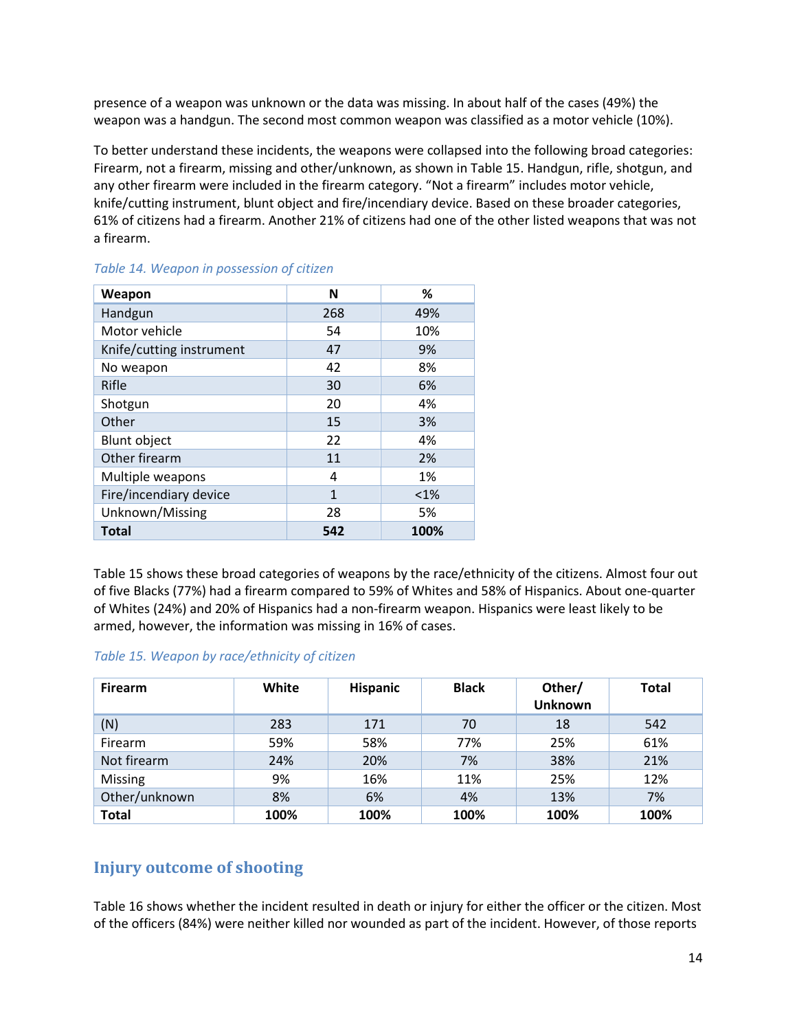presence of a weapon was unknown or the data was missing. In about half of the cases (49%) the weapon was a handgun. The second most common weapon was classified as a motor vehicle (10%).

To better understand these incidents, the weapons were collapsed into the following broad categories: Firearm, not a firearm, missing and other/unknown, as shown in Table 15. Handgun, rifle, shotgun, and any other firearm were included in the firearm category. "Not a firearm" includes motor vehicle, knife/cutting instrument, blunt object and fire/incendiary device. Based on these broader categories, 61% of citizens had a firearm. Another 21% of citizens had one of the other listed weapons that was not a firearm.

| Weapon                   | N            | %       |
|--------------------------|--------------|---------|
| Handgun                  | 268          | 49%     |
| Motor vehicle            | 54           | 10%     |
| Knife/cutting instrument | 47           | 9%      |
| No weapon                | 42           | 8%      |
| Rifle                    | 30           | 6%      |
| Shotgun                  | 20           | 4%      |
| Other                    | 15           | 3%      |
| <b>Blunt object</b>      | 22           | 4%      |
| Other firearm            | 11           | 2%      |
| Multiple weapons         | 4            | 1%      |
| Fire/incendiary device   | $\mathbf{1}$ | $< 1\%$ |
| Unknown/Missing          | 28           | 5%      |
| <b>Total</b>             | 542          | 100%    |

#### *Table 14. Weapon in possession of citizen*

Table 15 shows these broad categories of weapons by the race/ethnicity of the citizens. Almost four out of five Blacks (77%) had a firearm compared to 59% of Whites and 58% of Hispanics. About one-quarter of Whites (24%) and 20% of Hispanics had a non-firearm weapon. Hispanics were least likely to be armed, however, the information was missing in 16% of cases.

#### *Table 15. Weapon by race/ethnicity of citizen*

| <b>Firearm</b> | White | <b>Hispanic</b> | <b>Black</b> | Other/<br><b>Unknown</b> | <b>Total</b> |
|----------------|-------|-----------------|--------------|--------------------------|--------------|
| (N)            | 283   | 171             | 70           | 18                       | 542          |
| Firearm        | 59%   | 58%             | 77%          | 25%                      | 61%          |
| Not firearm    | 24%   | 20%             | 7%           | 38%                      | 21%          |
| <b>Missing</b> | 9%    | 16%             | 11%          | 25%                      | 12%          |
| Other/unknown  | 8%    | 6%              | 4%           | 13%                      | 7%           |
| <b>Total</b>   | 100%  | 100%            | 100%         | 100%                     | 100%         |

### <span id="page-13-0"></span>**Injury outcome of shooting**

Table 16 shows whether the incident resulted in death or injury for either the officer or the citizen. Most of the officers (84%) were neither killed nor wounded as part of the incident. However, of those reports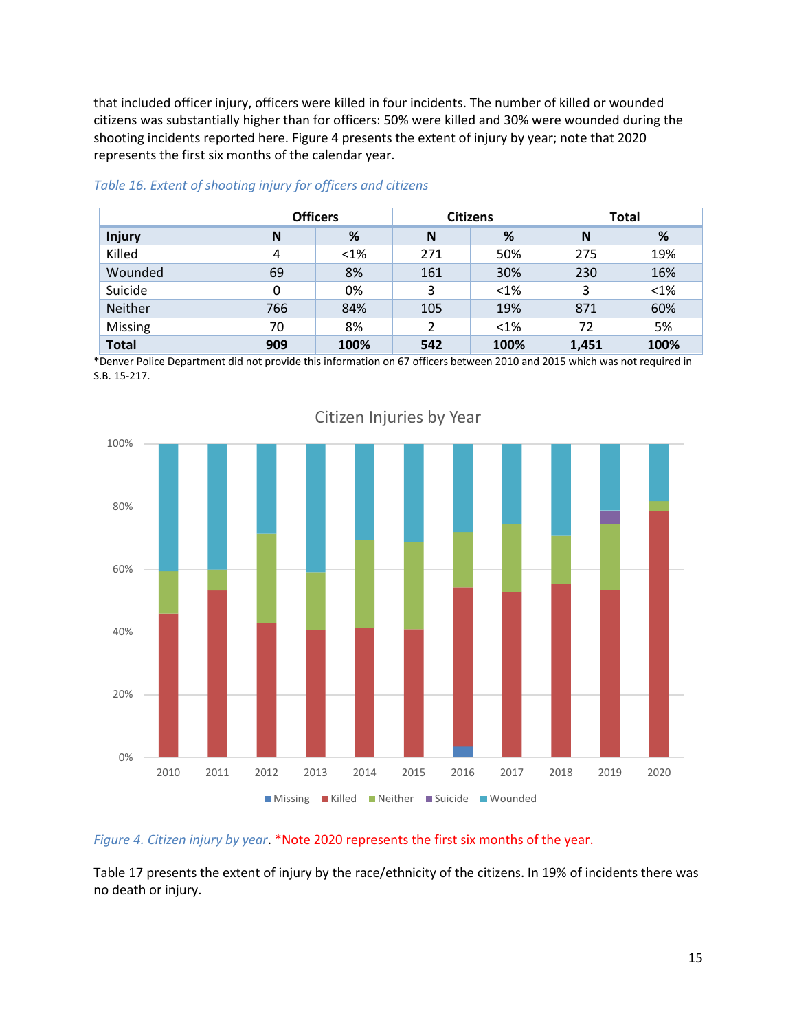that included officer injury, officers were killed in four incidents. The number of killed or wounded citizens was substantially higher than for officers: 50% were killed and 30% were wounded during the shooting incidents reported here. [Figure 4](#page-14-0) presents the extent of injury by year; note that 2020 represents the first six months of the calendar year.

|               | <b>Officers</b> |         |     | <b>Citizens</b> | <b>Total</b> |         |
|---------------|-----------------|---------|-----|-----------------|--------------|---------|
| <b>Injury</b> | N               | %       | N   | %               | N            | %       |
| Killed        | 4               | $< 1\%$ | 271 | 50%             | 275          | 19%     |
| Wounded       | 69              | 8%      | 161 | 30%             | 230          | 16%     |
| Suicide       | 0               | 0%      | 3   | $< 1\%$         | 3            | $< 1\%$ |
| Neither       | 766             | 84%     | 105 | 19%             | 871          | 60%     |
| Missing       | 70              | 8%      | 2   | $< 1\%$         | 72           | 5%      |
| <b>Total</b>  | 909             | 100%    | 542 | 100%            | 1,451        | 100%    |

#### *Table 16. Extent of shooting injury for officers and citizens*

\*Denver Police Department did not provide this information on 67 officers between 2010 and 2015 which was not required in S.B. 15-217.



Citizen Injuries by Year

#### <span id="page-14-0"></span>*Figure 4. Citizen injury by year*. \*Note 2020 represents the first six months of the year.

Table 17 presents the extent of injury by the race/ethnicity of the citizens. In 19% of incidents there was no death or injury.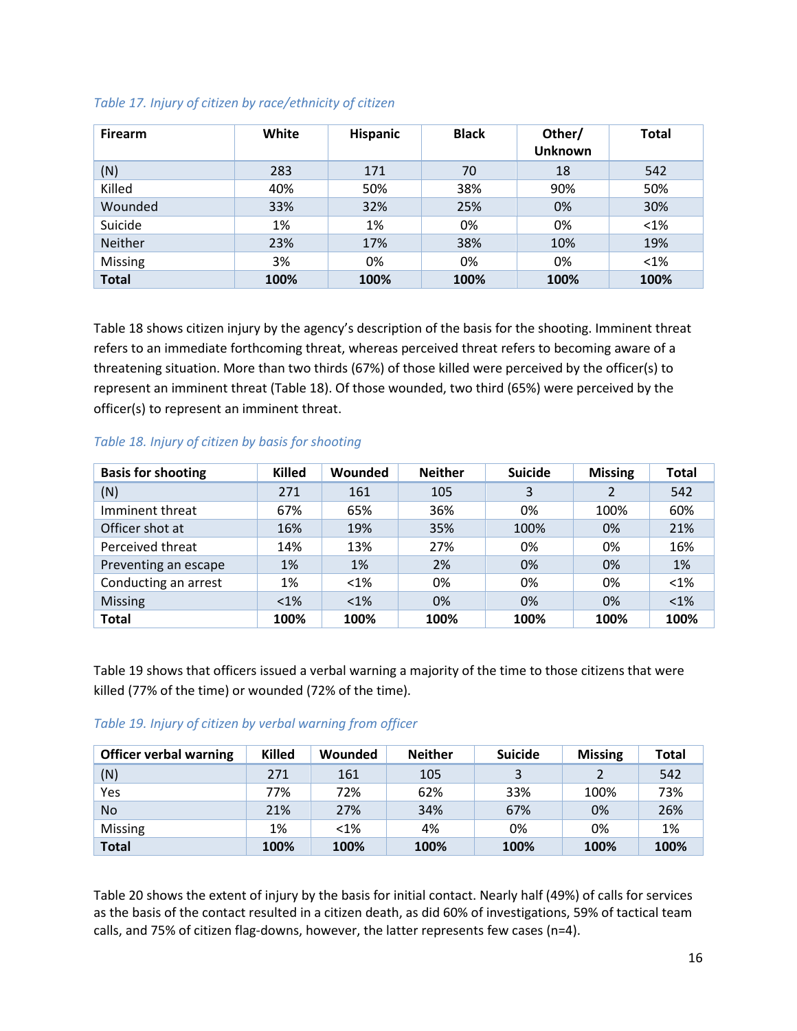| <b>Firearm</b> | White | <b>Hispanic</b> | <b>Black</b> | Other/<br><b>Unknown</b> | <b>Total</b> |
|----------------|-------|-----------------|--------------|--------------------------|--------------|
| (N)            | 283   | 171             | 70           | 18                       | 542          |
| Killed         | 40%   | 50%             | 38%          | 90%                      | 50%          |
| Wounded        | 33%   | 32%             | 25%          | 0%                       | 30%          |
| Suicide        | 1%    | 1%              | 0%           | 0%                       | $< 1\%$      |
| <b>Neither</b> | 23%   | 17%             | 38%          | 10%                      | 19%          |
| Missing        | 3%    | 0%              | 0%           | 0%                       | $< 1\%$      |
| <b>Total</b>   | 100%  | 100%            | 100%         | 100%                     | 100%         |

Table 18 shows citizen injury by the agency's description of the basis for the shooting. Imminent threat refers to an immediate forthcoming threat, whereas perceived threat refers to becoming aware of a threatening situation. More than two thirds (67%) of those killed were perceived by the officer(s) to represent an imminent threat (Table 18). Of those wounded, two third (65%) were perceived by the officer(s) to represent an imminent threat.

#### *Table 18. Injury of citizen by basis for shooting*

| <b>Basis for shooting</b> | <b>Killed</b> | Wounded | <b>Neither</b> | <b>Suicide</b> | <b>Missing</b> | <b>Total</b> |
|---------------------------|---------------|---------|----------------|----------------|----------------|--------------|
| (N)                       | 271           | 161     | 105            | 3              | 2              | 542          |
| Imminent threat           | 67%           | 65%     | 36%            | 0%             | 100%           | 60%          |
| Officer shot at           | 16%           | 19%     | 35%            | 100%           | 0%             | 21%          |
| Perceived threat          | 14%           | 13%     | 27%            | 0%             | 0%             | 16%          |
| Preventing an escape      | 1%            | 1%      | 2%             | 0%             | 0%             | 1%           |
| Conducting an arrest      | 1%            | $< 1\%$ | 0%             | 0%             | 0%             | $<1\%$       |
| <b>Missing</b>            | $< 1\%$       | $< 1\%$ | 0%             | 0%             | 0%             | $< 1\%$      |
| <b>Total</b>              | 100%          | 100%    | 100%           | 100%           | 100%           | 100%         |

Table 19 shows that officers issued a verbal warning a majority of the time to those citizens that were killed (77% of the time) or wounded (72% of the time).

#### *Table 19. Injury of citizen by verbal warning from officer*

| <b>Officer verbal warning</b> | <b>Killed</b> | Wounded | <b>Neither</b> | <b>Suicide</b> | <b>Missing</b> | Total |
|-------------------------------|---------------|---------|----------------|----------------|----------------|-------|
| (N)                           | 271           | 161     | 105            | 3              |                | 542   |
| Yes                           | 77%           | 72%     | 62%            | 33%            | 100%           | 73%   |
| <b>No</b>                     | 21%           | 27%     | 34%            | 67%            | 0%             | 26%   |
| <b>Missing</b>                | 1%            | $< 1\%$ | 4%             | 0%             | 0%             | 1%    |
| <b>Total</b>                  | 100%          | 100%    | 100%           | 100%           | 100%           | 100%  |

Table 20 shows the extent of injury by the basis for initial contact. Nearly half (49%) of calls for services as the basis of the contact resulted in a citizen death, as did 60% of investigations, 59% of tactical team calls, and 75% of citizen flag-downs, however, the latter represents few cases (n=4).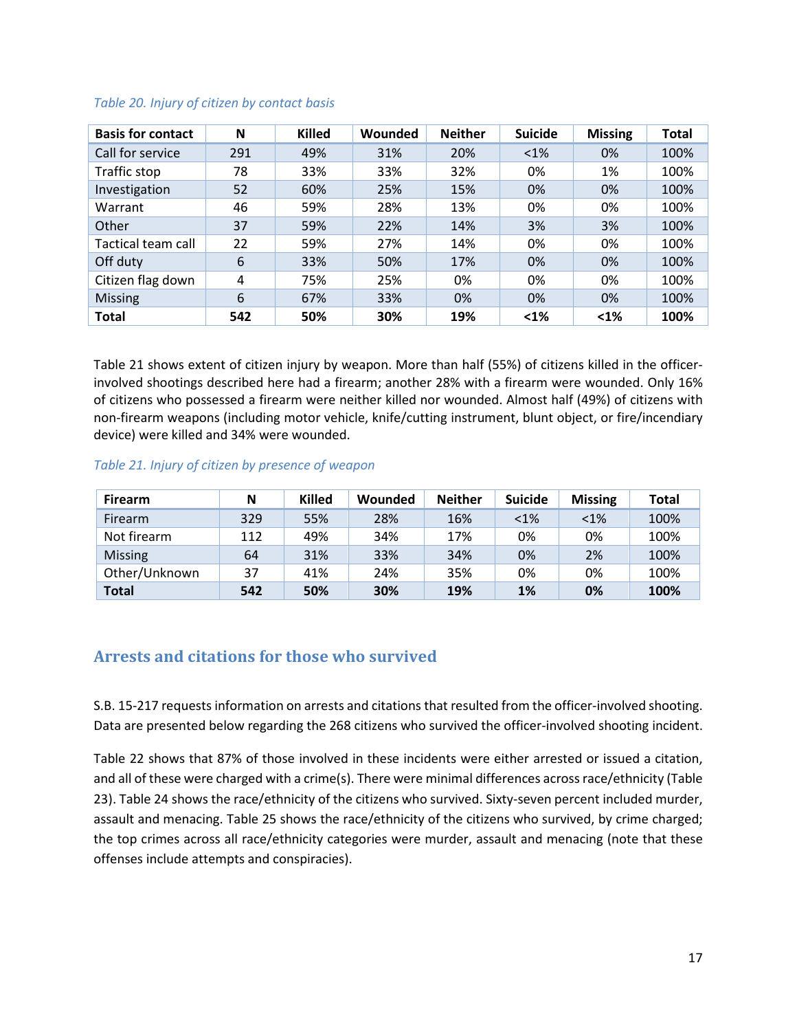| <b>Basis for contact</b> | N   | <b>Killed</b> | Wounded | <b>Neither</b> | <b>Suicide</b> | <b>Missing</b> | <b>Total</b> |
|--------------------------|-----|---------------|---------|----------------|----------------|----------------|--------------|
| Call for service         | 291 | 49%           | 31%     | 20%            | $< 1\%$        | 0%             | 100%         |
| Traffic stop             | 78  | 33%           | 33%     | 32%            | 0%             | 1%             | 100%         |
| Investigation            | 52  | 60%           | 25%     | 15%            | 0%             | 0%             | 100%         |
| Warrant                  | 46  | 59%           | 28%     | 13%            | 0%             | 0%             | 100%         |
| Other                    | 37  | 59%           | 22%     | 14%            | 3%             | 3%             | 100%         |
| Tactical team call       | 22  | 59%           | 27%     | 14%            | 0%             | 0%             | 100%         |
| Off duty                 | 6   | 33%           | 50%     | 17%            | 0%             | 0%             | 100%         |
| Citizen flag down        | 4   | 75%           | 25%     | 0%             | 0%             | 0%             | 100%         |
| <b>Missing</b>           | 6   | 67%           | 33%     | 0%             | 0%             | 0%             | 100%         |
| <b>Total</b>             | 542 | 50%           | 30%     | 19%            | $1%$           | $1\%$          | 100%         |

#### *Table 20. Injury of citizen by contact basis*

Table 21 shows extent of citizen injury by weapon. More than half (55%) of citizens killed in the officerinvolved shootings described here had a firearm; another 28% with a firearm were wounded. Only 16% of citizens who possessed a firearm were neither killed nor wounded. Almost half (49%) of citizens with non-firearm weapons (including motor vehicle, knife/cutting instrument, blunt object, or fire/incendiary device) were killed and 34% were wounded.

#### *Table 21. Injury of citizen by presence of weapon*

| <b>Firearm</b> | N   | <b>Killed</b> | Wounded | <b>Neither</b> | <b>Suicide</b> | <b>Missing</b> | <b>Total</b> |
|----------------|-----|---------------|---------|----------------|----------------|----------------|--------------|
| <b>Firearm</b> | 329 | 55%           | 28%     | 16%            | $< 1\%$        | $< 1\%$        | 100%         |
| Not firearm    | 112 | 49%           | 34%     | 17%            | 0%             | 0%             | 100%         |
| <b>Missing</b> | 64  | 31%           | 33%     | 34%            | 0%             | 2%             | 100%         |
| Other/Unknown  | 37  | 41%           | 24%     | 35%            | 0%             | 0%             | 100%         |
| <b>Total</b>   | 542 | 50%           | 30%     | 19%            | 1%             | 0%             | 100%         |

## <span id="page-16-0"></span>**Arrests and citations for those who survived**

S.B. 15-217 requestsinformation on arrests and citations that resulted from the officer-involved shooting. Data are presented below regarding the 268 citizens who survived the officer-involved shooting incident.

Table 22 shows that 87% of those involved in these incidents were either arrested or issued a citation, and all of these were charged with a crime(s). There were minimal differences across race/ethnicity (Table 23). Table 24 shows the race/ethnicity of the citizens who survived. Sixty-seven percent included murder, assault and menacing. Table 25 shows the race/ethnicity of the citizens who survived, by crime charged; the top crimes across all race/ethnicity categories were murder, assault and menacing (note that these offenses include attempts and conspiracies).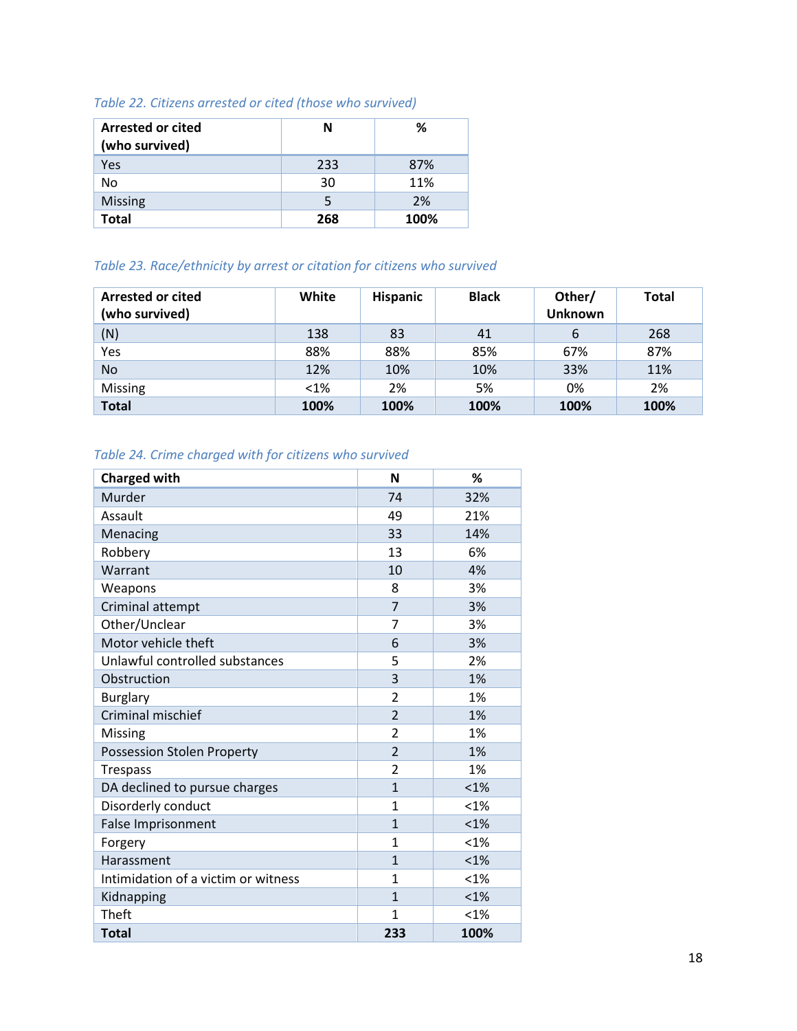## *Table 22. Citizens arrested or cited (those who survived)*

| <b>Arrested or cited</b><br>(who survived) | Ν   | ℅    |
|--------------------------------------------|-----|------|
| Yes                                        | 233 | 87%  |
| No                                         | 30  | 11%  |
| <b>Missing</b>                             |     | 2%   |
| <b>Total</b>                               | 268 | 100% |

### *Table 23. Race/ethnicity by arrest or citation for citizens who survived*

| <b>Arrested or cited</b><br>(who survived) | White  | <b>Hispanic</b> | <b>Black</b> | Other/<br><b>Unknown</b> | <b>Total</b> |
|--------------------------------------------|--------|-----------------|--------------|--------------------------|--------------|
| (N)                                        | 138    | 83              | 41           | 6                        | 268          |
| Yes                                        | 88%    | 88%             | 85%          | 67%                      | 87%          |
| <b>No</b>                                  | 12%    | 10%             | 10%          | 33%                      | 11%          |
| Missing                                    | $<$ 1% | 2%              | 5%           | 0%                       | 2%           |
| <b>Total</b>                               | 100%   | 100%            | 100%         | 100%                     | 100%         |

## *Table 24. Crime charged with for citizens who survived*

| <b>Charged with</b>                 | N                       | %       |
|-------------------------------------|-------------------------|---------|
| Murder                              | 74                      | 32%     |
| Assault                             | 49                      | 21%     |
| Menacing                            | 33                      | 14%     |
| Robbery                             | 13                      | 6%      |
| Warrant                             | 10                      | 4%      |
| Weapons                             | 8                       | 3%      |
| Criminal attempt                    | $\overline{7}$          | 3%      |
| Other/Unclear                       | 7                       | 3%      |
| Motor vehicle theft                 | 6                       | 3%      |
| Unlawful controlled substances      | 5                       | 2%      |
| Obstruction                         | 3                       | 1%      |
| <b>Burglary</b>                     | $\overline{2}$          | 1%      |
| Criminal mischief                   | $\overline{2}$          | 1%      |
| Missing                             | $\overline{2}$          | 1%      |
| Possession Stolen Property          | $\overline{2}$          | 1%      |
| <b>Trespass</b>                     | $\overline{\mathbf{c}}$ | 1%      |
| DA declined to pursue charges       | $\mathbf{1}$            | < 1%    |
| Disorderly conduct                  | $\mathbf{1}$            | $< 1\%$ |
| False Imprisonment                  | $\mathbf{1}$            | $< 1\%$ |
| Forgery                             | $\mathbf{1}$            | $< 1\%$ |
| Harassment                          | $\mathbf{1}$            | < 1%    |
| Intimidation of a victim or witness | $\mathbf{1}$            | $< 1\%$ |
| Kidnapping                          | $\mathbf{1}$            | $< 1\%$ |
| Theft                               | $\mathbf{1}$            | $< 1\%$ |
| <b>Total</b>                        | 233                     | 100%    |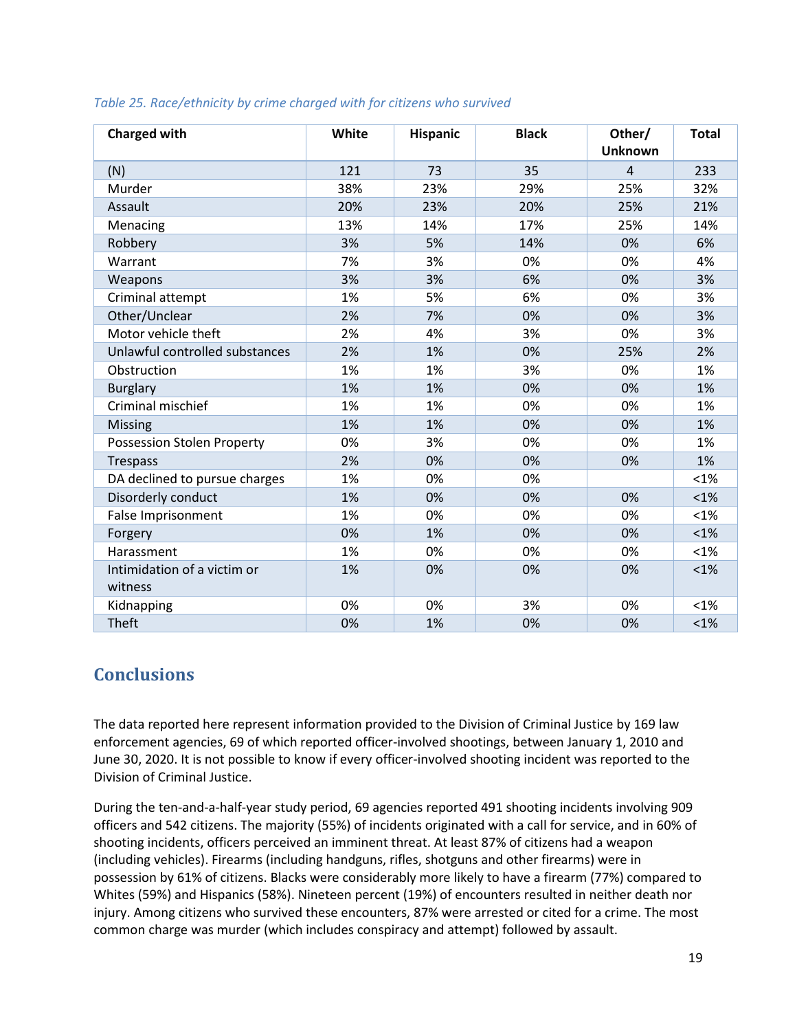| <b>Charged with</b>                    | White | Hispanic | <b>Black</b> | Other/<br><b>Unknown</b> | <b>Total</b> |
|----------------------------------------|-------|----------|--------------|--------------------------|--------------|
| (N)                                    | 121   | 73       | 35           | $\overline{4}$           | 233          |
| Murder                                 | 38%   | 23%      | 29%          | 25%                      | 32%          |
| Assault                                | 20%   | 23%      | 20%          | 25%                      | 21%          |
| Menacing                               | 13%   | 14%      | 17%          | 25%                      | 14%          |
| Robbery                                | 3%    | 5%       | 14%          | 0%                       | 6%           |
| Warrant                                | 7%    | 3%       | 0%           | 0%                       | 4%           |
| Weapons                                | 3%    | 3%       | 6%           | 0%                       | 3%           |
| Criminal attempt                       | 1%    | 5%       | 6%           | 0%                       | 3%           |
| Other/Unclear                          | 2%    | 7%       | 0%           | 0%                       | 3%           |
| Motor vehicle theft                    | 2%    | 4%       | 3%           | 0%                       | 3%           |
| Unlawful controlled substances         | 2%    | 1%       | 0%           | 25%                      | 2%           |
| Obstruction                            | 1%    | 1%       | 3%           | 0%                       | 1%           |
| <b>Burglary</b>                        | 1%    | 1%       | 0%           | 0%                       | 1%           |
| Criminal mischief                      | 1%    | 1%       | 0%           | 0%                       | 1%           |
| <b>Missing</b>                         | 1%    | 1%       | 0%           | 0%                       | 1%           |
| <b>Possession Stolen Property</b>      | 0%    | 3%       | 0%           | 0%                       | 1%           |
| <b>Trespass</b>                        | 2%    | 0%       | 0%           | 0%                       | 1%           |
| DA declined to pursue charges          | 1%    | 0%       | 0%           |                          | $< 1\%$      |
| Disorderly conduct                     | 1%    | 0%       | 0%           | 0%                       | $< 1\%$      |
| False Imprisonment                     | 1%    | 0%       | 0%           | 0%                       | $< 1\%$      |
| Forgery                                | 0%    | 1%       | 0%           | 0%                       | $< 1\%$      |
| Harassment                             | 1%    | 0%       | 0%           | 0%                       | $< 1\%$      |
| Intimidation of a victim or<br>witness | 1%    | 0%       | 0%           | 0%                       | $< 1\%$      |
| Kidnapping                             | 0%    | 0%       | 3%           | 0%                       | $< 1\%$      |
| Theft                                  | 0%    | 1%       | 0%           | 0%                       | $< 1\%$      |

#### *Table 25. Race/ethnicity by crime charged with for citizens who survived*

## <span id="page-18-0"></span>**Conclusions**

The data reported here represent information provided to the Division of Criminal Justice by 169 law enforcement agencies, 69 of which reported officer-involved shootings, between January 1, 2010 and June 30, 2020. It is not possible to know if every officer-involved shooting incident was reported to the Division of Criminal Justice.

During the ten-and-a-half-year study period, 69 agencies reported 491 shooting incidents involving 909 officers and 542 citizens. The majority (55%) of incidents originated with a call for service, and in 60% of shooting incidents, officers perceived an imminent threat. At least 87% of citizens had a weapon (including vehicles). Firearms (including handguns, rifles, shotguns and other firearms) were in possession by 61% of citizens. Blacks were considerably more likely to have a firearm (77%) compared to Whites (59%) and Hispanics (58%). Nineteen percent (19%) of encounters resulted in neither death nor injury. Among citizens who survived these encounters, 87% were arrested or cited for a crime. The most common charge was murder (which includes conspiracy and attempt) followed by assault.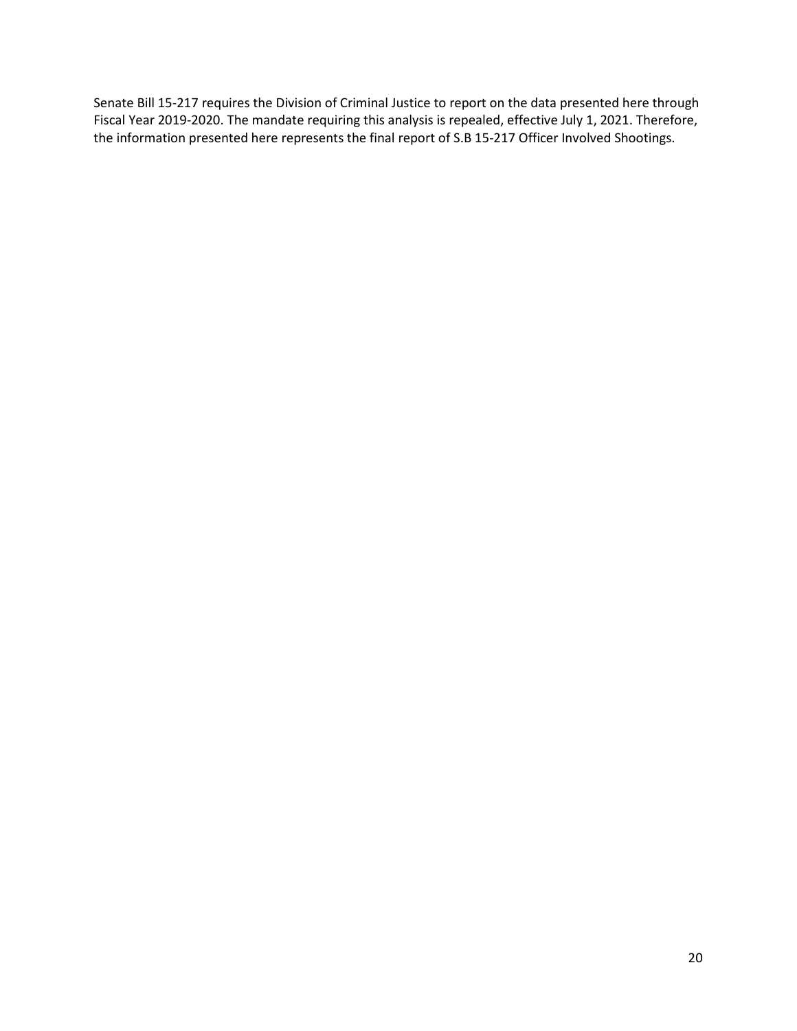Senate Bill 15-217 requires the Division of Criminal Justice to report on the data presented here through Fiscal Year 2019-2020. The mandate requiring this analysis is repealed, effective July 1, 2021. Therefore, the information presented here represents the final report of S.B 15-217 Officer Involved Shootings.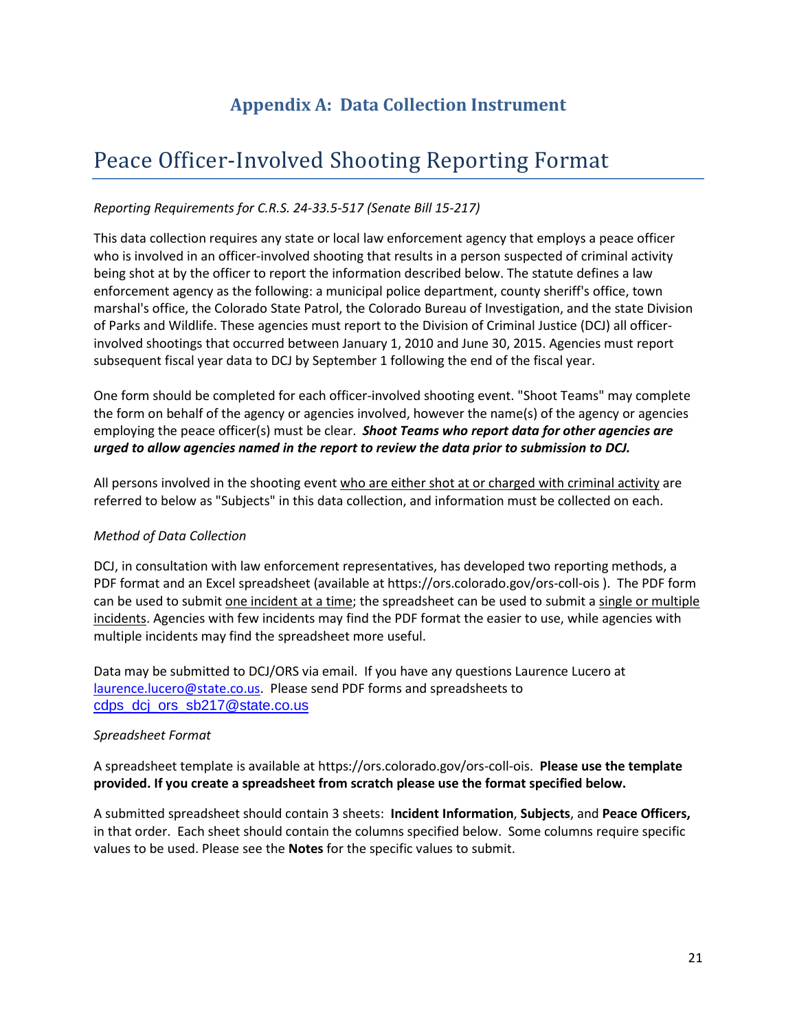## **Appendix A: Data Collection Instrument**

# <span id="page-20-0"></span>Peace Officer-Involved Shooting Reporting Format

#### *Reporting Requirements for C.R.S. 24-33.5-517 (Senate Bill 15-217)*

This data collection requires any state or local law enforcement agency that employs a peace officer who is involved in an officer-involved shooting that results in a person suspected of criminal activity being shot at by the officer to report the information described below. The statute defines a law enforcement agency as the following: a municipal police department, county sheriff's office, town marshal's office, the Colorado State Patrol, the Colorado Bureau of Investigation, and the state Division of Parks and Wildlife. These agencies must report to the Division of Criminal Justice (DCJ) all officerinvolved shootings that occurred between January 1, 2010 and June 30, 2015. Agencies must report subsequent fiscal year data to DCJ by September 1 following the end of the fiscal year.

One form should be completed for each officer-involved shooting event. "Shoot Teams" may complete the form on behalf of the agency or agencies involved, however the name(s) of the agency or agencies employing the peace officer(s) must be clear. *Shoot Teams who report data for other agencies are urged to allow agencies named in the report to review the data prior to submission to DCJ.*

All persons involved in the shooting event who are either shot at or charged with criminal activity are referred to below as "Subjects" in this data collection, and information must be collected on each.

#### *Method of Data Collection*

DCJ, in consultation with law enforcement representatives, has developed two reporting methods, a PDF format and an Excel spreadsheet (available at https://ors.colorado.gov/ors-coll-ois ). The PDF form can be used to submit one incident at a time; the spreadsheet can be used to submit a single or multiple incidents. Agencies with few incidents may find the PDF format the easier to use, while agencies with multiple incidents may find the spreadsheet more useful.

Data may be submitted to DCJ/ORS via email. If you have any questions Laurence Lucero at [laurence.lucero@state.co.us.](file://skipper/dcj/SB15-217%20Officer%20Involved%20Shooting/Documentation/laurence.lucero@state.co.us) Please send PDF forms and spreadsheets to [cdps\\_dcj\\_ors\\_sb217@state.co.us](file://skipper/dcj/SB15-217%20Officer%20Involved%20Shooting/Documentation/cdps_dcj_ors_sb217@state.co.us)

#### *Spreadsheet Format*

A spreadsheet template is available at https://ors.colorado.gov/ors-coll-ois. **Please use the template provided. If you create a spreadsheet from scratch please use the format specified below.** 

A submitted spreadsheet should contain 3 sheets: **Incident Information**, **Subjects**, and **Peace Officers,** in that order. Each sheet should contain the columns specified below. Some columns require specific values to be used. Please see the **Notes** for the specific values to submit.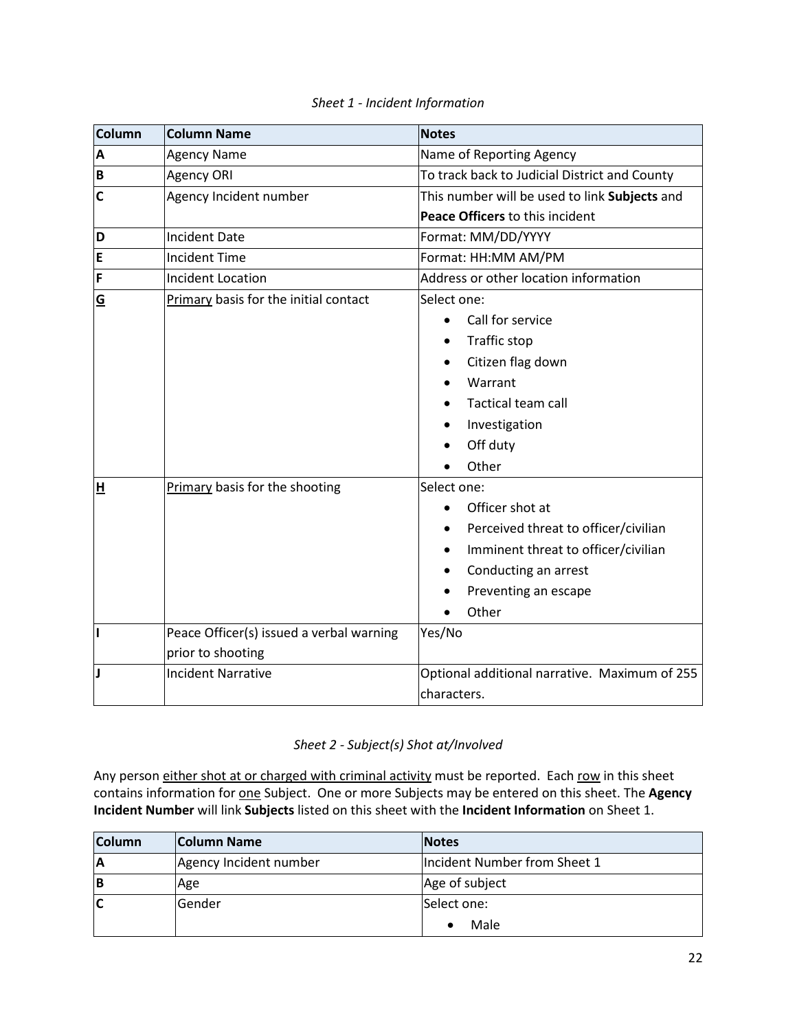| <b>Column</b>  | <b>Column Name</b>                       | <b>Notes</b>                                  |  |  |  |
|----------------|------------------------------------------|-----------------------------------------------|--|--|--|
| A              | <b>Agency Name</b>                       | Name of Reporting Agency                      |  |  |  |
| B              | Agency ORI                               | To track back to Judicial District and County |  |  |  |
| $\overline{c}$ | Agency Incident number                   | This number will be used to link Subjects and |  |  |  |
|                |                                          | Peace Officers to this incident               |  |  |  |
| D              | <b>Incident Date</b>                     | Format: MM/DD/YYYY                            |  |  |  |
| E              | <b>Incident Time</b>                     | Format: HH:MM AM/PM                           |  |  |  |
| F              | <b>Incident Location</b>                 | Address or other location information         |  |  |  |
| G              | Primary basis for the initial contact    | Select one:                                   |  |  |  |
|                |                                          | Call for service<br>$\bullet$                 |  |  |  |
|                |                                          | Traffic stop                                  |  |  |  |
|                |                                          | Citizen flag down                             |  |  |  |
|                |                                          | Warrant                                       |  |  |  |
|                |                                          | <b>Tactical team call</b>                     |  |  |  |
|                |                                          | Investigation                                 |  |  |  |
|                |                                          | Off duty                                      |  |  |  |
|                |                                          | Other                                         |  |  |  |
| H              | Primary basis for the shooting           | Select one:                                   |  |  |  |
|                |                                          | Officer shot at                               |  |  |  |
|                |                                          | Perceived threat to officer/civilian          |  |  |  |
|                |                                          | Imminent threat to officer/civilian           |  |  |  |
|                |                                          | Conducting an arrest                          |  |  |  |
|                |                                          | Preventing an escape                          |  |  |  |
|                |                                          | Other                                         |  |  |  |
| h              | Peace Officer(s) issued a verbal warning | Yes/No                                        |  |  |  |
|                | prior to shooting                        |                                               |  |  |  |
| IJ             | <b>Incident Narrative</b>                | Optional additional narrative. Maximum of 255 |  |  |  |
|                |                                          | characters.                                   |  |  |  |

### *Sheet 1 - Incident Information*

#### *Sheet 2 - Subject(s) Shot at/Involved*

Any person either shot at or charged with criminal activity must be reported. Each row in this sheet contains information for one Subject. One or more Subjects may be entered on this sheet. The **Agency Incident Number** will link **Subjects** listed on this sheet with the **Incident Information** on Sheet 1.

| <b>Column</b> | <b>Column Name</b>     | <b>Notes</b>                 |
|---------------|------------------------|------------------------------|
| ΙA            | Agency Incident number | Incident Number from Sheet 1 |
| ΙB            | Age                    | Age of subject               |
| IC            | Gender                 | Select one:                  |
|               |                        | Male                         |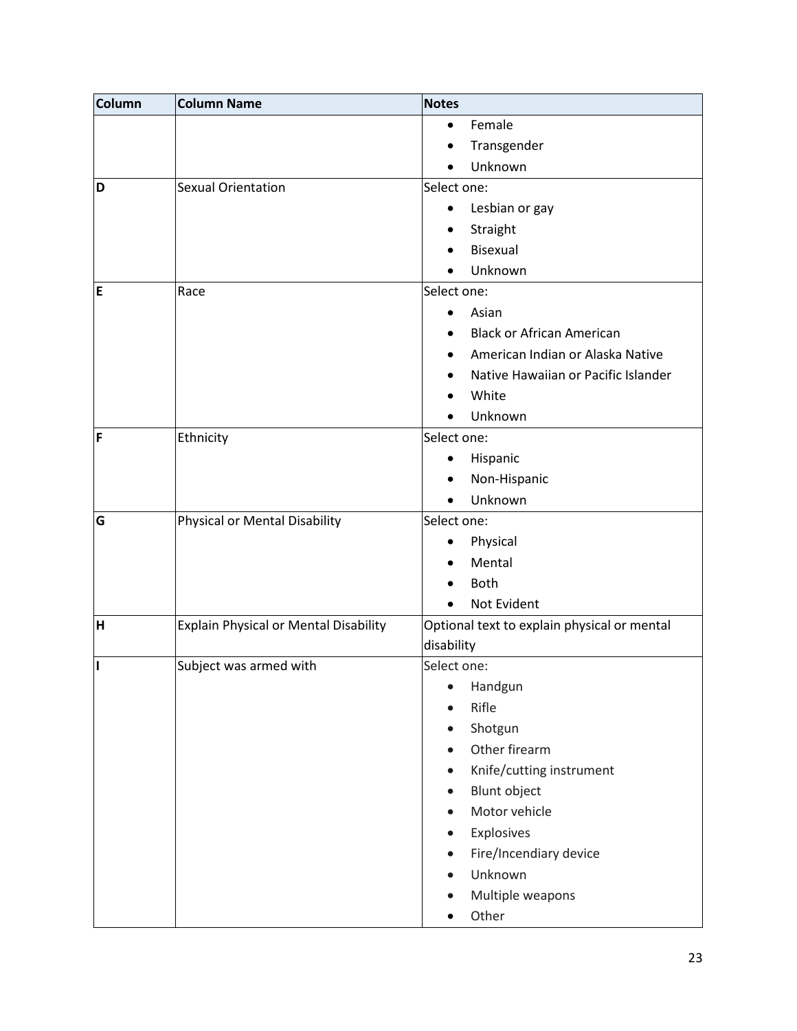| <b>Column</b> | <b>Column Name</b>                           | <b>Notes</b>                                |
|---------------|----------------------------------------------|---------------------------------------------|
|               |                                              | Female<br>٠                                 |
|               |                                              | Transgender                                 |
|               |                                              | Unknown                                     |
| D             | <b>Sexual Orientation</b>                    | Select one:                                 |
|               |                                              | Lesbian or gay<br>$\bullet$                 |
|               |                                              | Straight<br>$\bullet$                       |
|               |                                              | Bisexual                                    |
|               |                                              | Unknown                                     |
| E             | Race                                         | Select one:                                 |
|               |                                              | Asian                                       |
|               |                                              | <b>Black or African American</b>            |
|               |                                              | American Indian or Alaska Native            |
|               |                                              | Native Hawaiian or Pacific Islander         |
|               |                                              | White                                       |
|               |                                              | Unknown                                     |
| F             | Ethnicity                                    | Select one:                                 |
|               |                                              | Hispanic<br>٠                               |
|               |                                              | Non-Hispanic                                |
|               |                                              | Unknown                                     |
| G             | Physical or Mental Disability                | Select one:                                 |
|               |                                              | Physical<br>٠                               |
|               |                                              | Mental                                      |
|               |                                              | <b>Both</b>                                 |
|               |                                              | Not Evident                                 |
| H             | <b>Explain Physical or Mental Disability</b> | Optional text to explain physical or mental |
|               |                                              | disability                                  |
| I             | Subject was armed with                       | Select one:                                 |
|               |                                              | Handgun                                     |
|               |                                              | Rifle                                       |
|               |                                              | Shotgun                                     |
|               |                                              | Other firearm                               |
|               |                                              | Knife/cutting instrument                    |
|               |                                              | <b>Blunt object</b>                         |
|               |                                              | Motor vehicle                               |
|               |                                              | Explosives                                  |
|               |                                              | Fire/Incendiary device                      |
|               |                                              | Unknown                                     |
|               |                                              | Multiple weapons                            |
|               |                                              | Other                                       |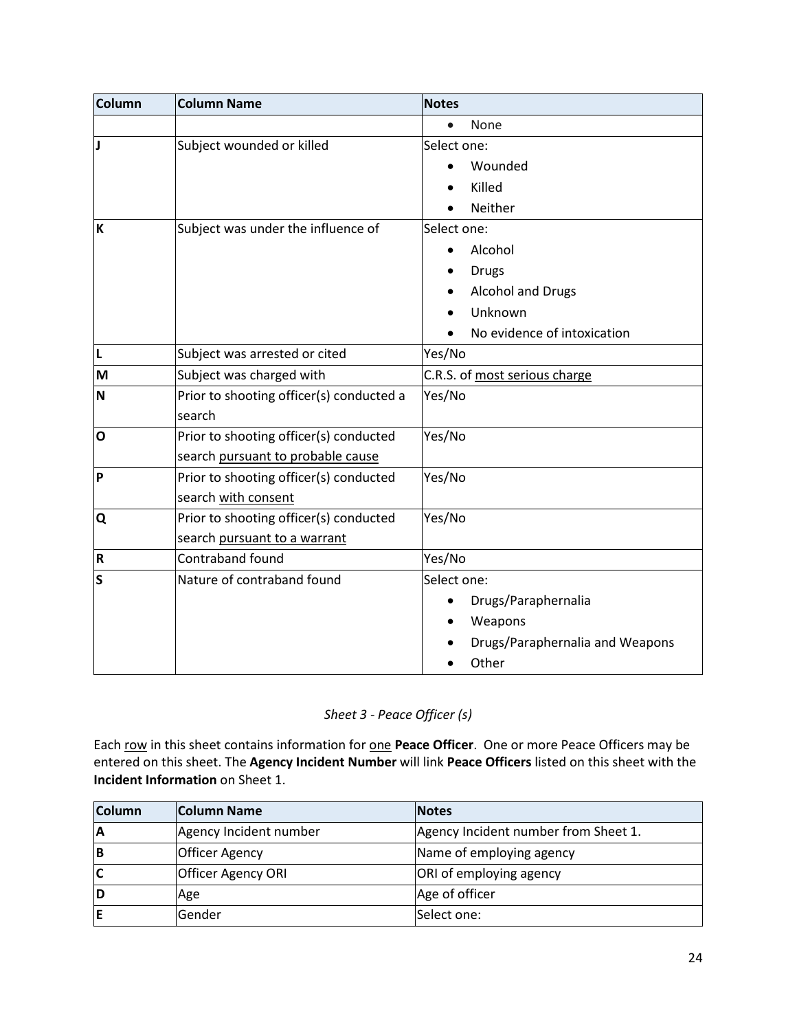| <b>Column</b> | <b>Column Name</b>                       | <b>Notes</b>                     |
|---------------|------------------------------------------|----------------------------------|
|               |                                          | None<br>$\bullet$                |
|               | Subject wounded or killed                | Select one:                      |
|               |                                          | Wounded                          |
|               |                                          | Killed                           |
|               |                                          | Neither                          |
| K             | Subject was under the influence of       | Select one:                      |
|               |                                          | Alcohol                          |
|               |                                          | <b>Drugs</b>                     |
|               |                                          | Alcohol and Drugs                |
|               |                                          | Unknown                          |
|               |                                          | No evidence of intoxication      |
| L             | Subject was arrested or cited            | Yes/No                           |
| M             | Subject was charged with                 | C.R.S. of most serious charge    |
| N             | Prior to shooting officer(s) conducted a | Yes/No                           |
|               | search                                   |                                  |
| $\mathbf{o}$  | Prior to shooting officer(s) conducted   | Yes/No                           |
|               | search pursuant to probable cause        |                                  |
| Þ             | Prior to shooting officer(s) conducted   | Yes/No                           |
|               | search with consent                      |                                  |
| Q             | Prior to shooting officer(s) conducted   | Yes/No                           |
|               | search pursuant to a warrant             |                                  |
| R             | Contraband found                         | Yes/No                           |
| Ś             | Nature of contraband found               | Select one:                      |
|               |                                          | Drugs/Paraphernalia<br>$\bullet$ |
|               |                                          | Weapons                          |
|               |                                          | Drugs/Paraphernalia and Weapons  |
|               |                                          | Other                            |

## *Sheet 3 - Peace Officer (s)*

Each row in this sheet contains information for one **Peace Officer**. One or more Peace Officers may be entered on this sheet. The **Agency Incident Number** will link **Peace Officers** listed on this sheet with the **Incident Information** on Sheet 1.

| <b>Column</b> | Column Name               | <b>Notes</b>                         |
|---------------|---------------------------|--------------------------------------|
| ΙA            | Agency Incident number    | Agency Incident number from Sheet 1. |
| IΒ            | <b>Officer Agency</b>     | Name of employing agency             |
| IC            | <b>Officer Agency ORI</b> | ORI of employing agency              |
| ID            | Age                       | Age of officer                       |
| E             | Gender                    | Select one:                          |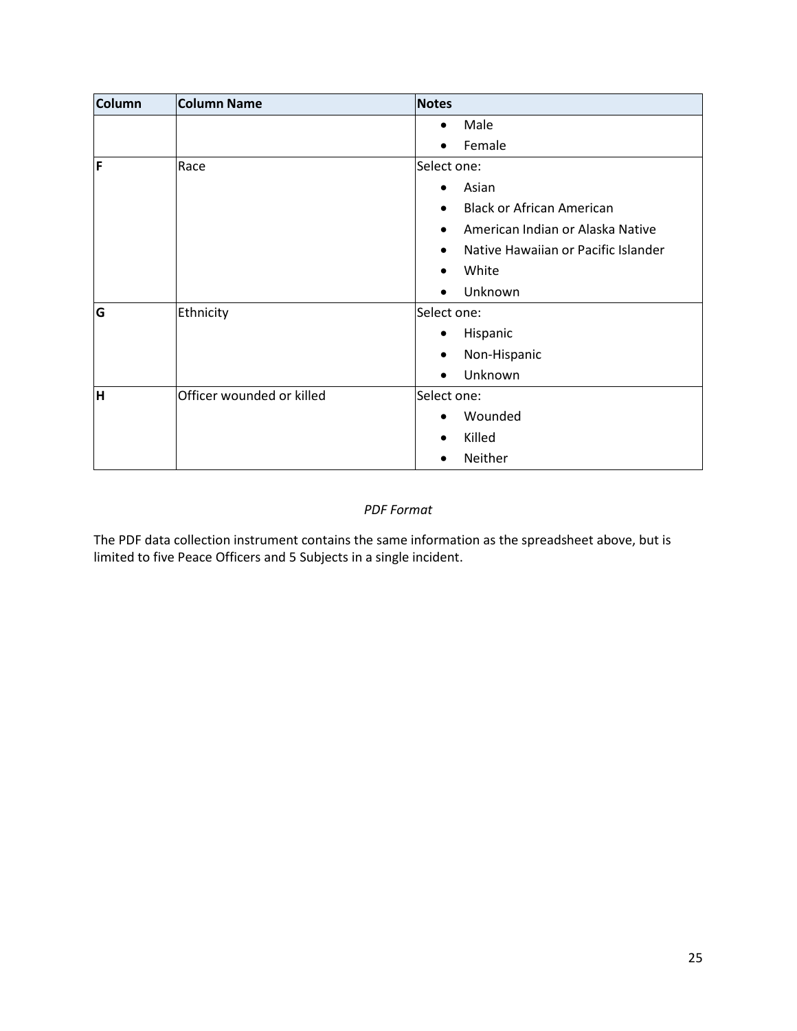| <b>Column</b> | Column Name               | <b>Notes</b> |                                     |
|---------------|---------------------------|--------------|-------------------------------------|
|               |                           | $\bullet$    | Male                                |
|               |                           | $\bullet$    | Female                              |
| F             | Race                      | Select one:  |                                     |
|               |                           | $\bullet$    | Asian                               |
|               |                           | $\bullet$    | <b>Black or African American</b>    |
|               |                           |              | American Indian or Alaska Native    |
|               |                           |              | Native Hawaiian or Pacific Islander |
|               |                           |              | White                               |
|               |                           |              | Unknown                             |
| G             | Ethnicity                 | Select one:  |                                     |
|               |                           |              | Hispanic                            |
|               |                           | $\bullet$    | Non-Hispanic                        |
|               |                           | $\bullet$    | Unknown                             |
| H             | Officer wounded or killed | Select one:  |                                     |
|               |                           |              | Wounded                             |
|               |                           | $\bullet$    | Killed                              |
|               |                           |              | Neither                             |

#### *PDF Format*

The PDF data collection instrument contains the same information as the spreadsheet above, but is limited to five Peace Officers and 5 Subjects in a single incident.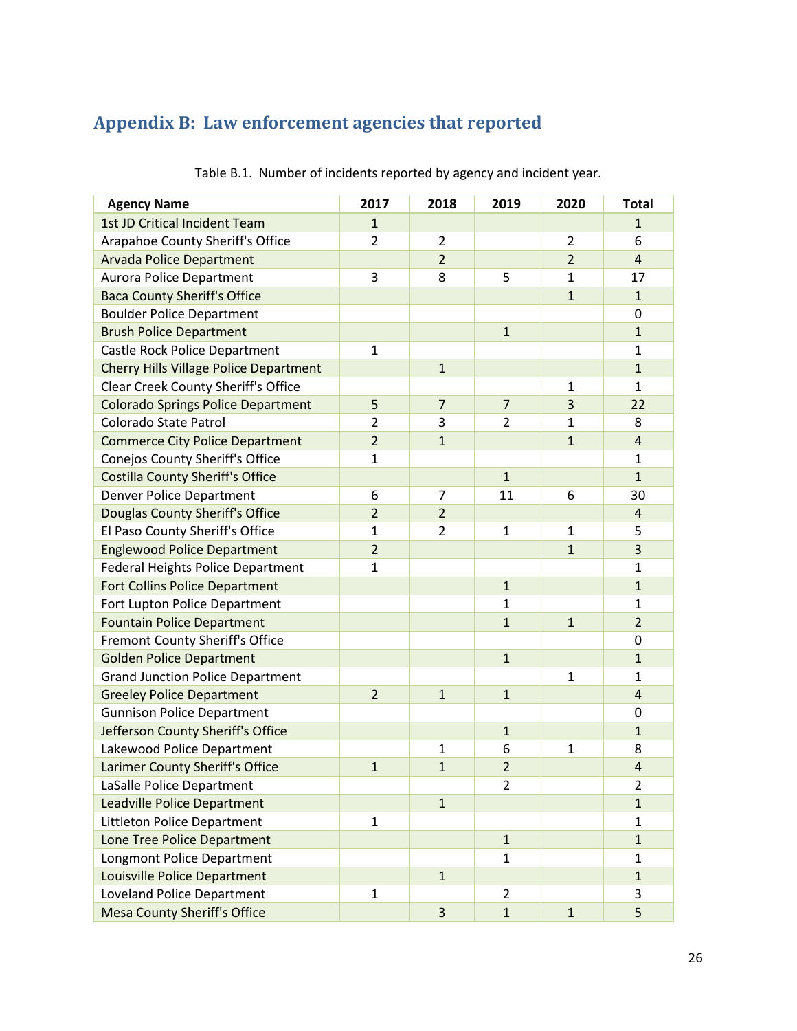# <span id="page-25-0"></span>**Appendix B: Law enforcement agencies that reported**

| <b>Agency Name</b>                            | 2017           | 2018           | 2019           | 2020           | <b>Total</b>   |
|-----------------------------------------------|----------------|----------------|----------------|----------------|----------------|
| 1st JD Critical Incident Team                 | $\mathbf{1}$   |                |                |                | $\mathbf{1}$   |
| Arapahoe County Sheriff's Office              | 2              | $\overline{2}$ |                | $\overline{2}$ | 6              |
| <b>Arvada Police Department</b>               |                | $\overline{2}$ |                | $\overline{2}$ | $\overline{4}$ |
| <b>Aurora Police Department</b>               | 3              | 8              | 5              | $\mathbf{1}$   | 17             |
| <b>Baca County Sheriff's Office</b>           |                |                |                | $\mathbf{1}$   | $\mathbf{1}$   |
| <b>Boulder Police Department</b>              |                |                |                |                | 0              |
| <b>Brush Police Department</b>                |                |                | $\mathbf{1}$   |                | $\mathbf{1}$   |
| Castle Rock Police Department                 | $\mathbf{1}$   |                |                |                | $\mathbf{1}$   |
| <b>Cherry Hills Village Police Department</b> |                | $\mathbf{1}$   |                |                | $\mathbf{1}$   |
| Clear Creek County Sheriff's Office           |                |                |                | $\mathbf{1}$   | $\mathbf{1}$   |
| <b>Colorado Springs Police Department</b>     | 5              | $\overline{7}$ | $\overline{7}$ | 3              | 22             |
| Colorado State Patrol                         | $\overline{2}$ | 3              | $\overline{2}$ | $\mathbf{1}$   | 8              |
| <b>Commerce City Police Department</b>        | $\overline{2}$ | $\mathbf{1}$   |                | $\overline{1}$ | $\overline{4}$ |
| Conejos County Sheriff's Office               | $\mathbf 1$    |                |                |                | 1              |
| <b>Costilla County Sheriff's Office</b>       |                |                | $\mathbf{1}$   |                | $\mathbf{1}$   |
| <b>Denver Police Department</b>               | 6              | $\overline{7}$ | 11             | 6              | 30             |
| Douglas County Sheriff's Office               | $\overline{2}$ | $\overline{2}$ |                |                | $\overline{4}$ |
| El Paso County Sheriff's Office               | 1              | $\overline{2}$ | $\mathbf{1}$   | $\mathbf{1}$   | 5              |
| <b>Englewood Police Department</b>            | $\overline{2}$ |                |                | $\mathbf{1}$   | 3              |
| <b>Federal Heights Police Department</b>      | $\mathbf{1}$   |                |                |                | 1              |
| <b>Fort Collins Police Department</b>         |                |                | $\mathbf{1}$   |                | $\mathbf{1}$   |
| Fort Lupton Police Department                 |                |                | $\mathbf{1}$   |                | $\mathbf{1}$   |
| <b>Fountain Police Department</b>             |                |                | $\mathbf{1}$   | $\mathbf{1}$   | $\overline{2}$ |
| Fremont County Sheriff's Office               |                |                |                |                | 0              |
| <b>Golden Police Department</b>               |                |                | $\mathbf{1}$   |                | $\mathbf{1}$   |
| <b>Grand Junction Police Department</b>       |                |                |                | $\mathbf{1}$   | $\mathbf{1}$   |
| <b>Greeley Police Department</b>              | $\overline{2}$ | $\mathbf{1}$   | $\mathbf{1}$   |                | $\sqrt{4}$     |
| <b>Gunnison Police Department</b>             |                |                |                |                | 0              |
| Jefferson County Sheriff's Office             |                |                | $\mathbf{1}$   |                | $\mathbf{1}$   |
| Lakewood Police Department                    |                | $\mathbf{1}$   | 6              | 1              | 8              |
| Larimer County Sheriff's Office               | $\mathbf{1}$   | $\mathbf{1}$   | $\overline{2}$ |                | $\overline{4}$ |
| LaSalle Police Department                     |                |                | $\overline{2}$ |                | $\overline{2}$ |
| <b>Leadville Police Department</b>            |                | $\mathbf{1}$   |                |                | $\mathbf{1}$   |
| Littleton Police Department                   | 1              |                |                |                | $\mathbf{1}$   |
| Lone Tree Police Department                   |                |                | $\mathbf{1}$   |                | $\mathbf{1}$   |
| Longmont Police Department                    |                |                | $\mathbf{1}$   |                | 1              |
| Louisville Police Department                  |                | $\mathbf{1}$   |                |                | $\mathbf{1}$   |
| Loveland Police Department                    | $\mathbf{1}$   |                | $\overline{2}$ |                | 3              |
| <b>Mesa County Sheriff's Office</b>           |                | 3              | $\mathbf{1}$   | $\mathbf{1}$   | 5              |

Table B.1. Number of incidents reported by agency and incident year.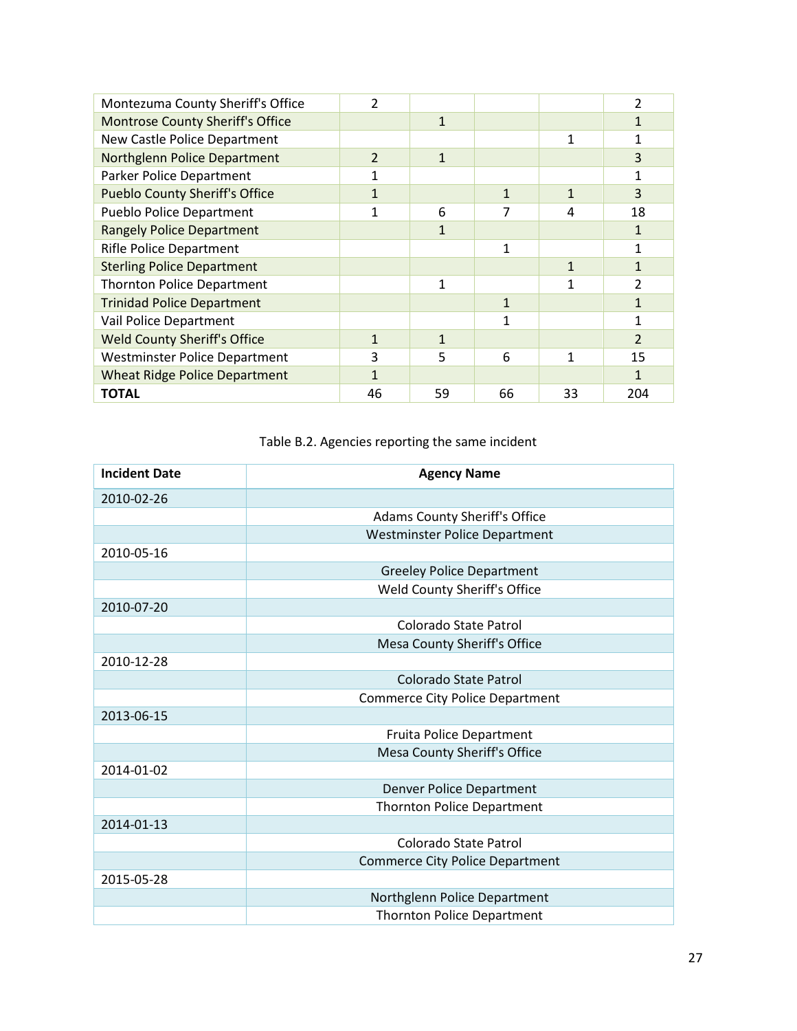| Montezuma County Sheriff's Office       | 2             |              |              |              | 2                        |
|-----------------------------------------|---------------|--------------|--------------|--------------|--------------------------|
| <b>Montrose County Sheriff's Office</b> |               | $\mathbf{1}$ |              |              | 1                        |
| New Castle Police Department            |               |              |              |              | 1                        |
| Northglenn Police Department            | $\mathcal{L}$ | $\mathbf{1}$ |              |              | 3                        |
| Parker Police Department                |               |              |              |              | 1                        |
| <b>Pueblo County Sheriff's Office</b>   | 1             |              | $\mathbf{1}$ | $\mathbf{1}$ | 3                        |
| <b>Pueblo Police Department</b>         | 1             | 6            | 7            | 4            | 18                       |
| <b>Rangely Police Department</b>        |               | $\mathbf{1}$ |              |              | $\mathbf{1}$             |
| <b>Rifle Police Department</b>          |               |              | 1            |              | 1                        |
| <b>Sterling Police Department</b>       |               |              |              | $\mathbf{1}$ | $\mathbf{1}$             |
| <b>Thornton Police Department</b>       |               | 1            |              | 1            | $\overline{\mathcal{L}}$ |
| <b>Trinidad Police Department</b>       |               |              | $\mathbf{1}$ |              | 1                        |
| Vail Police Department                  |               |              | 1            |              | 1                        |
| <b>Weld County Sheriff's Office</b>     | $\mathbf{1}$  | $\mathbf{1}$ |              |              | $\overline{2}$           |
| <b>Westminster Police Department</b>    | 3             | 5            | 6            | 1            | 15                       |
| <b>Wheat Ridge Police Department</b>    | 1             |              |              |              | 1                        |
| <b>TOTAL</b>                            | 46            | 59           | 66           | 33           | 204                      |

## Table B.2. Agencies reporting the same incident

| <b>Incident Date</b> | <b>Agency Name</b>                     |
|----------------------|----------------------------------------|
| 2010-02-26           |                                        |
|                      | Adams County Sheriff's Office          |
|                      | <b>Westminster Police Department</b>   |
| 2010-05-16           |                                        |
|                      | <b>Greeley Police Department</b>       |
|                      | Weld County Sheriff's Office           |
| 2010-07-20           |                                        |
|                      | Colorado State Patrol                  |
|                      | Mesa County Sheriff's Office           |
| 2010-12-28           |                                        |
|                      | Colorado State Patrol                  |
|                      | <b>Commerce City Police Department</b> |
| 2013-06-15           |                                        |
|                      | Fruita Police Department               |
|                      | Mesa County Sheriff's Office           |
| 2014-01-02           |                                        |
|                      | Denver Police Department               |
|                      | <b>Thornton Police Department</b>      |
| 2014-01-13           |                                        |
|                      | Colorado State Patrol                  |
|                      | <b>Commerce City Police Department</b> |
| 2015-05-28           |                                        |
|                      | Northglenn Police Department           |
|                      | <b>Thornton Police Department</b>      |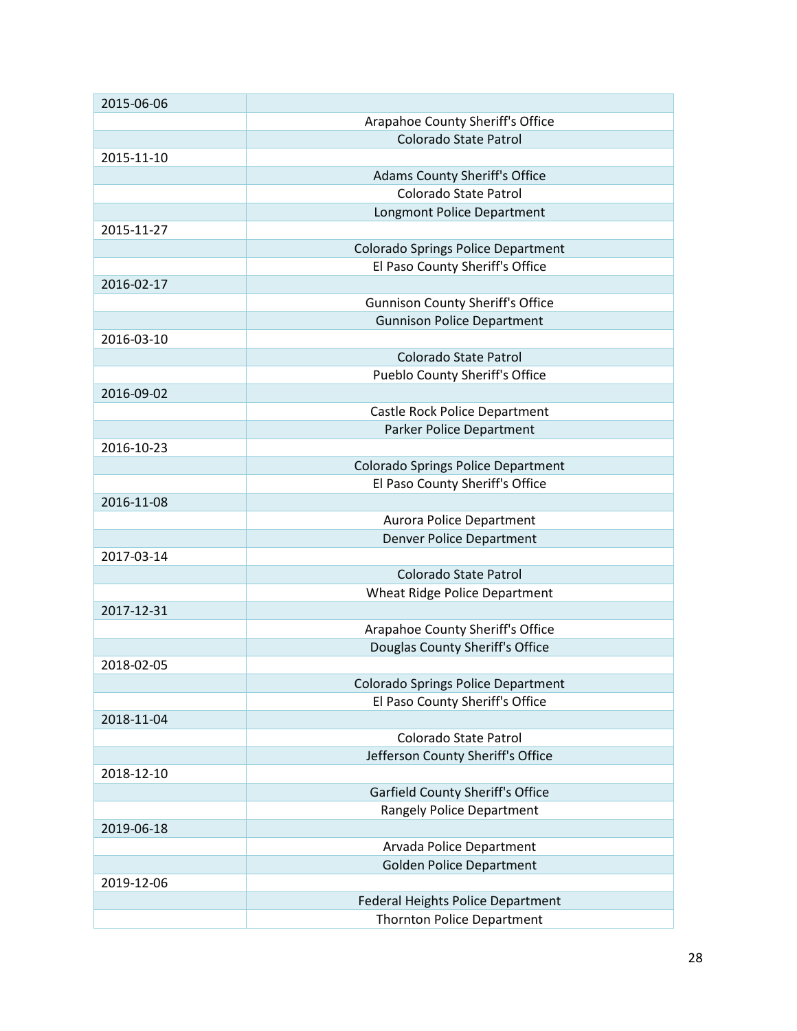| 2015-06-06 |                                           |
|------------|-------------------------------------------|
|            | Arapahoe County Sheriff's Office          |
|            | Colorado State Patrol                     |
| 2015-11-10 |                                           |
|            | <b>Adams County Sheriff's Office</b>      |
|            | Colorado State Patrol                     |
|            | Longmont Police Department                |
| 2015-11-27 |                                           |
|            | <b>Colorado Springs Police Department</b> |
|            | El Paso County Sheriff's Office           |
| 2016-02-17 |                                           |
|            | <b>Gunnison County Sheriff's Office</b>   |
|            | <b>Gunnison Police Department</b>         |
| 2016-03-10 |                                           |
|            | Colorado State Patrol                     |
|            | Pueblo County Sheriff's Office            |
| 2016-09-02 |                                           |
|            | Castle Rock Police Department             |
|            | Parker Police Department                  |
| 2016-10-23 |                                           |
|            | <b>Colorado Springs Police Department</b> |
|            | El Paso County Sheriff's Office           |
| 2016-11-08 |                                           |
|            | Aurora Police Department                  |
|            | <b>Denver Police Department</b>           |
| 2017-03-14 |                                           |
|            | Colorado State Patrol                     |
|            | Wheat Ridge Police Department             |
| 2017-12-31 |                                           |
|            | Arapahoe County Sheriff's Office          |
|            | Douglas County Sheriff's Office           |
| 2018-02-05 |                                           |
|            | <b>Colorado Springs Police Department</b> |
|            | El Paso County Sheriff's Office           |
| 2018-11-04 |                                           |
|            | Colorado State Patrol                     |
|            | Jefferson County Sheriff's Office         |
| 2018-12-10 |                                           |
|            | <b>Garfield County Sheriff's Office</b>   |
|            | <b>Rangely Police Department</b>          |
| 2019-06-18 |                                           |
|            | Arvada Police Department                  |
|            | <b>Golden Police Department</b>           |
| 2019-12-06 |                                           |
|            | Federal Heights Police Department         |
|            | <b>Thornton Police Department</b>         |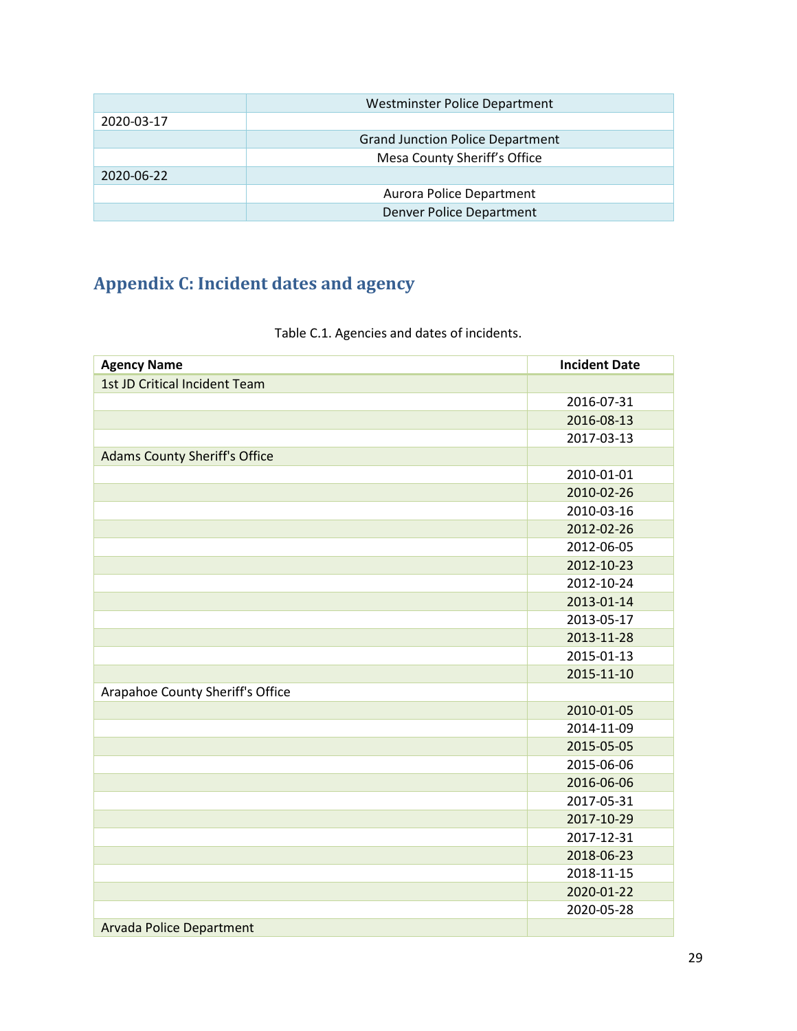|            | Westminster Police Department           |  |
|------------|-----------------------------------------|--|
| 2020-03-17 |                                         |  |
|            | <b>Grand Junction Police Department</b> |  |
|            | Mesa County Sheriff's Office            |  |
| 2020-06-22 |                                         |  |
|            | Aurora Police Department                |  |
|            | Denver Police Department                |  |

# <span id="page-28-0"></span>**Appendix C: Incident dates and agency**

| <b>Agency Name</b>                   | <b>Incident Date</b> |
|--------------------------------------|----------------------|
| 1st JD Critical Incident Team        |                      |
|                                      | 2016-07-31           |
|                                      | 2016-08-13           |
|                                      | 2017-03-13           |
| <b>Adams County Sheriff's Office</b> |                      |
|                                      | 2010-01-01           |
|                                      | 2010-02-26           |
|                                      | 2010-03-16           |
|                                      | 2012-02-26           |
|                                      | 2012-06-05           |
|                                      | 2012-10-23           |
|                                      | 2012-10-24           |
|                                      | 2013-01-14           |
|                                      | 2013-05-17           |
|                                      | 2013-11-28           |
|                                      | 2015-01-13           |
|                                      | 2015-11-10           |
| Arapahoe County Sheriff's Office     |                      |
|                                      | 2010-01-05           |
|                                      | 2014-11-09           |
|                                      | 2015-05-05           |
|                                      | 2015-06-06           |
|                                      | 2016-06-06           |
|                                      | 2017-05-31           |
|                                      | 2017-10-29           |
|                                      | 2017-12-31           |
|                                      | 2018-06-23           |
|                                      | 2018-11-15           |
|                                      | 2020-01-22           |
|                                      | 2020-05-28           |
| <b>Arvada Police Department</b>      |                      |

## Table C.1. Agencies and dates of incidents.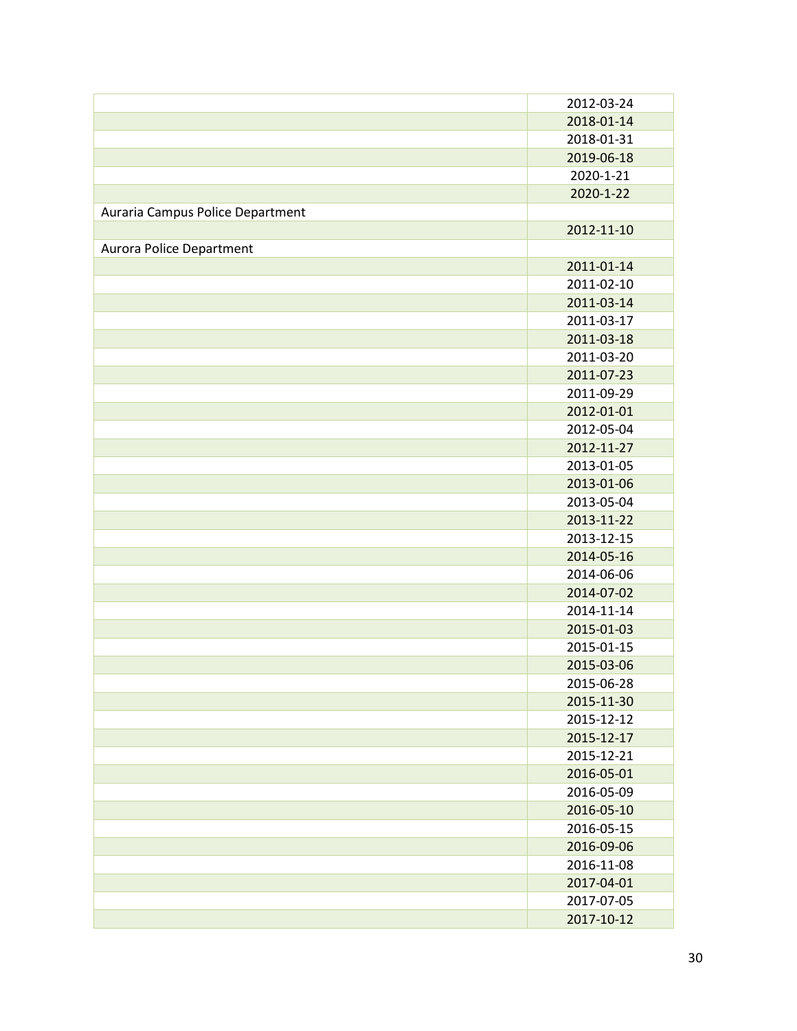|                                  | 2012-03-24 |
|----------------------------------|------------|
|                                  | 2018-01-14 |
|                                  | 2018-01-31 |
|                                  | 2019-06-18 |
|                                  | 2020-1-21  |
|                                  | 2020-1-22  |
| Auraria Campus Police Department |            |
|                                  | 2012-11-10 |
| Aurora Police Department         |            |
|                                  | 2011-01-14 |
|                                  | 2011-02-10 |
|                                  | 2011-03-14 |
|                                  | 2011-03-17 |
|                                  | 2011-03-18 |
|                                  | 2011-03-20 |
|                                  | 2011-07-23 |
|                                  | 2011-09-29 |
|                                  | 2012-01-01 |
|                                  | 2012-05-04 |
|                                  | 2012-11-27 |
|                                  | 2013-01-05 |
|                                  | 2013-01-06 |
|                                  | 2013-05-04 |
|                                  | 2013-11-22 |
|                                  | 2013-12-15 |
|                                  | 2014-05-16 |
|                                  | 2014-06-06 |
|                                  | 2014-07-02 |
|                                  | 2014-11-14 |
|                                  | 2015-01-03 |
|                                  | 2015-01-15 |
|                                  | 2015-03-06 |
|                                  | 2015-06-28 |
|                                  | 2015-11-30 |
|                                  | 2015-12-12 |
|                                  | 2015-12-17 |
|                                  | 2015-12-21 |
|                                  | 2016-05-01 |
|                                  | 2016-05-09 |
|                                  | 2016-05-10 |
|                                  | 2016-05-15 |
|                                  | 2016-09-06 |
|                                  | 2016-11-08 |
|                                  | 2017-04-01 |
|                                  | 2017-07-05 |
|                                  | 2017-10-12 |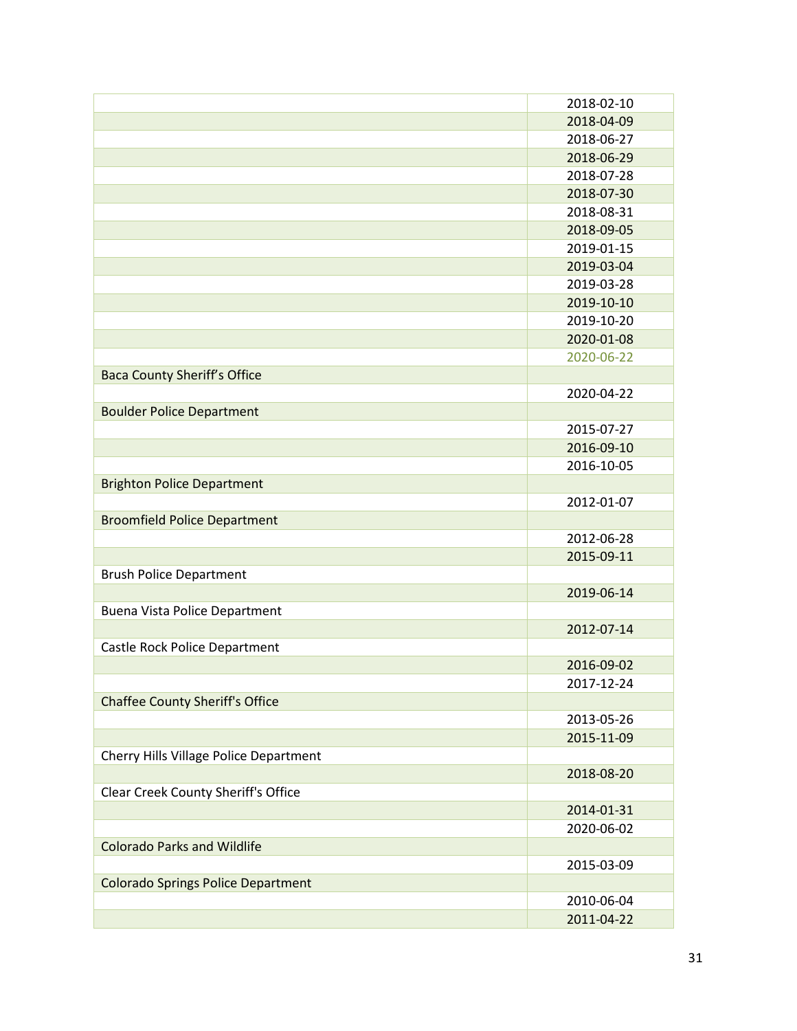|                                           | 2018-02-10 |
|-------------------------------------------|------------|
|                                           | 2018-04-09 |
|                                           | 2018-06-27 |
|                                           | 2018-06-29 |
|                                           | 2018-07-28 |
|                                           | 2018-07-30 |
|                                           | 2018-08-31 |
|                                           | 2018-09-05 |
|                                           | 2019-01-15 |
|                                           | 2019-03-04 |
|                                           | 2019-03-28 |
|                                           | 2019-10-10 |
|                                           | 2019-10-20 |
|                                           | 2020-01-08 |
|                                           | 2020-06-22 |
| <b>Baca County Sheriff's Office</b>       |            |
|                                           | 2020-04-22 |
| <b>Boulder Police Department</b>          |            |
|                                           | 2015-07-27 |
|                                           | 2016-09-10 |
|                                           | 2016-10-05 |
| <b>Brighton Police Department</b>         |            |
|                                           | 2012-01-07 |
| <b>Broomfield Police Department</b>       |            |
|                                           | 2012-06-28 |
|                                           | 2015-09-11 |
| <b>Brush Police Department</b>            |            |
|                                           | 2019-06-14 |
| Buena Vista Police Department             |            |
|                                           | 2012-07-14 |
| Castle Rock Police Department             |            |
|                                           | 2016-09-02 |
|                                           | 2017-12-24 |
| <b>Chaffee County Sheriff's Office</b>    |            |
|                                           | 2013-05-26 |
|                                           | 2015-11-09 |
| Cherry Hills Village Police Department    |            |
|                                           | 2018-08-20 |
| Clear Creek County Sheriff's Office       |            |
|                                           | 2014-01-31 |
|                                           | 2020-06-02 |
| <b>Colorado Parks and Wildlife</b>        |            |
|                                           | 2015-03-09 |
| <b>Colorado Springs Police Department</b> |            |
|                                           | 2010-06-04 |
|                                           | 2011-04-22 |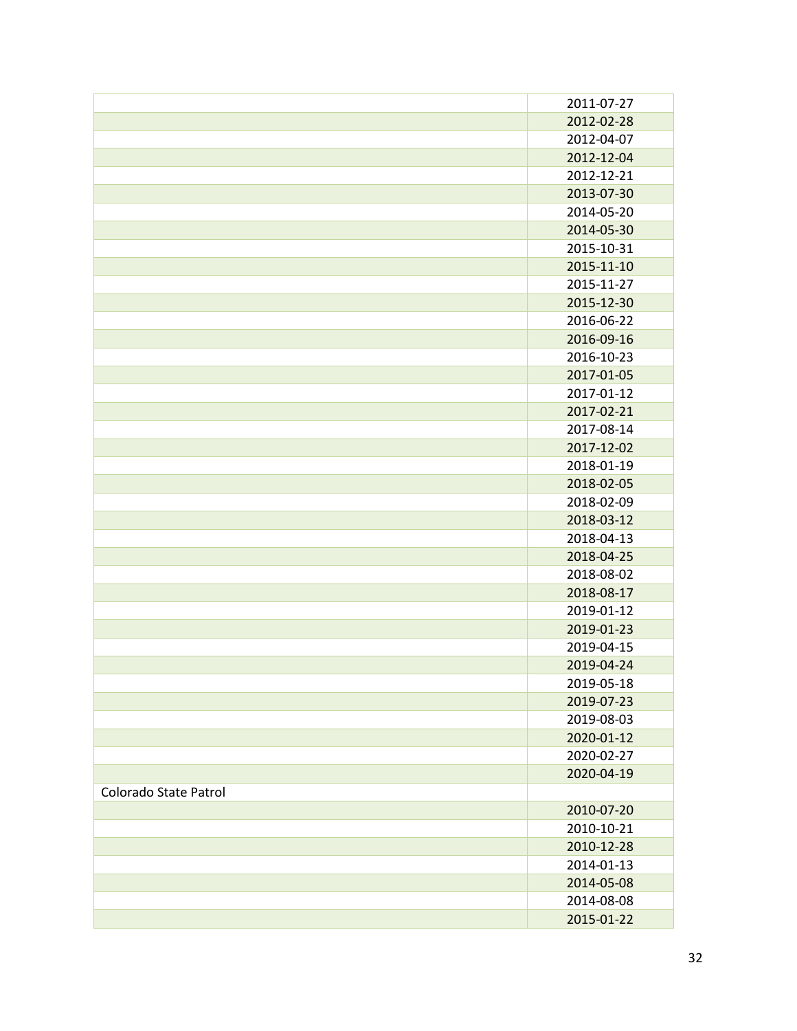|                       | 2011-07-27 |
|-----------------------|------------|
|                       | 2012-02-28 |
|                       | 2012-04-07 |
|                       |            |
|                       | 2012-12-04 |
|                       | 2012-12-21 |
|                       | 2013-07-30 |
|                       | 2014-05-20 |
|                       | 2014-05-30 |
|                       | 2015-10-31 |
|                       | 2015-11-10 |
|                       | 2015-11-27 |
|                       | 2015-12-30 |
|                       | 2016-06-22 |
|                       | 2016-09-16 |
|                       | 2016-10-23 |
|                       | 2017-01-05 |
|                       | 2017-01-12 |
|                       | 2017-02-21 |
|                       | 2017-08-14 |
|                       | 2017-12-02 |
|                       | 2018-01-19 |
|                       | 2018-02-05 |
|                       | 2018-02-09 |
|                       | 2018-03-12 |
|                       | 2018-04-13 |
|                       | 2018-04-25 |
|                       | 2018-08-02 |
|                       | 2018-08-17 |
|                       | 2019-01-12 |
|                       | 2019-01-23 |
|                       | 2019-04-15 |
|                       | 2019-04-24 |
|                       | 2019-05-18 |
|                       | 2019-07-23 |
|                       | 2019-08-03 |
|                       | 2020-01-12 |
|                       | 2020-02-27 |
|                       | 2020-04-19 |
| Colorado State Patrol |            |
|                       | 2010-07-20 |
|                       | 2010-10-21 |
|                       | 2010-12-28 |
|                       | 2014-01-13 |
|                       | 2014-05-08 |
|                       | 2014-08-08 |
|                       | 2015-01-22 |
|                       |            |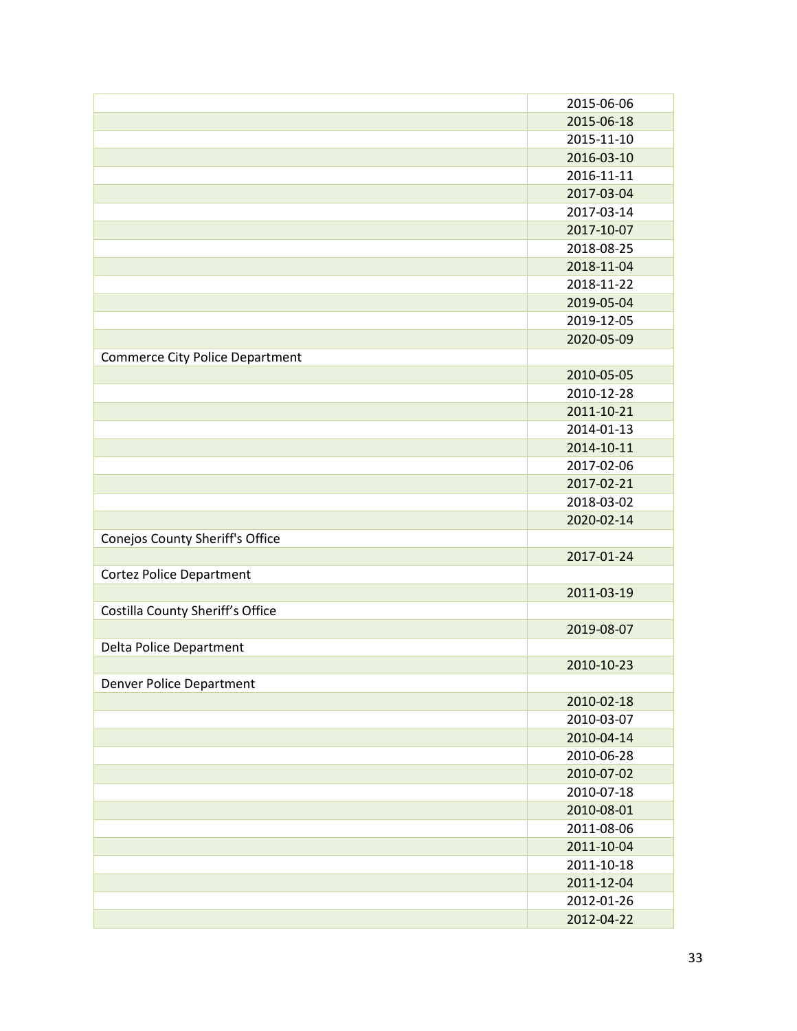|                                        | 2015-06-06 |
|----------------------------------------|------------|
|                                        | 2015-06-18 |
|                                        | 2015-11-10 |
|                                        | 2016-03-10 |
|                                        | 2016-11-11 |
|                                        | 2017-03-04 |
|                                        | 2017-03-14 |
|                                        | 2017-10-07 |
|                                        | 2018-08-25 |
|                                        | 2018-11-04 |
|                                        | 2018-11-22 |
|                                        | 2019-05-04 |
|                                        | 2019-12-05 |
|                                        | 2020-05-09 |
| <b>Commerce City Police Department</b> |            |
|                                        | 2010-05-05 |
|                                        | 2010-12-28 |
|                                        | 2011-10-21 |
|                                        | 2014-01-13 |
|                                        | 2014-10-11 |
|                                        | 2017-02-06 |
|                                        | 2017-02-21 |
|                                        | 2018-03-02 |
|                                        | 2020-02-14 |
| Conejos County Sheriff's Office        |            |
|                                        | 2017-01-24 |
| <b>Cortez Police Department</b>        |            |
|                                        | 2011-03-19 |
| Costilla County Sheriff's Office       |            |
|                                        | 2019-08-07 |
| Delta Police Department                |            |
|                                        | 2010-10-23 |
| <b>Denver Police Department</b>        |            |
|                                        | 2010-02-18 |
|                                        | 2010-03-07 |
|                                        | 2010-04-14 |
|                                        | 2010-06-28 |
|                                        | 2010-07-02 |
|                                        | 2010-07-18 |
|                                        | 2010-08-01 |
|                                        | 2011-08-06 |
|                                        | 2011-10-04 |
|                                        | 2011-10-18 |
|                                        | 2011-12-04 |
|                                        | 2012-01-26 |
|                                        | 2012-04-22 |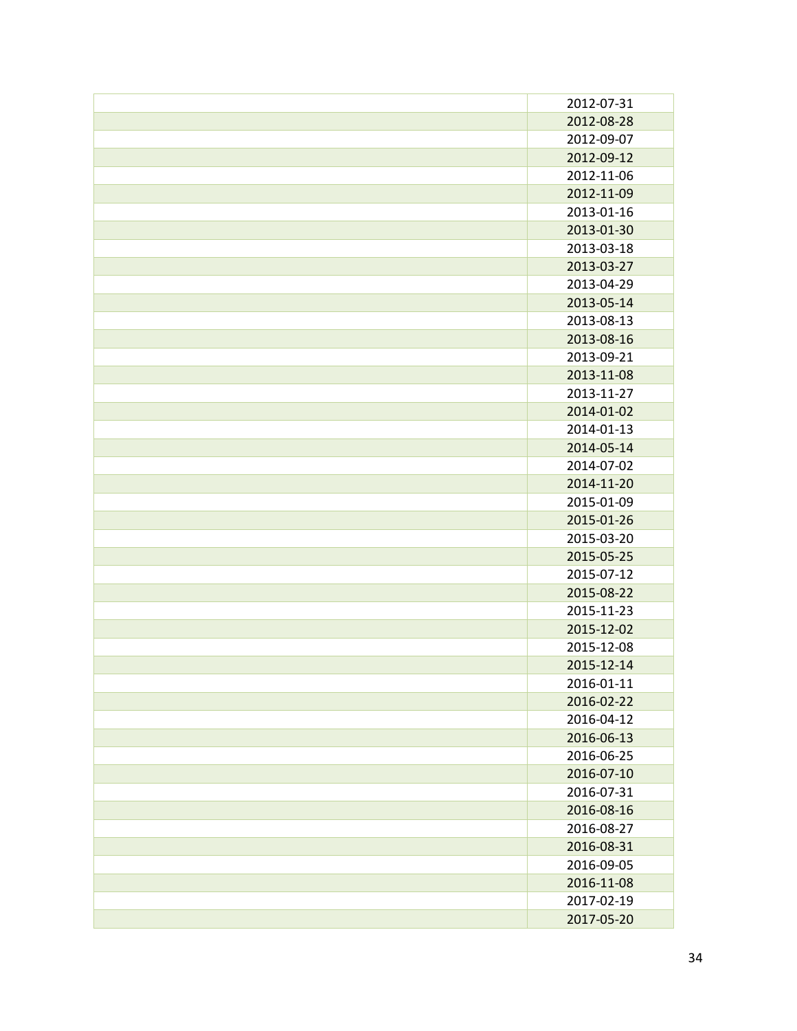| 2012-07-31 |
|------------|
| 2012-08-28 |
| 2012-09-07 |
| 2012-09-12 |
| 2012-11-06 |
| 2012-11-09 |
| 2013-01-16 |
| 2013-01-30 |
| 2013-03-18 |
| 2013-03-27 |
| 2013-04-29 |
| 2013-05-14 |
| 2013-08-13 |
| 2013-08-16 |
| 2013-09-21 |
| 2013-11-08 |
| 2013-11-27 |
| 2014-01-02 |
| 2014-01-13 |
| 2014-05-14 |
| 2014-07-02 |
| 2014-11-20 |
| 2015-01-09 |
| 2015-01-26 |
| 2015-03-20 |
| 2015-05-25 |
| 2015-07-12 |
| 2015-08-22 |
| 2015-11-23 |
| 2015-12-02 |
| 2015-12-08 |
| 2015-12-14 |
| 2016-01-11 |
| 2016-02-22 |
| 2016-04-12 |
| 2016-06-13 |
| 2016-06-25 |
| 2016-07-10 |
| 2016-07-31 |
| 2016-08-16 |
| 2016-08-27 |
| 2016-08-31 |
| 2016-09-05 |
| 2016-11-08 |
| 2017-02-19 |
| 2017-05-20 |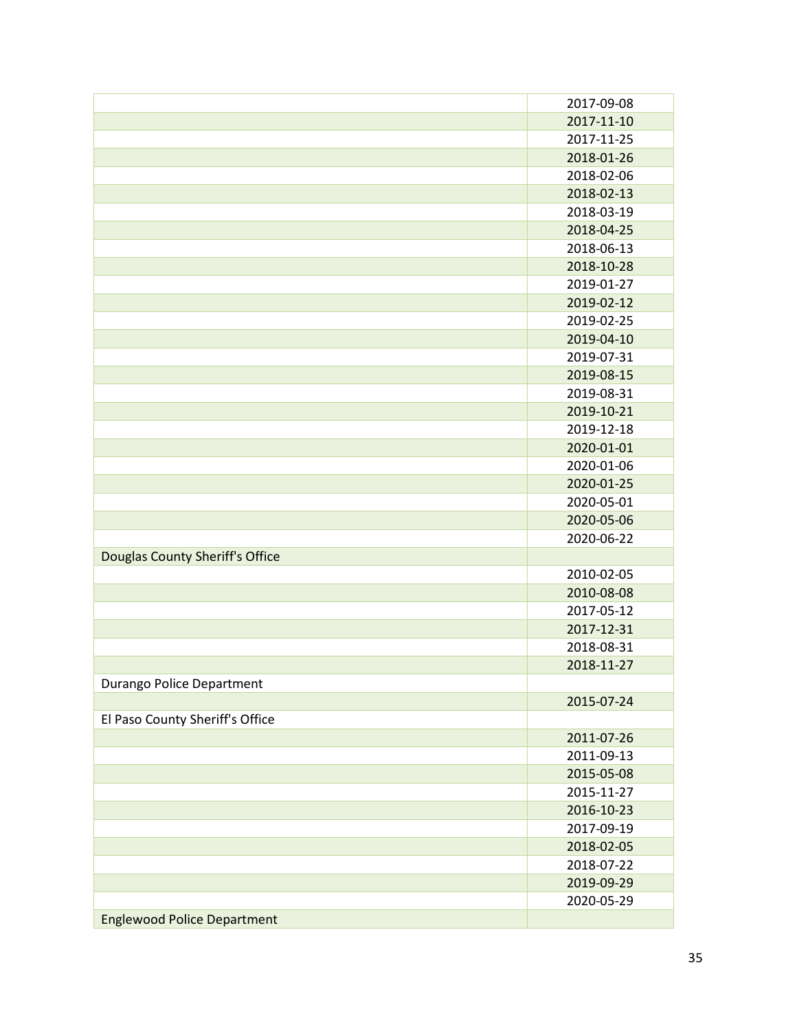|                                    | 2017-09-08 |
|------------------------------------|------------|
|                                    | 2017-11-10 |
|                                    | 2017-11-25 |
|                                    | 2018-01-26 |
|                                    | 2018-02-06 |
|                                    | 2018-02-13 |
|                                    | 2018-03-19 |
|                                    | 2018-04-25 |
|                                    | 2018-06-13 |
|                                    | 2018-10-28 |
|                                    | 2019-01-27 |
|                                    | 2019-02-12 |
|                                    | 2019-02-25 |
|                                    | 2019-04-10 |
|                                    | 2019-07-31 |
|                                    | 2019-08-15 |
|                                    | 2019-08-31 |
|                                    | 2019-10-21 |
|                                    | 2019-12-18 |
|                                    | 2020-01-01 |
|                                    | 2020-01-06 |
|                                    | 2020-01-25 |
|                                    | 2020-05-01 |
|                                    | 2020-05-06 |
|                                    | 2020-06-22 |
| Douglas County Sheriff's Office    |            |
|                                    | 2010-02-05 |
|                                    | 2010-08-08 |
|                                    | 2017-05-12 |
|                                    | 2017-12-31 |
|                                    | 2018-08-31 |
|                                    | 2018-11-27 |
| Durango Police Department          |            |
|                                    | 2015-07-24 |
| El Paso County Sheriff's Office    |            |
|                                    | 2011-07-26 |
|                                    | 2011-09-13 |
|                                    | 2015-05-08 |
|                                    | 2015-11-27 |
|                                    | 2016-10-23 |
|                                    | 2017-09-19 |
|                                    | 2018-02-05 |
|                                    | 2018-07-22 |
|                                    | 2019-09-29 |
|                                    | 2020-05-29 |
| <b>Englewood Police Department</b> |            |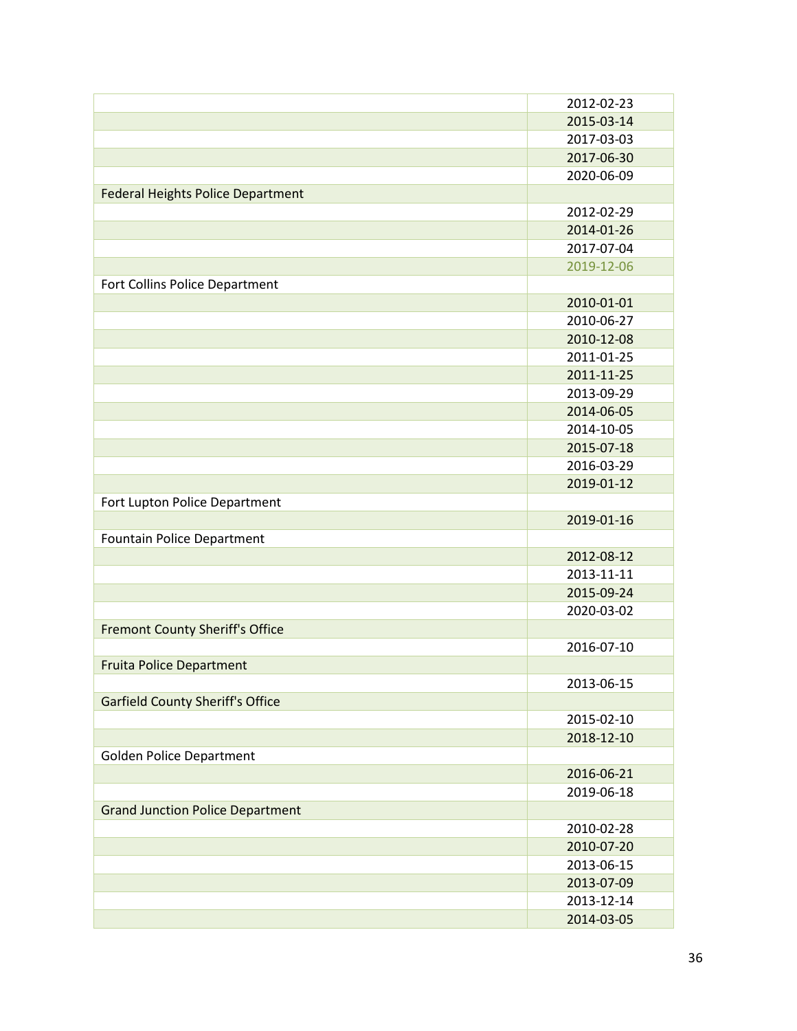|                                          | 2012-02-23 |
|------------------------------------------|------------|
|                                          | 2015-03-14 |
|                                          | 2017-03-03 |
|                                          | 2017-06-30 |
|                                          | 2020-06-09 |
| <b>Federal Heights Police Department</b> |            |
|                                          | 2012-02-29 |
|                                          | 2014-01-26 |
|                                          | 2017-07-04 |
|                                          | 2019-12-06 |
| Fort Collins Police Department           |            |
|                                          | 2010-01-01 |
|                                          | 2010-06-27 |
|                                          | 2010-12-08 |
|                                          | 2011-01-25 |
|                                          | 2011-11-25 |
|                                          | 2013-09-29 |
|                                          | 2014-06-05 |
|                                          | 2014-10-05 |
|                                          | 2015-07-18 |
|                                          | 2016-03-29 |
|                                          | 2019-01-12 |
| Fort Lupton Police Department            |            |
|                                          | 2019-01-16 |
| <b>Fountain Police Department</b>        |            |
|                                          | 2012-08-12 |
|                                          | 2013-11-11 |
|                                          | 2015-09-24 |
|                                          | 2020-03-02 |
| <b>Fremont County Sheriff's Office</b>   |            |
|                                          | 2016-07-10 |
| <b>Fruita Police Department</b>          |            |
|                                          | 2013-06-15 |
| <b>Garfield County Sheriff's Office</b>  |            |
|                                          | 2015-02-10 |
|                                          | 2018-12-10 |
| <b>Golden Police Department</b>          |            |
|                                          | 2016-06-21 |
|                                          | 2019-06-18 |
| <b>Grand Junction Police Department</b>  |            |
|                                          | 2010-02-28 |
|                                          | 2010-07-20 |
|                                          | 2013-06-15 |
|                                          | 2013-07-09 |
|                                          | 2013-12-14 |
|                                          | 2014-03-05 |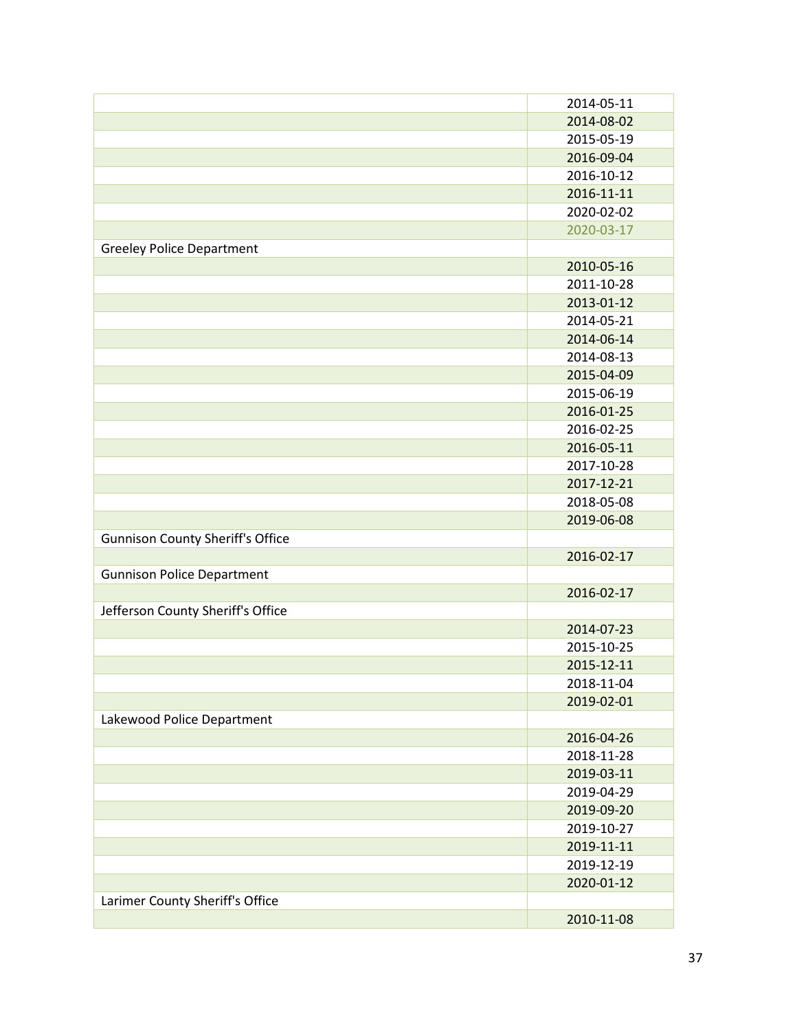|                                         | 2014-05-11 |
|-----------------------------------------|------------|
|                                         | 2014-08-02 |
|                                         | 2015-05-19 |
|                                         | 2016-09-04 |
|                                         | 2016-10-12 |
|                                         | 2016-11-11 |
|                                         | 2020-02-02 |
|                                         | 2020-03-17 |
| <b>Greeley Police Department</b>        |            |
|                                         | 2010-05-16 |
|                                         | 2011-10-28 |
|                                         |            |
|                                         | 2013-01-12 |
|                                         | 2014-05-21 |
|                                         | 2014-06-14 |
|                                         | 2014-08-13 |
|                                         | 2015-04-09 |
|                                         | 2015-06-19 |
|                                         | 2016-01-25 |
|                                         | 2016-02-25 |
|                                         | 2016-05-11 |
|                                         | 2017-10-28 |
|                                         | 2017-12-21 |
|                                         | 2018-05-08 |
|                                         | 2019-06-08 |
| <b>Gunnison County Sheriff's Office</b> |            |
|                                         | 2016-02-17 |
| <b>Gunnison Police Department</b>       |            |
|                                         | 2016-02-17 |
| Jefferson County Sheriff's Office       |            |
|                                         | 2014-07-23 |
|                                         | 2015-10-25 |
|                                         | 2015-12-11 |
|                                         | 2018-11-04 |
|                                         |            |
|                                         | 2019-02-01 |
| Lakewood Police Department              |            |
|                                         | 2016-04-26 |
|                                         | 2018-11-28 |
|                                         | 2019-03-11 |
|                                         | 2019-04-29 |
|                                         | 2019-09-20 |
|                                         | 2019-10-27 |
|                                         | 2019-11-11 |
|                                         | 2019-12-19 |
|                                         | 2020-01-12 |
| Larimer County Sheriff's Office         |            |
|                                         | 2010-11-08 |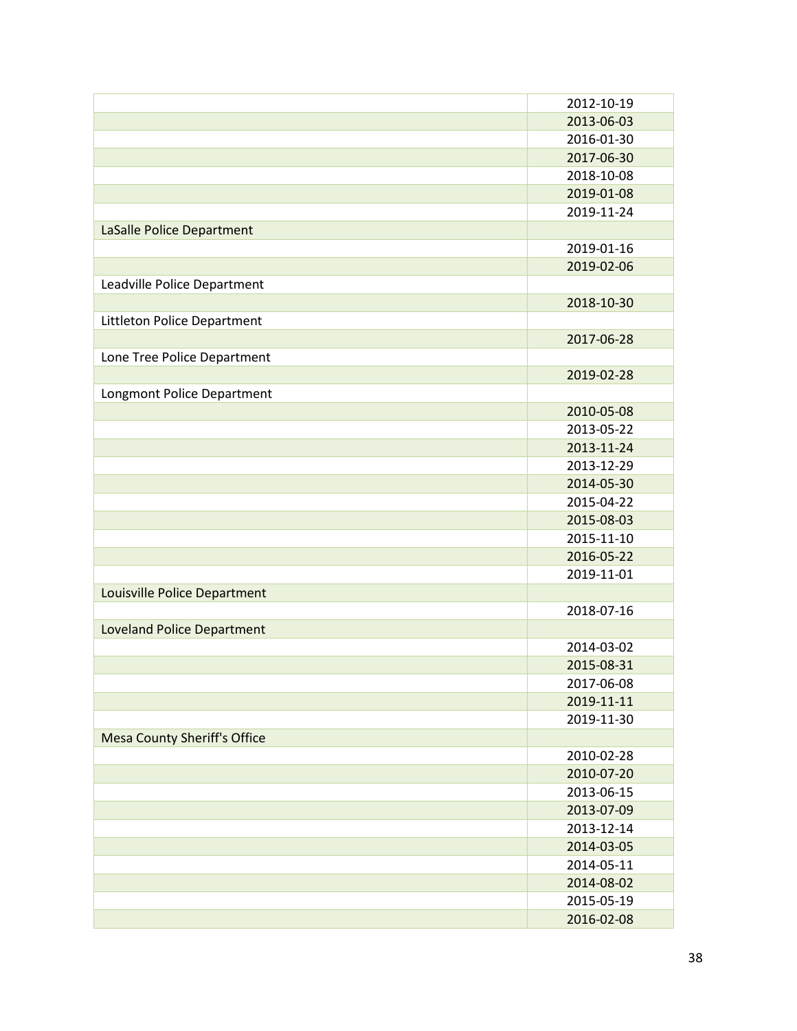|                                     | 2012-10-19 |
|-------------------------------------|------------|
|                                     | 2013-06-03 |
|                                     | 2016-01-30 |
|                                     | 2017-06-30 |
|                                     | 2018-10-08 |
|                                     | 2019-01-08 |
|                                     | 2019-11-24 |
| <b>LaSalle Police Department</b>    |            |
|                                     | 2019-01-16 |
|                                     | 2019-02-06 |
| Leadville Police Department         |            |
|                                     | 2018-10-30 |
| Littleton Police Department         |            |
|                                     | 2017-06-28 |
| Lone Tree Police Department         |            |
|                                     | 2019-02-28 |
| Longmont Police Department          |            |
|                                     | 2010-05-08 |
|                                     | 2013-05-22 |
|                                     | 2013-11-24 |
|                                     | 2013-12-29 |
|                                     | 2014-05-30 |
|                                     | 2015-04-22 |
|                                     | 2015-08-03 |
|                                     | 2015-11-10 |
|                                     | 2016-05-22 |
|                                     | 2019-11-01 |
| Louisville Police Department        |            |
|                                     | 2018-07-16 |
| <b>Loveland Police Department</b>   |            |
|                                     | 2014-03-02 |
|                                     | 2015-08-31 |
|                                     | 2017-06-08 |
|                                     | 2019-11-11 |
|                                     | 2019-11-30 |
| <b>Mesa County Sheriff's Office</b> |            |
|                                     | 2010-02-28 |
|                                     | 2010-07-20 |
|                                     | 2013-06-15 |
|                                     | 2013-07-09 |
|                                     | 2013-12-14 |
|                                     | 2014-03-05 |
|                                     | 2014-05-11 |
|                                     | 2014-08-02 |
|                                     | 2015-05-19 |
|                                     | 2016-02-08 |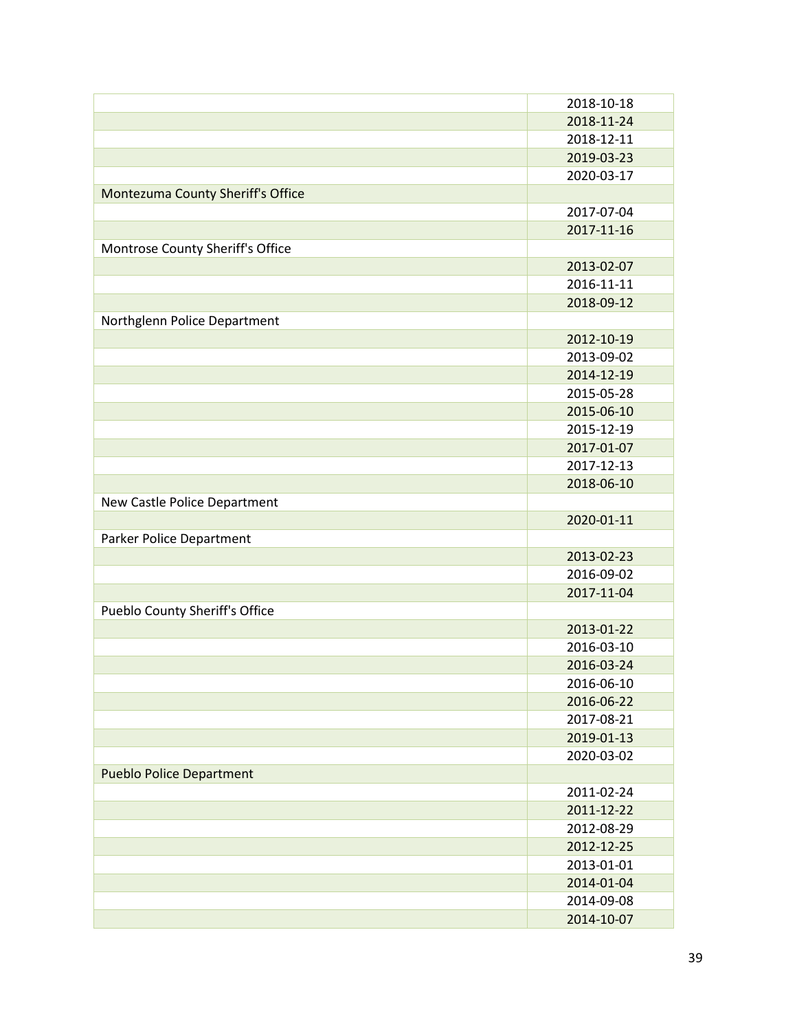|                                   | 2018-10-18 |
|-----------------------------------|------------|
|                                   | 2018-11-24 |
|                                   | 2018-12-11 |
|                                   | 2019-03-23 |
|                                   | 2020-03-17 |
| Montezuma County Sheriff's Office |            |
|                                   | 2017-07-04 |
|                                   | 2017-11-16 |
| Montrose County Sheriff's Office  |            |
|                                   | 2013-02-07 |
|                                   | 2016-11-11 |
|                                   | 2018-09-12 |
| Northglenn Police Department      |            |
|                                   | 2012-10-19 |
|                                   | 2013-09-02 |
|                                   | 2014-12-19 |
|                                   | 2015-05-28 |
|                                   | 2015-06-10 |
|                                   | 2015-12-19 |
|                                   | 2017-01-07 |
|                                   | 2017-12-13 |
|                                   | 2018-06-10 |
| New Castle Police Department      |            |
|                                   | 2020-01-11 |
| Parker Police Department          |            |
|                                   | 2013-02-23 |
|                                   | 2016-09-02 |
|                                   | 2017-11-04 |
| Pueblo County Sheriff's Office    |            |
|                                   | 2013-01-22 |
|                                   | 2016-03-10 |
|                                   | 2016-03-24 |
|                                   | 2016-06-10 |
|                                   | 2016-06-22 |
|                                   | 2017-08-21 |
|                                   | 2019-01-13 |
|                                   | 2020-03-02 |
| <b>Pueblo Police Department</b>   |            |
|                                   | 2011-02-24 |
|                                   | 2011-12-22 |
|                                   | 2012-08-29 |
|                                   | 2012-12-25 |
|                                   | 2013-01-01 |
|                                   | 2014-01-04 |
|                                   | 2014-09-08 |
|                                   | 2014-10-07 |
|                                   |            |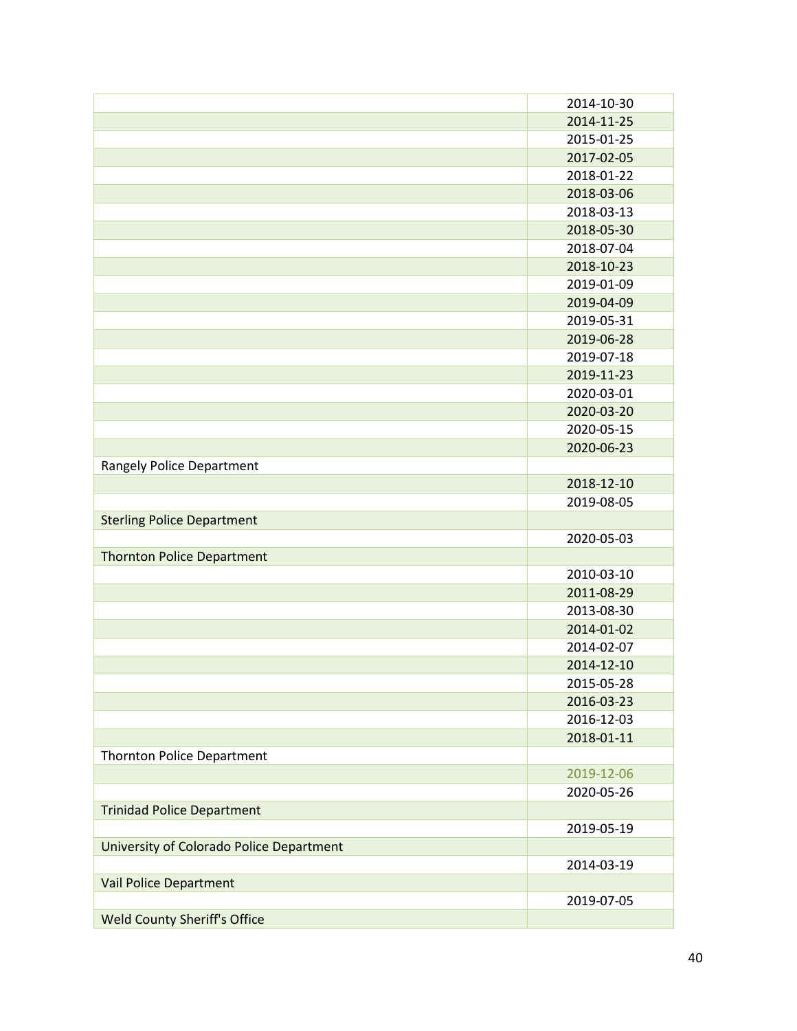|                                          | 2014-10-30 |
|------------------------------------------|------------|
|                                          | 2014-11-25 |
|                                          | 2015-01-25 |
|                                          | 2017-02-05 |
|                                          | 2018-01-22 |
|                                          | 2018-03-06 |
|                                          | 2018-03-13 |
|                                          | 2018-05-30 |
|                                          | 2018-07-04 |
|                                          | 2018-10-23 |
|                                          | 2019-01-09 |
|                                          | 2019-04-09 |
|                                          | 2019-05-31 |
|                                          | 2019-06-28 |
|                                          | 2019-07-18 |
|                                          | 2019-11-23 |
|                                          | 2020-03-01 |
|                                          | 2020-03-20 |
|                                          | 2020-05-15 |
|                                          | 2020-06-23 |
| <b>Rangely Police Department</b>         |            |
|                                          | 2018-12-10 |
|                                          | 2019-08-05 |
| <b>Sterling Police Department</b>        |            |
|                                          | 2020-05-03 |
| <b>Thornton Police Department</b>        |            |
|                                          | 2010-03-10 |
|                                          | 2011-08-29 |
|                                          | 2013-08-30 |
|                                          | 2014-01-02 |
|                                          | 2014-02-07 |
|                                          | 2014-12-10 |
|                                          | 2015-05-28 |
|                                          | 2016-03-23 |
|                                          | 2016-12-03 |
|                                          | 2018-01-11 |
| <b>Thornton Police Department</b>        |            |
|                                          | 2019-12-06 |
|                                          | 2020-05-26 |
| <b>Trinidad Police Department</b>        |            |
|                                          | 2019-05-19 |
| University of Colorado Police Department |            |
|                                          | 2014-03-19 |
| Vail Police Department                   |            |
|                                          | 2019-07-05 |
| <b>Weld County Sheriff's Office</b>      |            |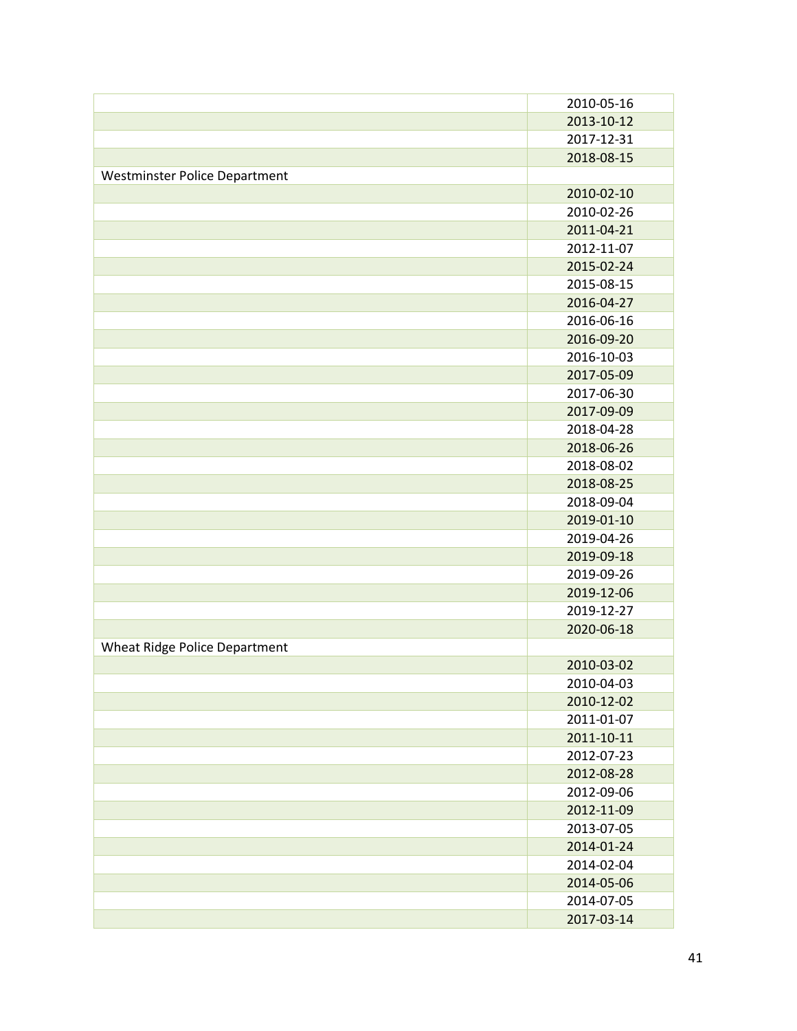|                               | 2010-05-16 |
|-------------------------------|------------|
|                               | 2013-10-12 |
|                               | 2017-12-31 |
|                               | 2018-08-15 |
| Westminster Police Department |            |
|                               | 2010-02-10 |
|                               | 2010-02-26 |
|                               | 2011-04-21 |
|                               | 2012-11-07 |
|                               | 2015-02-24 |
|                               | 2015-08-15 |
|                               | 2016-04-27 |
|                               | 2016-06-16 |
|                               | 2016-09-20 |
|                               | 2016-10-03 |
|                               | 2017-05-09 |
|                               | 2017-06-30 |
|                               | 2017-09-09 |
|                               | 2018-04-28 |
|                               | 2018-06-26 |
|                               | 2018-08-02 |
|                               | 2018-08-25 |
|                               | 2018-09-04 |
|                               | 2019-01-10 |
|                               | 2019-04-26 |
|                               | 2019-09-18 |
|                               | 2019-09-26 |
|                               | 2019-12-06 |
|                               | 2019-12-27 |
|                               | 2020-06-18 |
| Wheat Ridge Police Department |            |
|                               | 2010-03-02 |
|                               | 2010-04-03 |
|                               | 2010-12-02 |
|                               | 2011-01-07 |
|                               | 2011-10-11 |
|                               | 2012-07-23 |
|                               | 2012-08-28 |
|                               | 2012-09-06 |
|                               | 2012-11-09 |
|                               | 2013-07-05 |
|                               | 2014-01-24 |
|                               | 2014-02-04 |
|                               | 2014-05-06 |
|                               | 2014-07-05 |
|                               | 2017-03-14 |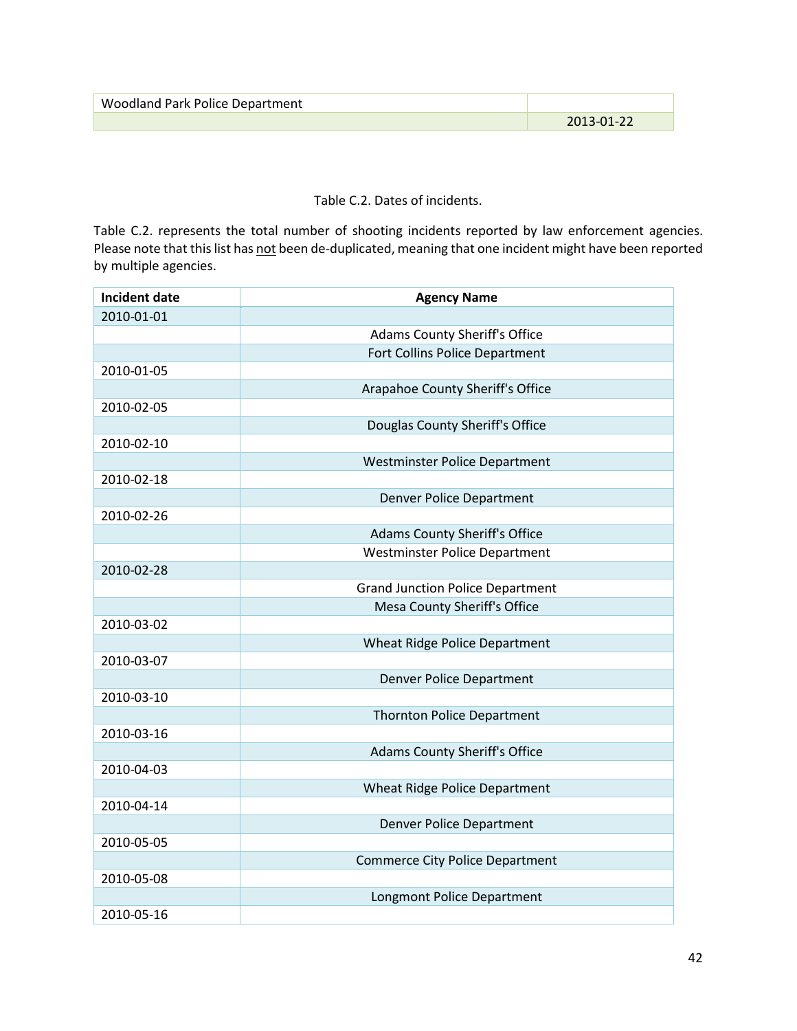| <b>Woodland Park Police Department</b> |            |
|----------------------------------------|------------|
|                                        | 2013-01-22 |

Table C.2. Dates of incidents.

Table C.2. represents the total number of shooting incidents reported by law enforcement agencies. Please note that this list has not been de-duplicated, meaning that one incident might have been reported by multiple agencies.

| <b>Incident date</b> | <b>Agency Name</b>                      |
|----------------------|-----------------------------------------|
| 2010-01-01           |                                         |
|                      | <b>Adams County Sheriff's Office</b>    |
|                      | Fort Collins Police Department          |
| 2010-01-05           |                                         |
|                      | Arapahoe County Sheriff's Office        |
| 2010-02-05           |                                         |
|                      | Douglas County Sheriff's Office         |
| 2010-02-10           |                                         |
|                      | <b>Westminster Police Department</b>    |
| 2010-02-18           |                                         |
|                      | <b>Denver Police Department</b>         |
| 2010-02-26           |                                         |
|                      | <b>Adams County Sheriff's Office</b>    |
|                      | <b>Westminster Police Department</b>    |
| 2010-02-28           |                                         |
|                      | <b>Grand Junction Police Department</b> |
|                      | Mesa County Sheriff's Office            |
| 2010-03-02           |                                         |
|                      | <b>Wheat Ridge Police Department</b>    |
| 2010-03-07           |                                         |
|                      | <b>Denver Police Department</b>         |
| 2010-03-10           |                                         |
|                      | <b>Thornton Police Department</b>       |
| 2010-03-16           |                                         |
|                      | <b>Adams County Sheriff's Office</b>    |
| 2010-04-03           |                                         |
|                      | <b>Wheat Ridge Police Department</b>    |
| 2010-04-14           |                                         |
|                      | <b>Denver Police Department</b>         |
| 2010-05-05           |                                         |
|                      | <b>Commerce City Police Department</b>  |
| 2010-05-08           |                                         |
|                      | Longmont Police Department              |
| 2010-05-16           |                                         |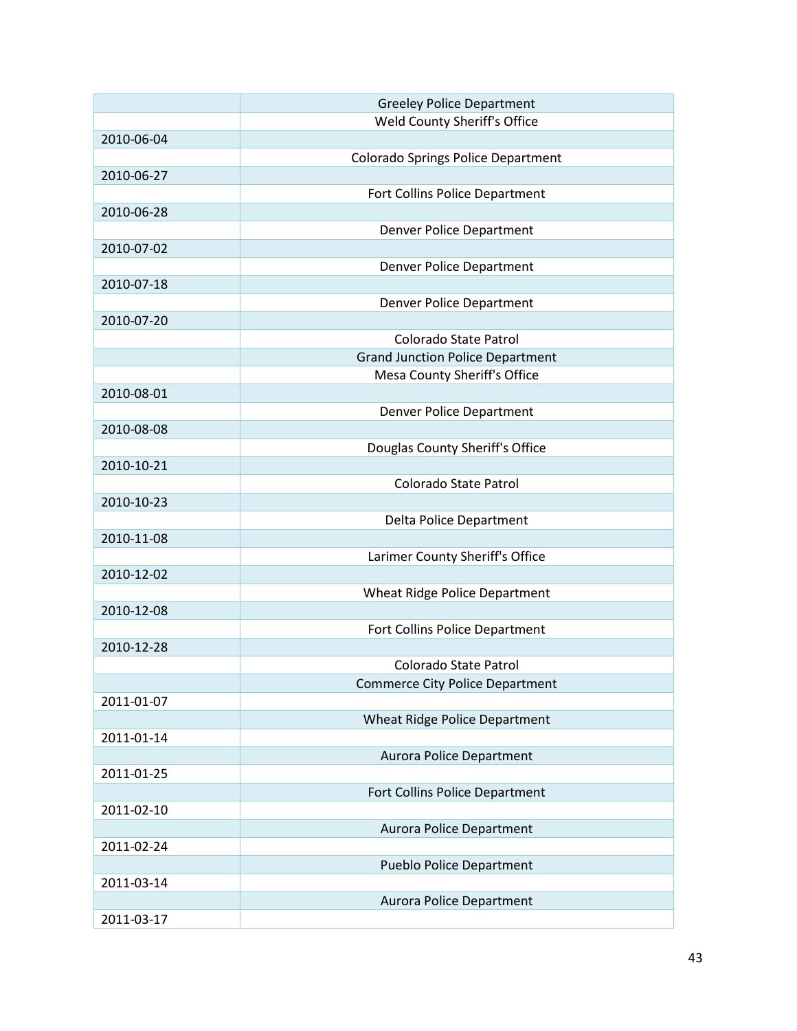|            | <b>Greeley Police Department</b>        |
|------------|-----------------------------------------|
|            | Weld County Sheriff's Office            |
| 2010-06-04 |                                         |
|            | Colorado Springs Police Department      |
| 2010-06-27 |                                         |
|            | Fort Collins Police Department          |
| 2010-06-28 |                                         |
|            | Denver Police Department                |
| 2010-07-02 |                                         |
|            | Denver Police Department                |
| 2010-07-18 |                                         |
|            | Denver Police Department                |
| 2010-07-20 |                                         |
|            | Colorado State Patrol                   |
|            | <b>Grand Junction Police Department</b> |
|            | Mesa County Sheriff's Office            |
| 2010-08-01 |                                         |
|            | Denver Police Department                |
| 2010-08-08 |                                         |
|            | Douglas County Sheriff's Office         |
| 2010-10-21 |                                         |
|            | Colorado State Patrol                   |
|            |                                         |
| 2010-10-23 |                                         |
|            | Delta Police Department                 |
| 2010-11-08 |                                         |
|            | Larimer County Sheriff's Office         |
| 2010-12-02 |                                         |
|            | Wheat Ridge Police Department           |
| 2010-12-08 |                                         |
|            | Fort Collins Police Department          |
| 2010-12-28 |                                         |
|            | Colorado State Patrol                   |
|            | <b>Commerce City Police Department</b>  |
| 2011-01-07 |                                         |
|            | <b>Wheat Ridge Police Department</b>    |
| 2011-01-14 |                                         |
|            | <b>Aurora Police Department</b>         |
| 2011-01-25 |                                         |
|            | Fort Collins Police Department          |
| 2011-02-10 |                                         |
|            | <b>Aurora Police Department</b>         |
| 2011-02-24 |                                         |
|            | <b>Pueblo Police Department</b>         |
| 2011-03-14 |                                         |
|            | <b>Aurora Police Department</b>         |
| 2011-03-17 |                                         |
|            |                                         |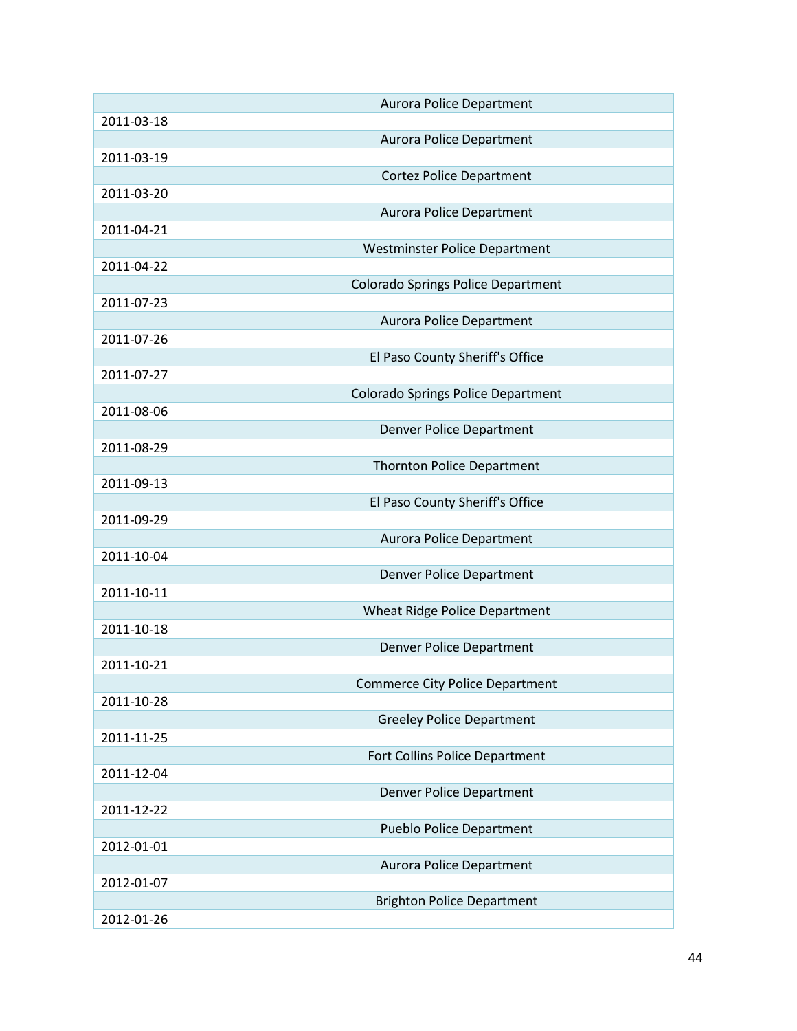|            | <b>Aurora Police Department</b>           |
|------------|-------------------------------------------|
| 2011-03-18 |                                           |
|            | <b>Aurora Police Department</b>           |
| 2011-03-19 |                                           |
|            | <b>Cortez Police Department</b>           |
| 2011-03-20 |                                           |
|            | <b>Aurora Police Department</b>           |
| 2011-04-21 |                                           |
|            | <b>Westminster Police Department</b>      |
| 2011-04-22 |                                           |
|            | <b>Colorado Springs Police Department</b> |
| 2011-07-23 |                                           |
|            | <b>Aurora Police Department</b>           |
| 2011-07-26 |                                           |
|            | El Paso County Sheriff's Office           |
| 2011-07-27 |                                           |
|            | <b>Colorado Springs Police Department</b> |
| 2011-08-06 |                                           |
|            | <b>Denver Police Department</b>           |
| 2011-08-29 |                                           |
|            | <b>Thornton Police Department</b>         |
| 2011-09-13 |                                           |
|            | El Paso County Sheriff's Office           |
| 2011-09-29 |                                           |
|            | <b>Aurora Police Department</b>           |
| 2011-10-04 |                                           |
|            | <b>Denver Police Department</b>           |
| 2011-10-11 |                                           |
|            | Wheat Ridge Police Department             |
| 2011-10-18 |                                           |
|            | <b>Denver Police Department</b>           |
| 2011-10-21 |                                           |
|            | <b>Commerce City Police Department</b>    |
| 2011-10-28 |                                           |
|            | <b>Greeley Police Department</b>          |
| 2011-11-25 |                                           |
|            | Fort Collins Police Department            |
| 2011-12-04 |                                           |
|            | <b>Denver Police Department</b>           |
| 2011-12-22 |                                           |
|            | <b>Pueblo Police Department</b>           |
| 2012-01-01 |                                           |
|            | Aurora Police Department                  |
| 2012-01-07 |                                           |
|            | <b>Brighton Police Department</b>         |
| 2012-01-26 |                                           |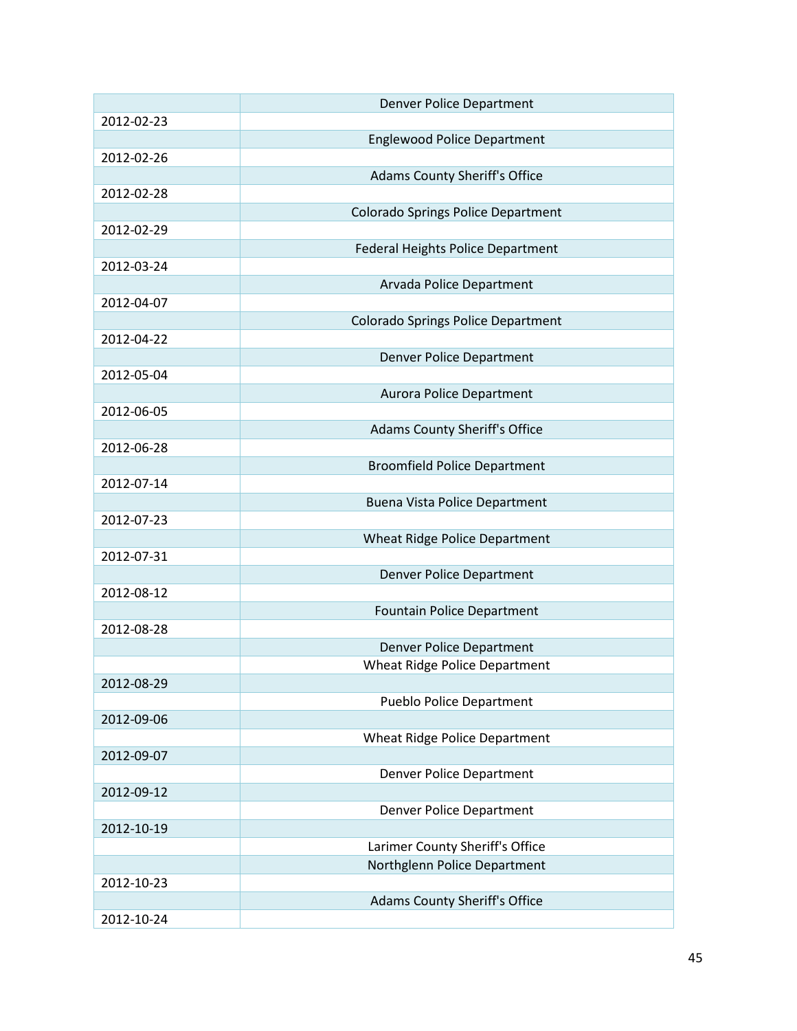|            | <b>Denver Police Department</b>           |
|------------|-------------------------------------------|
| 2012-02-23 |                                           |
|            | <b>Englewood Police Department</b>        |
| 2012-02-26 |                                           |
|            | <b>Adams County Sheriff's Office</b>      |
| 2012-02-28 |                                           |
|            | <b>Colorado Springs Police Department</b> |
| 2012-02-29 |                                           |
|            | <b>Federal Heights Police Department</b>  |
| 2012-03-24 |                                           |
|            | Arvada Police Department                  |
| 2012-04-07 |                                           |
|            | <b>Colorado Springs Police Department</b> |
| 2012-04-22 |                                           |
|            | <b>Denver Police Department</b>           |
| 2012-05-04 |                                           |
|            | <b>Aurora Police Department</b>           |
| 2012-06-05 |                                           |
|            | <b>Adams County Sheriff's Office</b>      |
| 2012-06-28 |                                           |
|            | <b>Broomfield Police Department</b>       |
| 2012-07-14 |                                           |
|            | Buena Vista Police Department             |
| 2012-07-23 |                                           |
|            | <b>Wheat Ridge Police Department</b>      |
| 2012-07-31 |                                           |
|            | <b>Denver Police Department</b>           |
| 2012-08-12 |                                           |
|            | Fountain Police Department                |
| 2012-08-28 |                                           |
|            | <b>Denver Police Department</b>           |
|            | <b>Wheat Ridge Police Department</b>      |
| 2012-08-29 |                                           |
|            | Pueblo Police Department                  |
| 2012-09-06 |                                           |
|            | Wheat Ridge Police Department             |
| 2012-09-07 |                                           |
|            | <b>Denver Police Department</b>           |
| 2012-09-12 |                                           |
|            | <b>Denver Police Department</b>           |
| 2012-10-19 |                                           |
|            | Larimer County Sheriff's Office           |
|            | Northglenn Police Department              |
| 2012-10-23 |                                           |
|            | <b>Adams County Sheriff's Office</b>      |
| 2012-10-24 |                                           |
|            |                                           |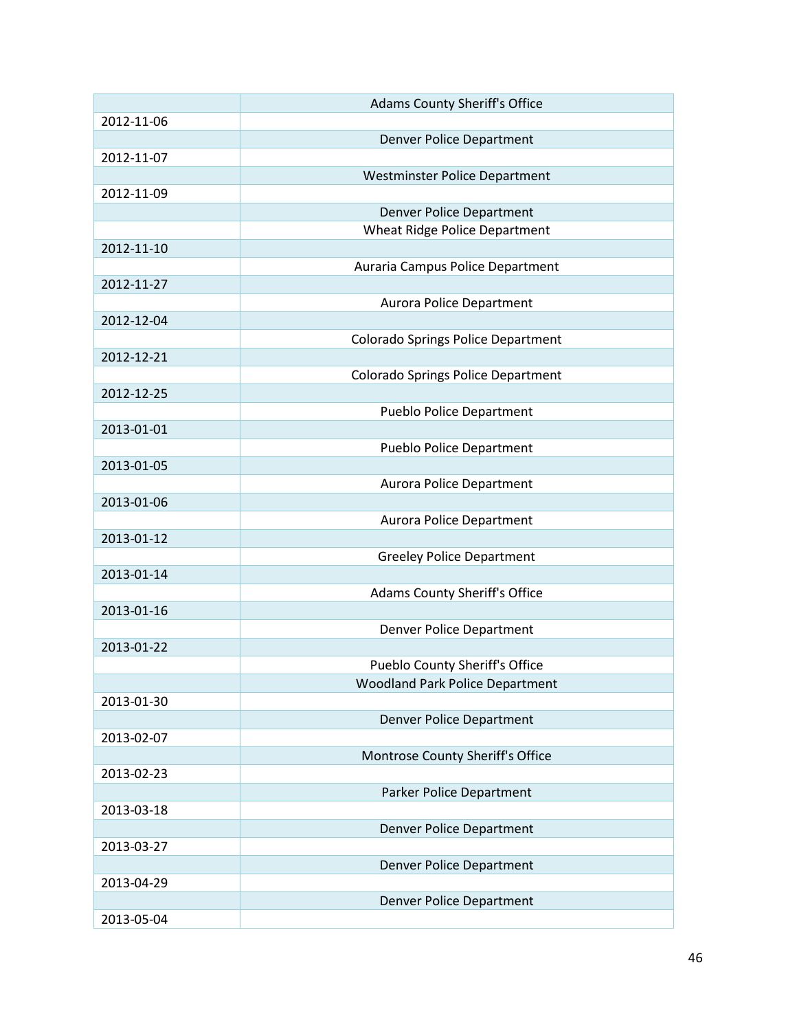|            | <b>Adams County Sheriff's Office</b>      |
|------------|-------------------------------------------|
| 2012-11-06 |                                           |
|            | <b>Denver Police Department</b>           |
| 2012-11-07 |                                           |
|            | Westminster Police Department             |
| 2012-11-09 |                                           |
|            | <b>Denver Police Department</b>           |
|            | Wheat Ridge Police Department             |
| 2012-11-10 |                                           |
|            | Auraria Campus Police Department          |
| 2012-11-27 |                                           |
|            | Aurora Police Department                  |
| 2012-12-04 |                                           |
|            | Colorado Springs Police Department        |
| 2012-12-21 |                                           |
|            | <b>Colorado Springs Police Department</b> |
| 2012-12-25 |                                           |
|            | <b>Pueblo Police Department</b>           |
| 2013-01-01 |                                           |
|            | <b>Pueblo Police Department</b>           |
| 2013-01-05 |                                           |
|            | Aurora Police Department                  |
| 2013-01-06 |                                           |
|            | Aurora Police Department                  |
| 2013-01-12 |                                           |
|            | <b>Greeley Police Department</b>          |
| 2013-01-14 |                                           |
|            | <b>Adams County Sheriff's Office</b>      |
| 2013-01-16 |                                           |
|            | <b>Denver Police Department</b>           |
| 2013-01-22 |                                           |
|            | Pueblo County Sheriff's Office            |
|            | <b>Woodland Park Police Department</b>    |
| 2013-01-30 |                                           |
|            | <b>Denver Police Department</b>           |
| 2013-02-07 |                                           |
|            | Montrose County Sheriff's Office          |
| 2013-02-23 |                                           |
|            | Parker Police Department                  |
| 2013-03-18 |                                           |
|            | <b>Denver Police Department</b>           |
| 2013-03-27 |                                           |
|            | <b>Denver Police Department</b>           |
| 2013-04-29 |                                           |
|            | Denver Police Department                  |
| 2013-05-04 |                                           |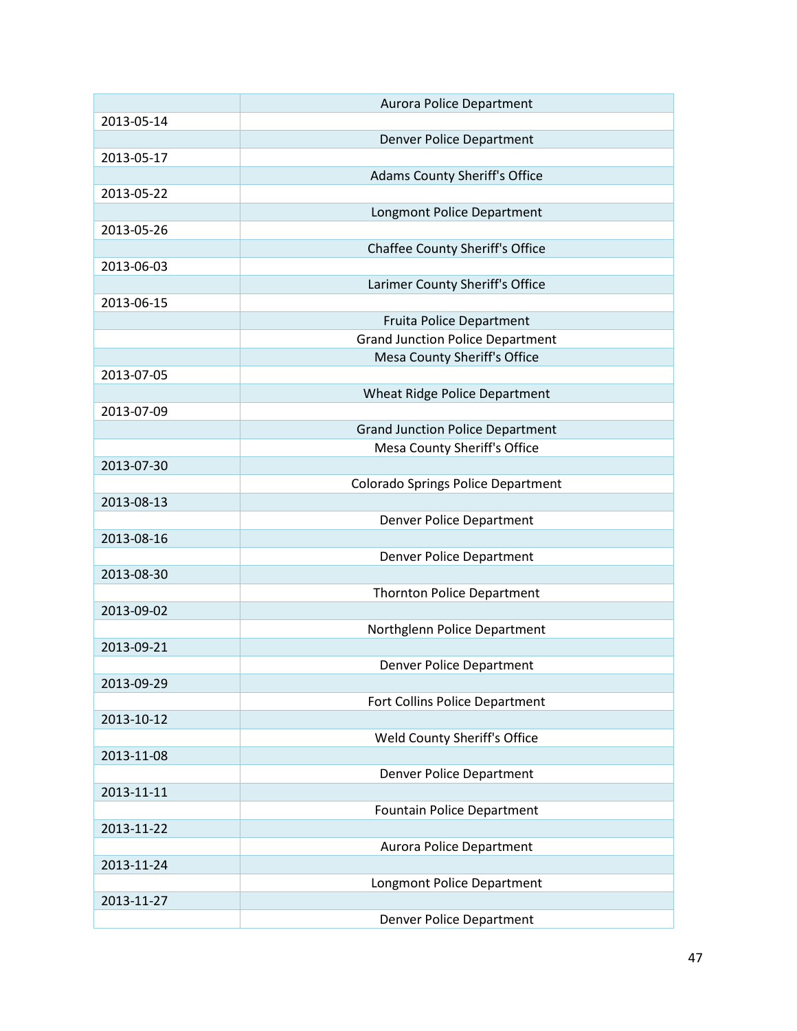|            | <b>Aurora Police Department</b>           |
|------------|-------------------------------------------|
| 2013-05-14 |                                           |
|            | <b>Denver Police Department</b>           |
| 2013-05-17 |                                           |
|            | Adams County Sheriff's Office             |
| 2013-05-22 |                                           |
|            | Longmont Police Department                |
| 2013-05-26 |                                           |
|            |                                           |
|            | <b>Chaffee County Sheriff's Office</b>    |
| 2013-06-03 |                                           |
|            | Larimer County Sheriff's Office           |
| 2013-06-15 |                                           |
|            | Fruita Police Department                  |
|            | <b>Grand Junction Police Department</b>   |
|            | Mesa County Sheriff's Office              |
| 2013-07-05 |                                           |
|            | Wheat Ridge Police Department             |
| 2013-07-09 |                                           |
|            | <b>Grand Junction Police Department</b>   |
|            | Mesa County Sheriff's Office              |
| 2013-07-30 |                                           |
|            |                                           |
|            | <b>Colorado Springs Police Department</b> |
| 2013-08-13 |                                           |
|            | Denver Police Department                  |
| 2013-08-16 |                                           |
|            | <b>Denver Police Department</b>           |
| 2013-08-30 |                                           |
|            | <b>Thornton Police Department</b>         |
| 2013-09-02 |                                           |
|            | Northglenn Police Department              |
| 2013-09-21 |                                           |
|            | <b>Denver Police Department</b>           |
| 2013-09-29 |                                           |
|            | Fort Collins Police Department            |
| 2013-10-12 |                                           |
|            | Weld County Sheriff's Office              |
| 2013-11-08 |                                           |
|            | <b>Denver Police Department</b>           |
| 2013-11-11 |                                           |
|            |                                           |
|            | Fountain Police Department                |
| 2013-11-22 |                                           |
|            | Aurora Police Department                  |
| 2013-11-24 |                                           |
|            | Longmont Police Department                |
| 2013-11-27 |                                           |
|            | Denver Police Department                  |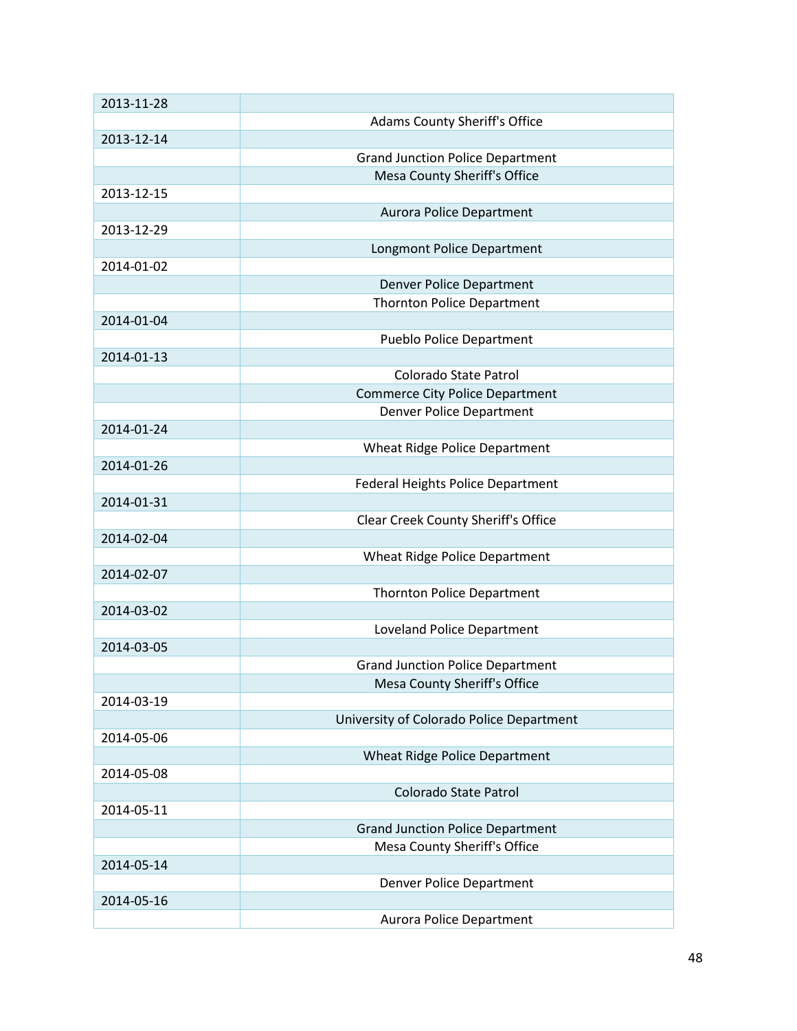| 2013-11-28 |                                          |
|------------|------------------------------------------|
|            | Adams County Sheriff's Office            |
| 2013-12-14 |                                          |
|            | <b>Grand Junction Police Department</b>  |
|            | Mesa County Sheriff's Office             |
| 2013-12-15 |                                          |
|            | <b>Aurora Police Department</b>          |
|            |                                          |
| 2013-12-29 |                                          |
|            | Longmont Police Department               |
| 2014-01-02 |                                          |
|            | <b>Denver Police Department</b>          |
|            | <b>Thornton Police Department</b>        |
| 2014-01-04 |                                          |
|            | Pueblo Police Department                 |
| 2014-01-13 |                                          |
|            | Colorado State Patrol                    |
|            | <b>Commerce City Police Department</b>   |
|            | <b>Denver Police Department</b>          |
| 2014-01-24 |                                          |
|            | <b>Wheat Ridge Police Department</b>     |
| 2014-01-26 |                                          |
|            | Federal Heights Police Department        |
| 2014-01-31 |                                          |
|            | Clear Creek County Sheriff's Office      |
| 2014-02-04 |                                          |
|            |                                          |
|            | Wheat Ridge Police Department            |
| 2014-02-07 |                                          |
|            | <b>Thornton Police Department</b>        |
| 2014-03-02 |                                          |
|            | Loveland Police Department               |
| 2014-03-05 |                                          |
|            | <b>Grand Junction Police Department</b>  |
|            | Mesa County Sheriff's Office             |
| 2014-03-19 |                                          |
|            | University of Colorado Police Department |
| 2014-05-06 |                                          |
|            | Wheat Ridge Police Department            |
| 2014-05-08 |                                          |
|            | <b>Colorado State Patrol</b>             |
| 2014-05-11 |                                          |
|            | <b>Grand Junction Police Department</b>  |
|            | Mesa County Sheriff's Office             |
| 2014-05-14 |                                          |
|            |                                          |
|            | Denver Police Department                 |
| 2014-05-16 |                                          |
|            | Aurora Police Department                 |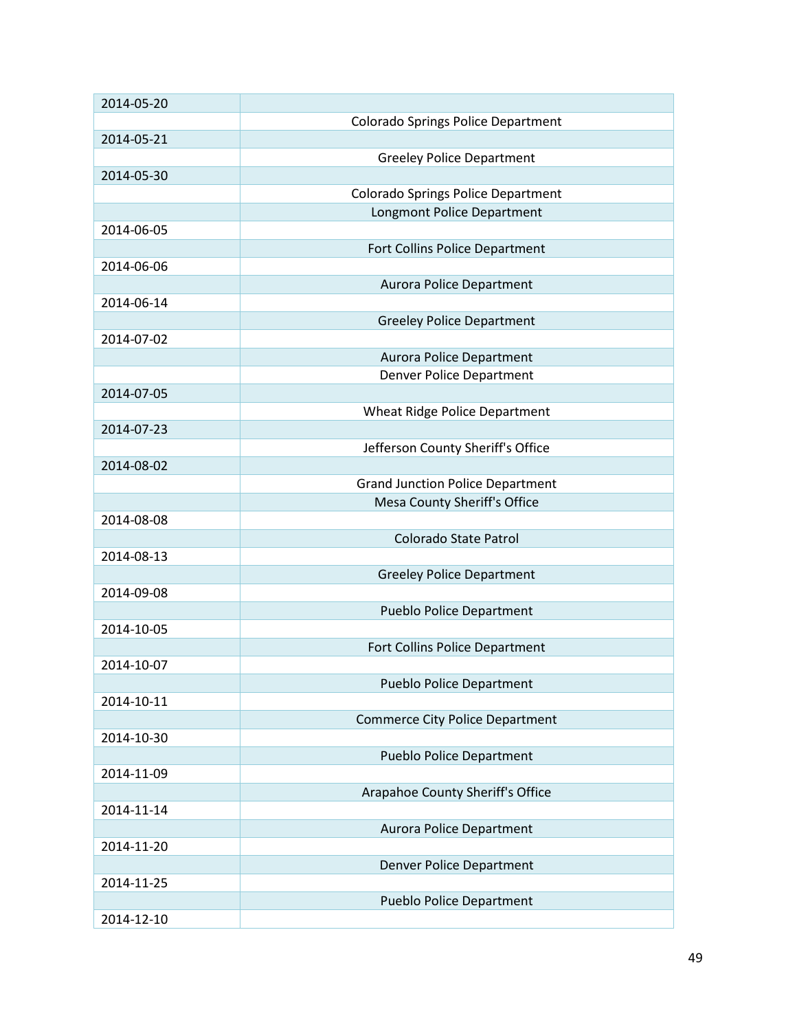| 2014-05-20 |                                           |
|------------|-------------------------------------------|
|            | Colorado Springs Police Department        |
| 2014-05-21 |                                           |
|            | <b>Greeley Police Department</b>          |
| 2014-05-30 |                                           |
|            | <b>Colorado Springs Police Department</b> |
|            | Longmont Police Department                |
| 2014-06-05 |                                           |
|            | Fort Collins Police Department            |
| 2014-06-06 |                                           |
|            |                                           |
|            | <b>Aurora Police Department</b>           |
| 2014-06-14 |                                           |
|            | <b>Greeley Police Department</b>          |
| 2014-07-02 |                                           |
|            | <b>Aurora Police Department</b>           |
|            | Denver Police Department                  |
| 2014-07-05 |                                           |
|            | Wheat Ridge Police Department             |
| 2014-07-23 |                                           |
|            | Jefferson County Sheriff's Office         |
| 2014-08-02 |                                           |
|            | <b>Grand Junction Police Department</b>   |
|            | Mesa County Sheriff's Office              |
| 2014-08-08 |                                           |
|            | Colorado State Patrol                     |
| 2014-08-13 |                                           |
|            | <b>Greeley Police Department</b>          |
| 2014-09-08 |                                           |
|            | <b>Pueblo Police Department</b>           |
| 2014-10-05 |                                           |
|            | Fort Collins Police Department            |
| 2014-10-07 |                                           |
|            |                                           |
|            | <b>Pueblo Police Department</b>           |
| 2014-10-11 |                                           |
|            | <b>Commerce City Police Department</b>    |
| 2014-10-30 |                                           |
|            | <b>Pueblo Police Department</b>           |
| 2014-11-09 |                                           |
|            | Arapahoe County Sheriff's Office          |
| 2014-11-14 |                                           |
|            | <b>Aurora Police Department</b>           |
| 2014-11-20 |                                           |
|            | <b>Denver Police Department</b>           |
| 2014-11-25 |                                           |
|            | <b>Pueblo Police Department</b>           |
| 2014-12-10 |                                           |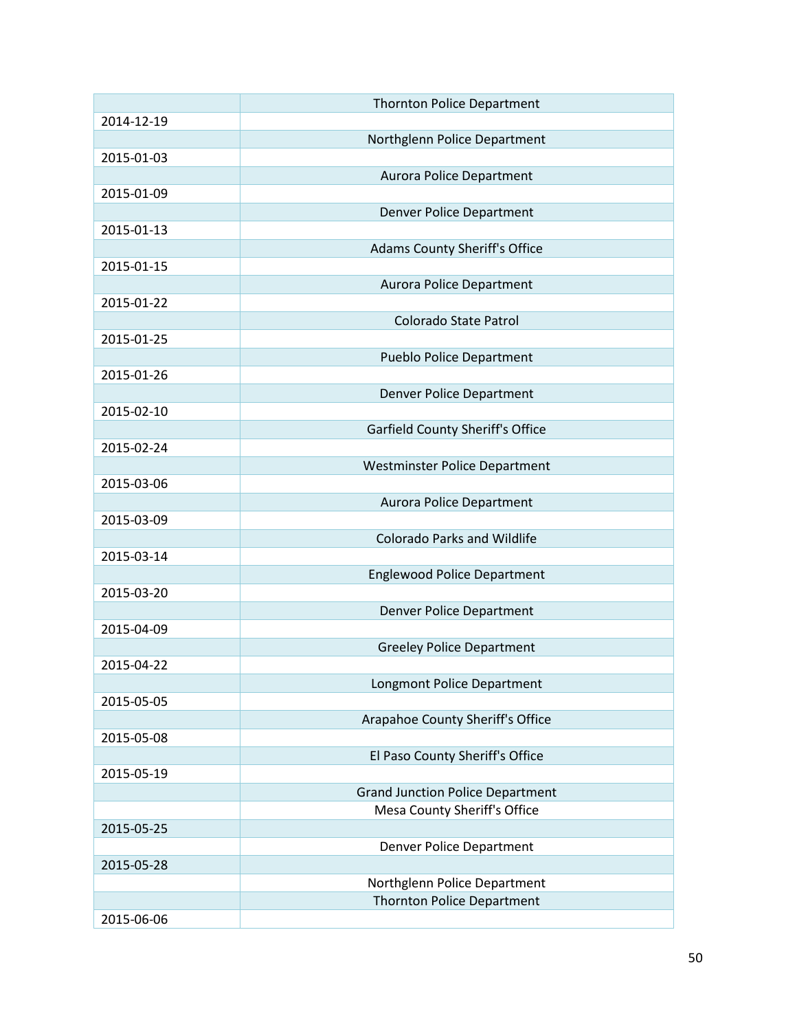|            | <b>Thornton Police Department</b>       |
|------------|-----------------------------------------|
| 2014-12-19 |                                         |
|            | Northglenn Police Department            |
| 2015-01-03 |                                         |
|            | <b>Aurora Police Department</b>         |
| 2015-01-09 |                                         |
|            |                                         |
| 2015-01-13 | <b>Denver Police Department</b>         |
|            |                                         |
|            | <b>Adams County Sheriff's Office</b>    |
| 2015-01-15 |                                         |
|            | <b>Aurora Police Department</b>         |
| 2015-01-22 |                                         |
|            | Colorado State Patrol                   |
| 2015-01-25 |                                         |
|            | <b>Pueblo Police Department</b>         |
| 2015-01-26 |                                         |
|            | <b>Denver Police Department</b>         |
| 2015-02-10 |                                         |
|            | <b>Garfield County Sheriff's Office</b> |
| 2015-02-24 |                                         |
|            | Westminster Police Department           |
| 2015-03-06 |                                         |
|            | <b>Aurora Police Department</b>         |
| 2015-03-09 |                                         |
|            | <b>Colorado Parks and Wildlife</b>      |
|            |                                         |
| 2015-03-14 |                                         |
|            | <b>Englewood Police Department</b>      |
| 2015-03-20 |                                         |
|            | Denver Police Department                |
| 2015-04-09 |                                         |
|            | <b>Greeley Police Department</b>        |
| 2015-04-22 |                                         |
|            | Longmont Police Department              |
| 2015-05-05 |                                         |
|            | Arapahoe County Sheriff's Office        |
| 2015-05-08 |                                         |
|            | El Paso County Sheriff's Office         |
| 2015-05-19 |                                         |
|            | <b>Grand Junction Police Department</b> |
|            | Mesa County Sheriff's Office            |
| 2015-05-25 |                                         |
|            | <b>Denver Police Department</b>         |
|            |                                         |
| 2015-05-28 |                                         |
|            | Northglenn Police Department            |
|            | <b>Thornton Police Department</b>       |
| 2015-06-06 |                                         |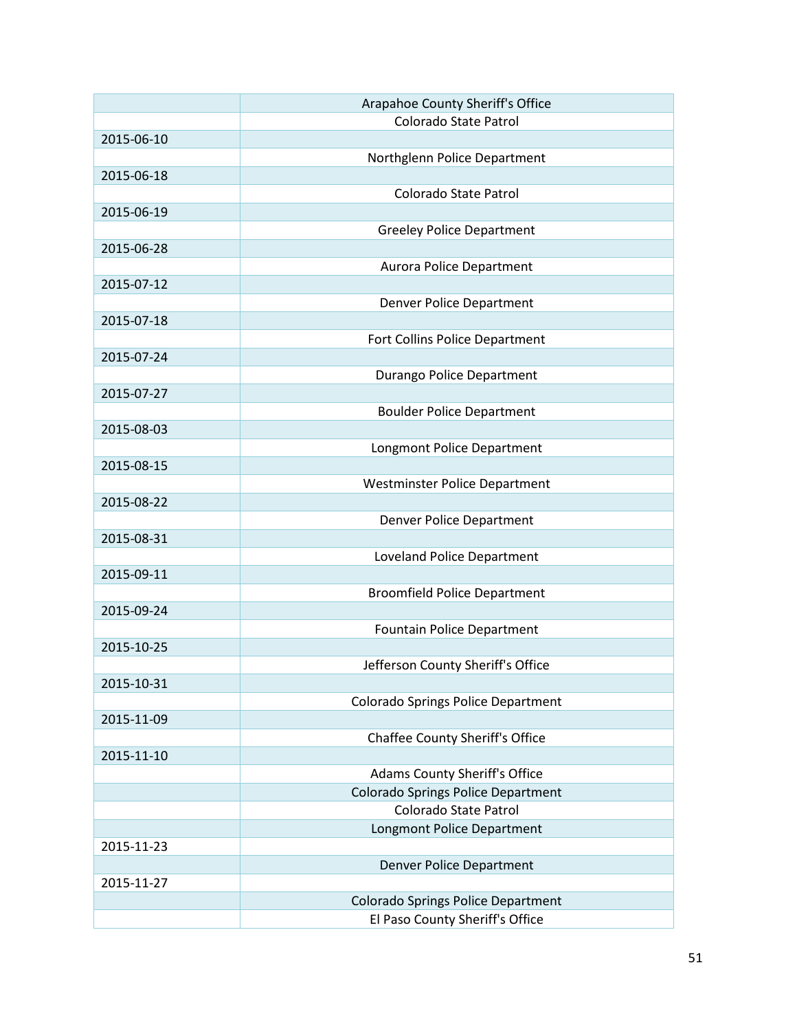|            | Arapahoe County Sheriff's Office          |
|------------|-------------------------------------------|
|            | Colorado State Patrol                     |
| 2015-06-10 |                                           |
|            | Northglenn Police Department              |
| 2015-06-18 |                                           |
|            | Colorado State Patrol                     |
| 2015-06-19 |                                           |
|            | <b>Greeley Police Department</b>          |
| 2015-06-28 |                                           |
|            | Aurora Police Department                  |
| 2015-07-12 |                                           |
|            | Denver Police Department                  |
| 2015-07-18 |                                           |
| 2015-07-24 | Fort Collins Police Department            |
|            | Durango Police Department                 |
| 2015-07-27 |                                           |
|            | <b>Boulder Police Department</b>          |
| 2015-08-03 |                                           |
|            | Longmont Police Department                |
| 2015-08-15 |                                           |
|            | Westminster Police Department             |
| 2015-08-22 |                                           |
|            | Denver Police Department                  |
| 2015-08-31 |                                           |
|            | Loveland Police Department                |
| 2015-09-11 |                                           |
|            | <b>Broomfield Police Department</b>       |
| 2015-09-24 |                                           |
|            | <b>Fountain Police Department</b>         |
| 2015-10-25 |                                           |
|            | Jefferson County Sheriff's Office         |
| 2015-10-31 |                                           |
|            | <b>Colorado Springs Police Department</b> |
| 2015-11-09 |                                           |
|            | Chaffee County Sheriff's Office           |
| 2015-11-10 |                                           |
|            | <b>Adams County Sheriff's Office</b>      |
|            | <b>Colorado Springs Police Department</b> |
|            | Colorado State Patrol                     |
|            | Longmont Police Department                |
| 2015-11-23 |                                           |
|            | <b>Denver Police Department</b>           |
| 2015-11-27 |                                           |
|            | Colorado Springs Police Department        |
|            | El Paso County Sheriff's Office           |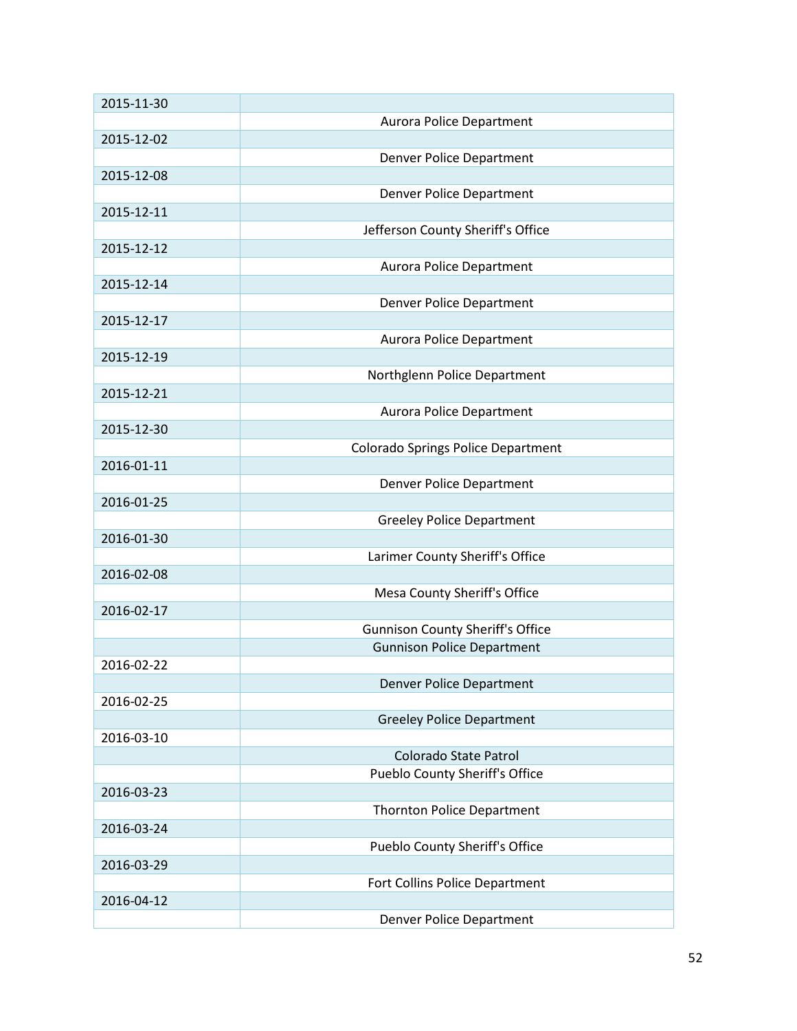| 2015-11-30 |                                                                              |
|------------|------------------------------------------------------------------------------|
|            | Aurora Police Department                                                     |
| 2015-12-02 |                                                                              |
|            | Denver Police Department                                                     |
| 2015-12-08 |                                                                              |
|            | Denver Police Department                                                     |
| 2015-12-11 |                                                                              |
|            | Jefferson County Sheriff's Office                                            |
| 2015-12-12 |                                                                              |
|            | <b>Aurora Police Department</b>                                              |
| 2015-12-14 |                                                                              |
|            | Denver Police Department                                                     |
| 2015-12-17 |                                                                              |
|            | <b>Aurora Police Department</b>                                              |
| 2015-12-19 |                                                                              |
|            | Northglenn Police Department                                                 |
| 2015-12-21 |                                                                              |
|            | <b>Aurora Police Department</b>                                              |
| 2015-12-30 |                                                                              |
|            | Colorado Springs Police Department                                           |
| 2016-01-11 |                                                                              |
|            | Denver Police Department                                                     |
| 2016-01-25 |                                                                              |
|            | <b>Greeley Police Department</b>                                             |
| 2016-01-30 |                                                                              |
|            | Larimer County Sheriff's Office                                              |
| 2016-02-08 |                                                                              |
| 2016-02-17 | Mesa County Sheriff's Office                                                 |
|            |                                                                              |
|            | <b>Gunnison County Sheriff's Office</b><br><b>Gunnison Police Department</b> |
| 2016-02-22 |                                                                              |
|            | <b>Denver Police Department</b>                                              |
| 2016-02-25 |                                                                              |
|            | <b>Greeley Police Department</b>                                             |
| 2016-03-10 |                                                                              |
|            | Colorado State Patrol                                                        |
|            | Pueblo County Sheriff's Office                                               |
| 2016-03-23 |                                                                              |
|            | <b>Thornton Police Department</b>                                            |
| 2016-03-24 |                                                                              |
|            | Pueblo County Sheriff's Office                                               |
| 2016-03-29 |                                                                              |
|            | Fort Collins Police Department                                               |
| 2016-04-12 |                                                                              |
|            | <b>Denver Police Department</b>                                              |
|            |                                                                              |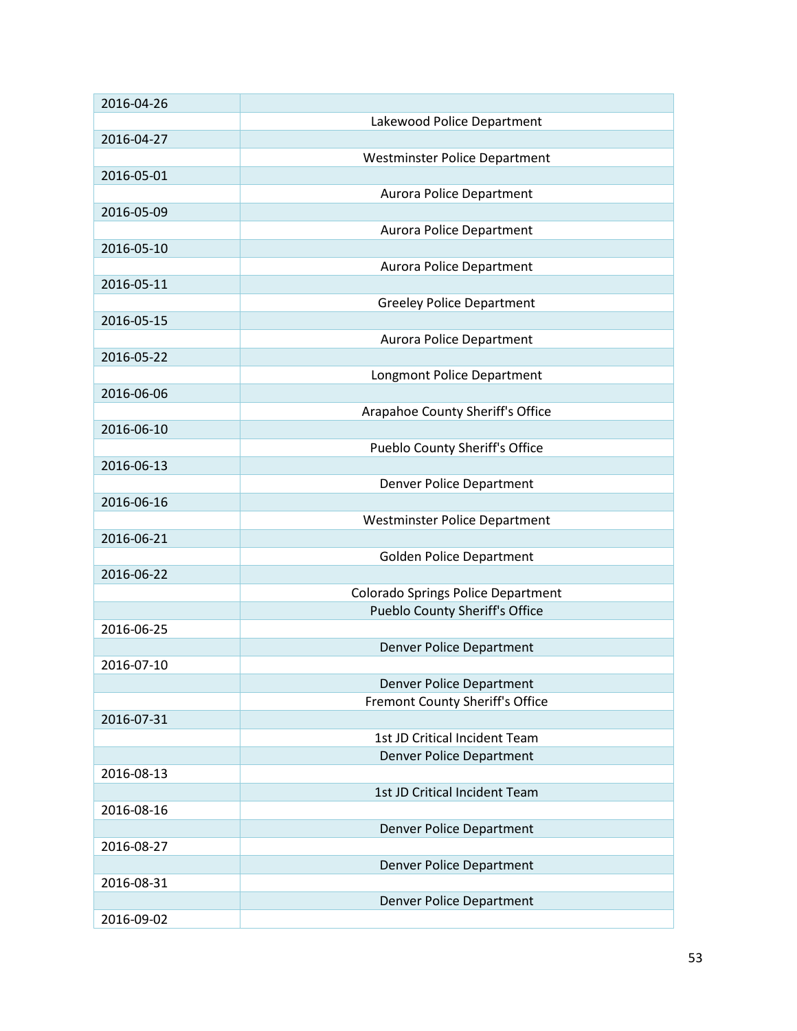| 2016-04-26 |                                       |
|------------|---------------------------------------|
|            | Lakewood Police Department            |
| 2016-04-27 |                                       |
|            | <b>Westminster Police Department</b>  |
| 2016-05-01 |                                       |
|            | Aurora Police Department              |
| 2016-05-09 |                                       |
|            | Aurora Police Department              |
| 2016-05-10 |                                       |
|            | <b>Aurora Police Department</b>       |
| 2016-05-11 |                                       |
|            | <b>Greeley Police Department</b>      |
| 2016-05-15 |                                       |
|            | Aurora Police Department              |
| 2016-05-22 |                                       |
|            | Longmont Police Department            |
| 2016-06-06 |                                       |
|            | Arapahoe County Sheriff's Office      |
| 2016-06-10 |                                       |
|            | Pueblo County Sheriff's Office        |
| 2016-06-13 |                                       |
|            | Denver Police Department              |
| 2016-06-16 |                                       |
|            | <b>Westminster Police Department</b>  |
| 2016-06-21 |                                       |
|            | <b>Golden Police Department</b>       |
| 2016-06-22 |                                       |
|            | Colorado Springs Police Department    |
|            | <b>Pueblo County Sheriff's Office</b> |
| 2016-06-25 |                                       |
|            | <b>Denver Police Department</b>       |
| 2016-07-10 |                                       |
|            | <b>Denver Police Department</b>       |
|            | Fremont County Sheriff's Office       |
| 2016-07-31 |                                       |
|            | 1st JD Critical Incident Team         |
|            | <b>Denver Police Department</b>       |
| 2016-08-13 |                                       |
|            | 1st JD Critical Incident Team         |
| 2016-08-16 |                                       |
|            | <b>Denver Police Department</b>       |
| 2016-08-27 |                                       |
|            | <b>Denver Police Department</b>       |
| 2016-08-31 |                                       |
|            | <b>Denver Police Department</b>       |
| 2016-09-02 |                                       |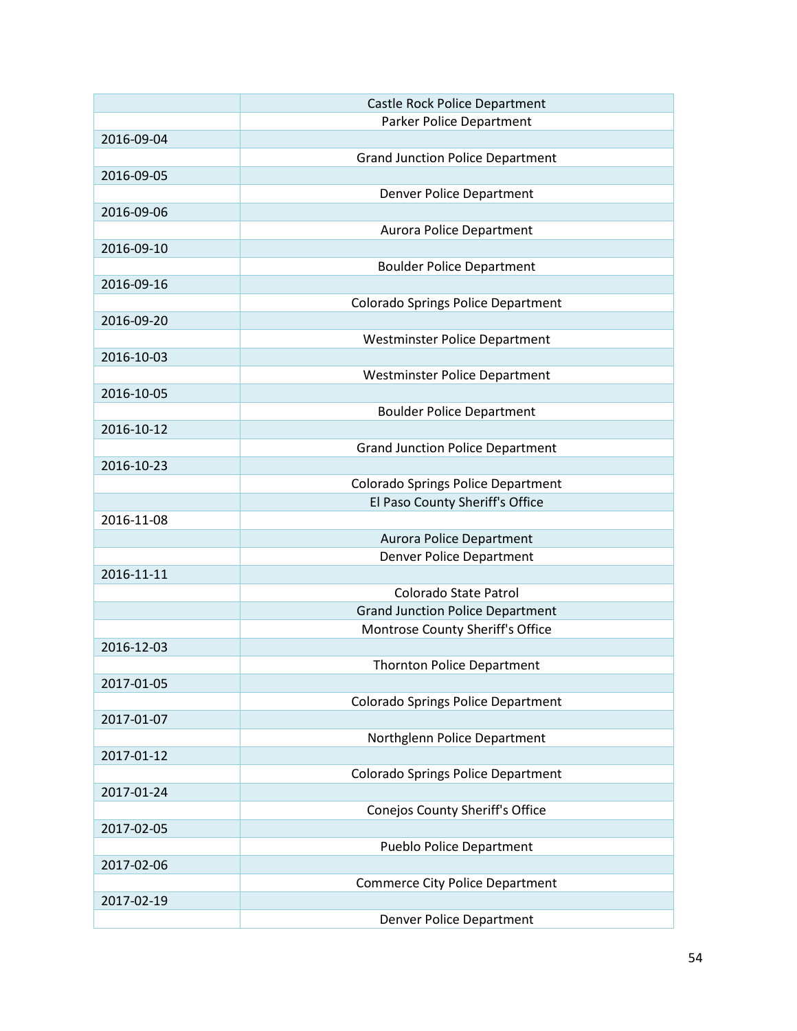|            | Castle Rock Police Department             |
|------------|-------------------------------------------|
|            | Parker Police Department                  |
| 2016-09-04 |                                           |
|            | <b>Grand Junction Police Department</b>   |
| 2016-09-05 |                                           |
|            | Denver Police Department                  |
| 2016-09-06 |                                           |
|            | <b>Aurora Police Department</b>           |
| 2016-09-10 |                                           |
|            | <b>Boulder Police Department</b>          |
| 2016-09-16 |                                           |
|            | Colorado Springs Police Department        |
| 2016-09-20 |                                           |
|            | <b>Westminster Police Department</b>      |
| 2016-10-03 |                                           |
|            | <b>Westminster Police Department</b>      |
| 2016-10-05 |                                           |
|            | <b>Boulder Police Department</b>          |
| 2016-10-12 |                                           |
|            | <b>Grand Junction Police Department</b>   |
| 2016-10-23 |                                           |
|            | <b>Colorado Springs Police Department</b> |
|            | El Paso County Sheriff's Office           |
|            |                                           |
| 2016-11-08 |                                           |
|            | <b>Aurora Police Department</b>           |
|            | <b>Denver Police Department</b>           |
| 2016-11-11 |                                           |
|            | <b>Colorado State Patrol</b>              |
|            | <b>Grand Junction Police Department</b>   |
|            | Montrose County Sheriff's Office          |
| 2016-12-03 |                                           |
|            | <b>Thornton Police Department</b>         |
| 2017-01-05 |                                           |
|            | <b>Colorado Springs Police Department</b> |
| 2017-01-07 |                                           |
|            | Northglenn Police Department              |
| 2017-01-12 |                                           |
|            | <b>Colorado Springs Police Department</b> |
| 2017-01-24 |                                           |
|            | Conejos County Sheriff's Office           |
| 2017-02-05 |                                           |
|            | <b>Pueblo Police Department</b>           |
| 2017-02-06 |                                           |
|            | <b>Commerce City Police Department</b>    |
| 2017-02-19 |                                           |
|            | Denver Police Department                  |
|            |                                           |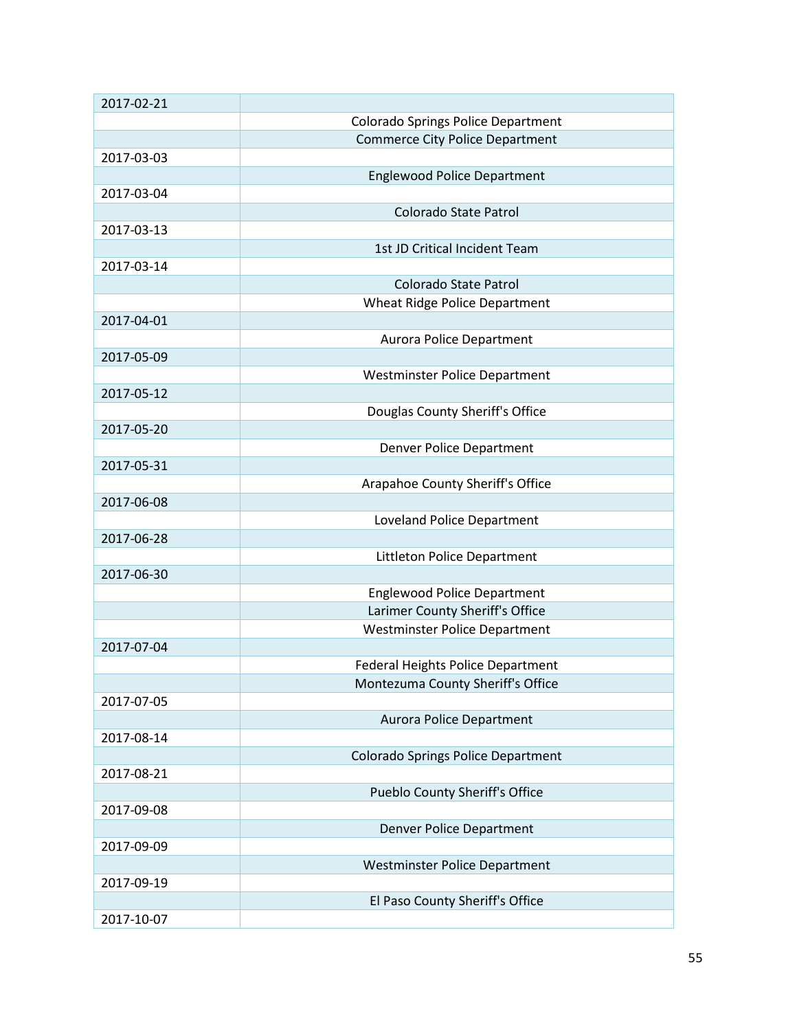| 2017-02-21 |                                           |
|------------|-------------------------------------------|
|            | <b>Colorado Springs Police Department</b> |
|            | <b>Commerce City Police Department</b>    |
| 2017-03-03 |                                           |
|            | <b>Englewood Police Department</b>        |
| 2017-03-04 |                                           |
|            | <b>Colorado State Patrol</b>              |
| 2017-03-13 |                                           |
|            | 1st JD Critical Incident Team             |
| 2017-03-14 |                                           |
|            | Colorado State Patrol                     |
|            | Wheat Ridge Police Department             |
| 2017-04-01 |                                           |
|            | <b>Aurora Police Department</b>           |
| 2017-05-09 |                                           |
|            | <b>Westminster Police Department</b>      |
| 2017-05-12 |                                           |
|            | Douglas County Sheriff's Office           |
| 2017-05-20 |                                           |
|            | Denver Police Department                  |
| 2017-05-31 |                                           |
|            | Arapahoe County Sheriff's Office          |
| 2017-06-08 |                                           |
|            | Loveland Police Department                |
| 2017-06-28 |                                           |
|            | Littleton Police Department               |
| 2017-06-30 |                                           |
|            | <b>Englewood Police Department</b>        |
|            | Larimer County Sheriff's Office           |
|            | <b>Westminster Police Department</b>      |
| 2017-07-04 |                                           |
|            | <b>Federal Heights Police Department</b>  |
|            | Montezuma County Sheriff's Office         |
| 2017-07-05 |                                           |
|            | <b>Aurora Police Department</b>           |
| 2017-08-14 |                                           |
|            | <b>Colorado Springs Police Department</b> |
| 2017-08-21 |                                           |
|            | <b>Pueblo County Sheriff's Office</b>     |
| 2017-09-08 |                                           |
|            | <b>Denver Police Department</b>           |
| 2017-09-09 |                                           |
|            | <b>Westminster Police Department</b>      |
| 2017-09-19 |                                           |
|            | El Paso County Sheriff's Office           |
| 2017-10-07 |                                           |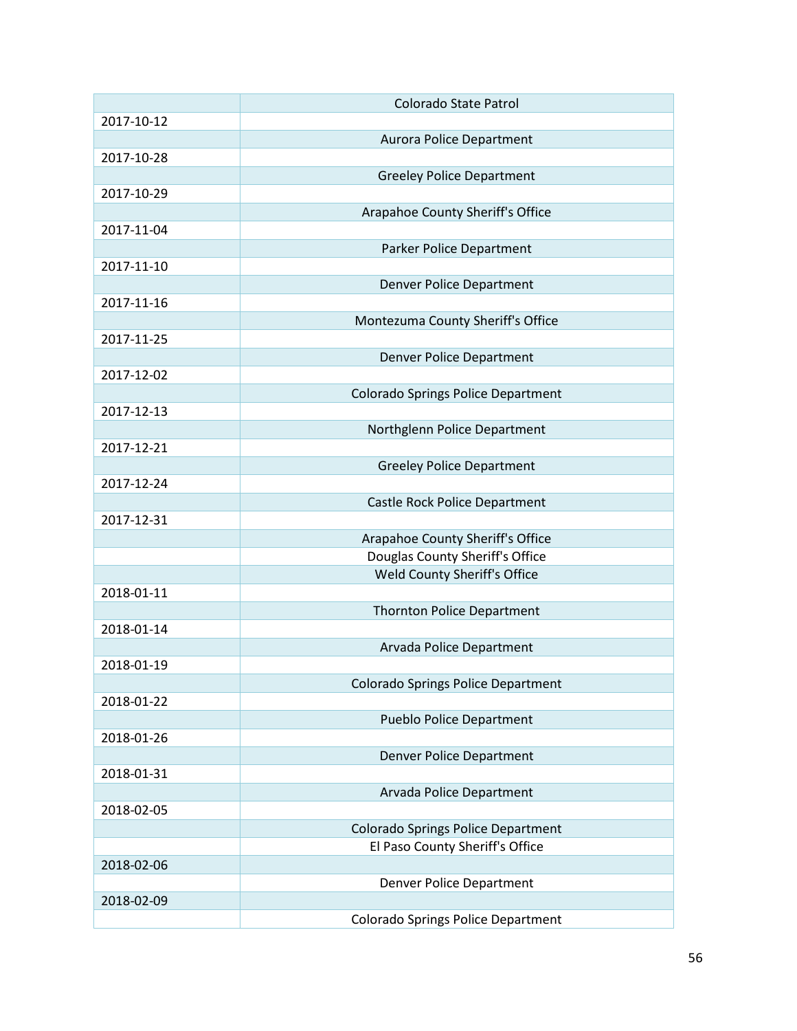|            | Colorado State Patrol                     |
|------------|-------------------------------------------|
| 2017-10-12 |                                           |
|            | Aurora Police Department                  |
| 2017-10-28 |                                           |
|            | <b>Greeley Police Department</b>          |
| 2017-10-29 |                                           |
|            | Arapahoe County Sheriff's Office          |
| 2017-11-04 |                                           |
|            | Parker Police Department                  |
| 2017-11-10 |                                           |
|            | <b>Denver Police Department</b>           |
| 2017-11-16 |                                           |
|            | Montezuma County Sheriff's Office         |
| 2017-11-25 |                                           |
|            | <b>Denver Police Department</b>           |
| 2017-12-02 |                                           |
|            | <b>Colorado Springs Police Department</b> |
| 2017-12-13 |                                           |
|            | Northglenn Police Department              |
| 2017-12-21 |                                           |
|            | <b>Greeley Police Department</b>          |
| 2017-12-24 |                                           |
|            | Castle Rock Police Department             |
| 2017-12-31 |                                           |
|            | Arapahoe County Sheriff's Office          |
|            | Douglas County Sheriff's Office           |
|            | Weld County Sheriff's Office              |
| 2018-01-11 |                                           |
|            | <b>Thornton Police Department</b>         |
| 2018-01-14 |                                           |
|            | Arvada Police Department                  |
| 2018-01-19 |                                           |
|            | <b>Colorado Springs Police Department</b> |
| 2018-01-22 |                                           |
|            | <b>Pueblo Police Department</b>           |
| 2018-01-26 |                                           |
|            | <b>Denver Police Department</b>           |
| 2018-01-31 |                                           |
|            | Arvada Police Department                  |
| 2018-02-05 |                                           |
|            | <b>Colorado Springs Police Department</b> |
|            | El Paso County Sheriff's Office           |
| 2018-02-06 |                                           |
|            | <b>Denver Police Department</b>           |
| 2018-02-09 |                                           |
|            | <b>Colorado Springs Police Department</b> |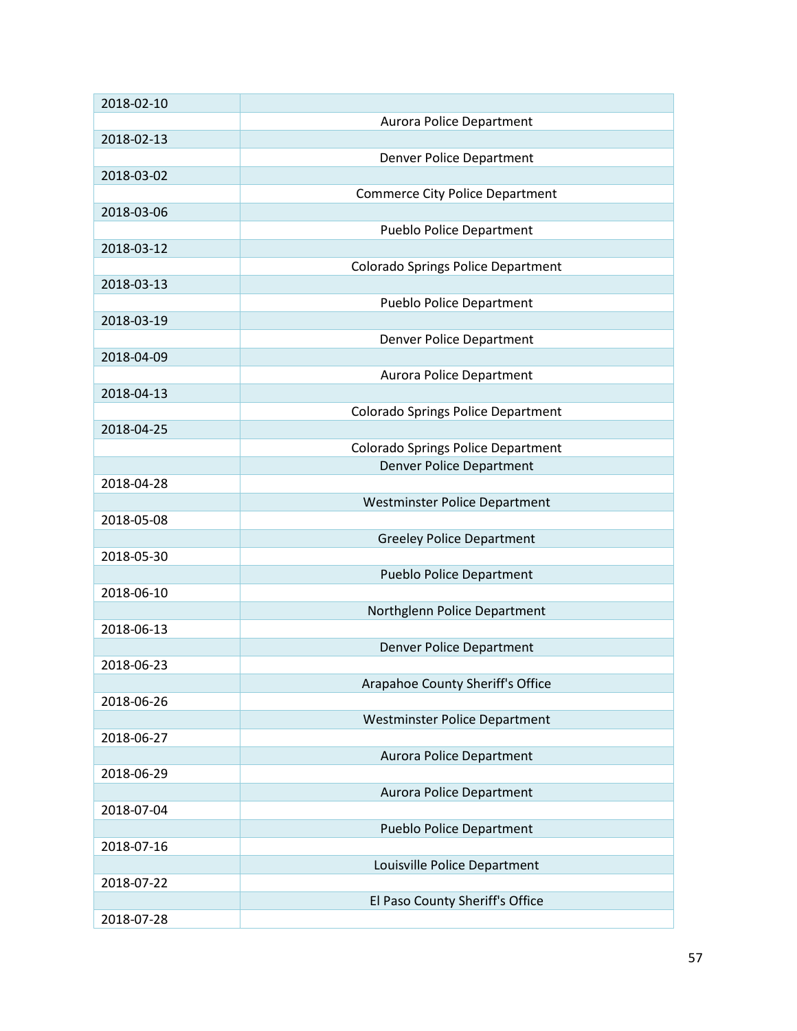| 2018-02-10 |                                           |
|------------|-------------------------------------------|
|            | Aurora Police Department                  |
| 2018-02-13 |                                           |
|            | Denver Police Department                  |
| 2018-03-02 |                                           |
|            | <b>Commerce City Police Department</b>    |
| 2018-03-06 |                                           |
|            | <b>Pueblo Police Department</b>           |
| 2018-03-12 |                                           |
|            | <b>Colorado Springs Police Department</b> |
| 2018-03-13 |                                           |
|            | <b>Pueblo Police Department</b>           |
| 2018-03-19 |                                           |
|            | Denver Police Department                  |
| 2018-04-09 |                                           |
|            |                                           |
| 2018-04-13 | <b>Aurora Police Department</b>           |
|            |                                           |
|            | <b>Colorado Springs Police Department</b> |
| 2018-04-25 |                                           |
|            | <b>Colorado Springs Police Department</b> |
|            | <b>Denver Police Department</b>           |
| 2018-04-28 |                                           |
|            | Westminster Police Department             |
| 2018-05-08 |                                           |
|            | <b>Greeley Police Department</b>          |
| 2018-05-30 |                                           |
|            | <b>Pueblo Police Department</b>           |
| 2018-06-10 |                                           |
|            | Northglenn Police Department              |
| 2018-06-13 |                                           |
|            | <b>Denver Police Department</b>           |
| 2018-06-23 |                                           |
|            | Arapahoe County Sheriff's Office          |
| 2018-06-26 |                                           |
|            | <b>Westminster Police Department</b>      |
| 2018-06-27 |                                           |
|            | <b>Aurora Police Department</b>           |
| 2018-06-29 |                                           |
|            | Aurora Police Department                  |
| 2018-07-04 |                                           |
|            | <b>Pueblo Police Department</b>           |
| 2018-07-16 |                                           |
|            | Louisville Police Department              |
| 2018-07-22 |                                           |
|            |                                           |
|            | El Paso County Sheriff's Office           |
| 2018-07-28 |                                           |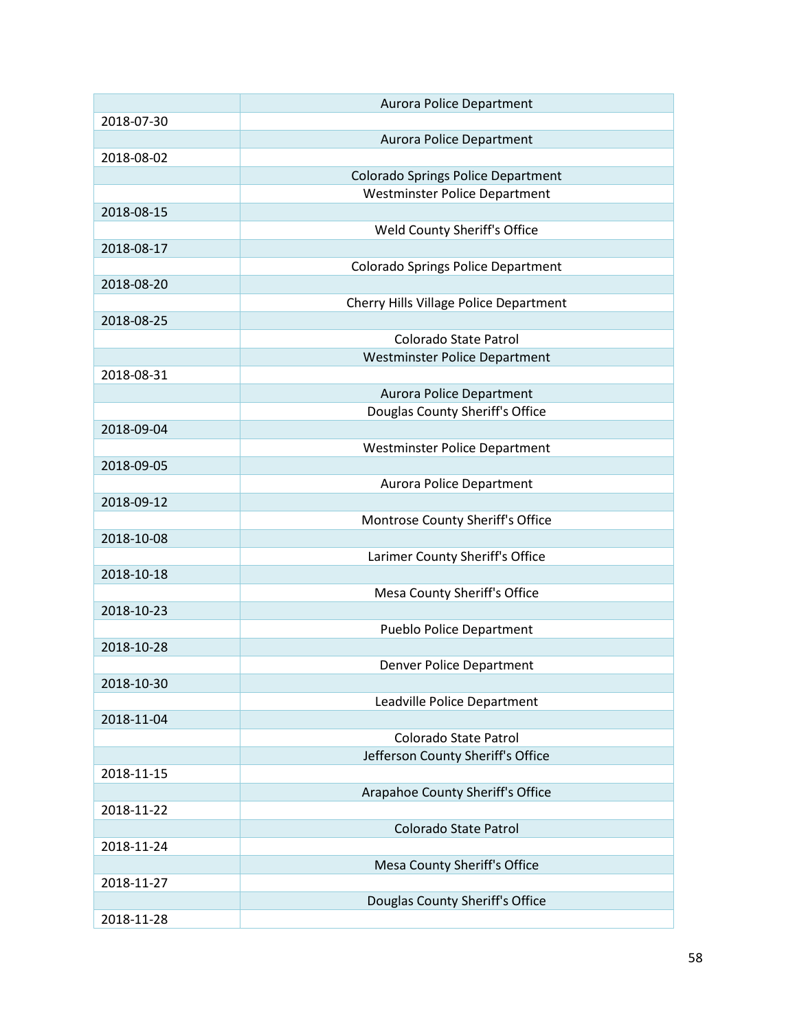|            | <b>Aurora Police Department</b>           |
|------------|-------------------------------------------|
| 2018-07-30 |                                           |
|            | <b>Aurora Police Department</b>           |
| 2018-08-02 |                                           |
|            | <b>Colorado Springs Police Department</b> |
|            | <b>Westminster Police Department</b>      |
| 2018-08-15 |                                           |
|            | Weld County Sheriff's Office              |
| 2018-08-17 |                                           |
|            | Colorado Springs Police Department        |
| 2018-08-20 |                                           |
|            | Cherry Hills Village Police Department    |
| 2018-08-25 |                                           |
|            | Colorado State Patrol                     |
|            | <b>Westminster Police Department</b>      |
| 2018-08-31 |                                           |
|            | <b>Aurora Police Department</b>           |
|            | Douglas County Sheriff's Office           |
| 2018-09-04 |                                           |
|            | <b>Westminster Police Department</b>      |
| 2018-09-05 |                                           |
|            | <b>Aurora Police Department</b>           |
| 2018-09-12 |                                           |
|            | Montrose County Sheriff's Office          |
| 2018-10-08 |                                           |
|            | Larimer County Sheriff's Office           |
| 2018-10-18 |                                           |
|            | Mesa County Sheriff's Office              |
| 2018-10-23 |                                           |
|            | <b>Pueblo Police Department</b>           |
| 2018-10-28 |                                           |
|            | Denver Police Department                  |
| 2018-10-30 |                                           |
|            | Leadville Police Department               |
| 2018-11-04 |                                           |
|            | Colorado State Patrol                     |
|            | Jefferson County Sheriff's Office         |
| 2018-11-15 |                                           |
|            | Arapahoe County Sheriff's Office          |
| 2018-11-22 |                                           |
|            | Colorado State Patrol                     |
| 2018-11-24 |                                           |
|            | Mesa County Sheriff's Office              |
| 2018-11-27 |                                           |
|            | Douglas County Sheriff's Office           |
| 2018-11-28 |                                           |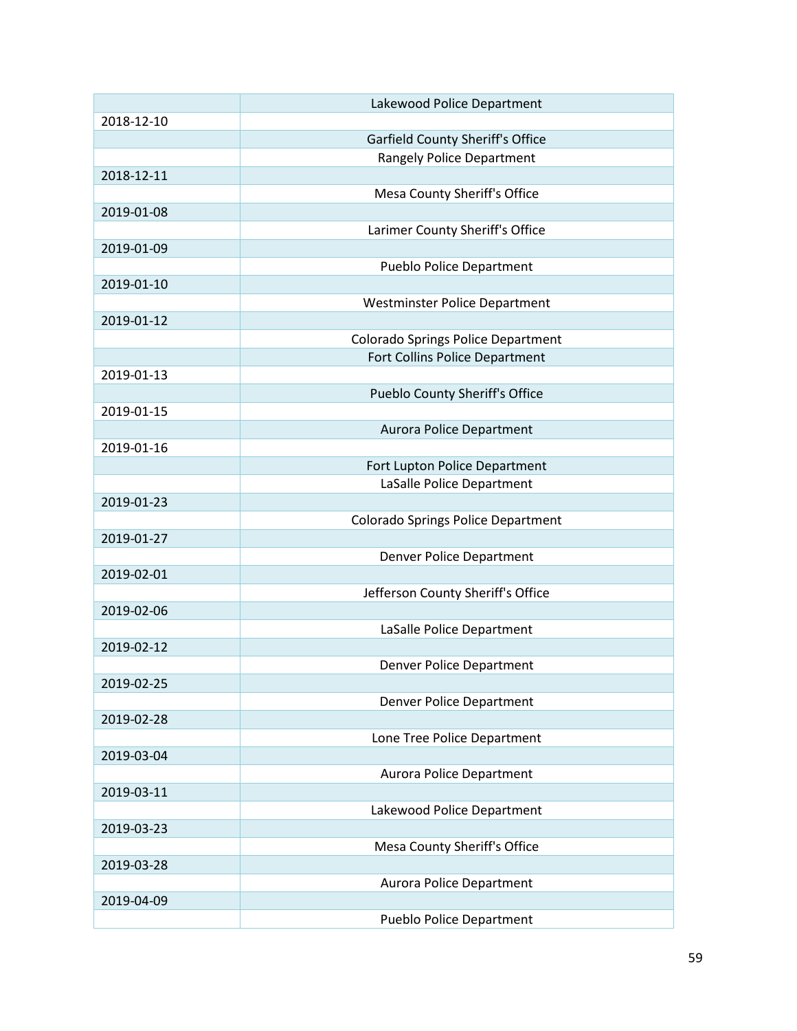|            | Lakewood Police Department                |
|------------|-------------------------------------------|
| 2018-12-10 |                                           |
|            | Garfield County Sheriff's Office          |
|            | <b>Rangely Police Department</b>          |
| 2018-12-11 |                                           |
|            | Mesa County Sheriff's Office              |
| 2019-01-08 |                                           |
|            | Larimer County Sheriff's Office           |
| 2019-01-09 |                                           |
|            | <b>Pueblo Police Department</b>           |
| 2019-01-10 |                                           |
|            | <b>Westminster Police Department</b>      |
| 2019-01-12 |                                           |
|            | <b>Colorado Springs Police Department</b> |
|            | Fort Collins Police Department            |
| 2019-01-13 |                                           |
|            | Pueblo County Sheriff's Office            |
| 2019-01-15 |                                           |
|            | <b>Aurora Police Department</b>           |
| 2019-01-16 |                                           |
|            | Fort Lupton Police Department             |
|            | LaSalle Police Department                 |
| 2019-01-23 |                                           |
|            | <b>Colorado Springs Police Department</b> |
| 2019-01-27 |                                           |
|            | Denver Police Department                  |
| 2019-02-01 |                                           |
|            | Jefferson County Sheriff's Office         |
| 2019-02-06 |                                           |
|            | LaSalle Police Department                 |
| 2019-02-12 |                                           |
|            | Denver Police Department                  |
| 2019-02-25 |                                           |
|            | Denver Police Department                  |
| 2019-02-28 |                                           |
|            | Lone Tree Police Department               |
| 2019-03-04 |                                           |
|            | <b>Aurora Police Department</b>           |
| 2019-03-11 |                                           |
|            | Lakewood Police Department                |
| 2019-03-23 |                                           |
|            | Mesa County Sheriff's Office              |
| 2019-03-28 |                                           |
|            | Aurora Police Department                  |
| 2019-04-09 |                                           |
|            | <b>Pueblo Police Department</b>           |
|            |                                           |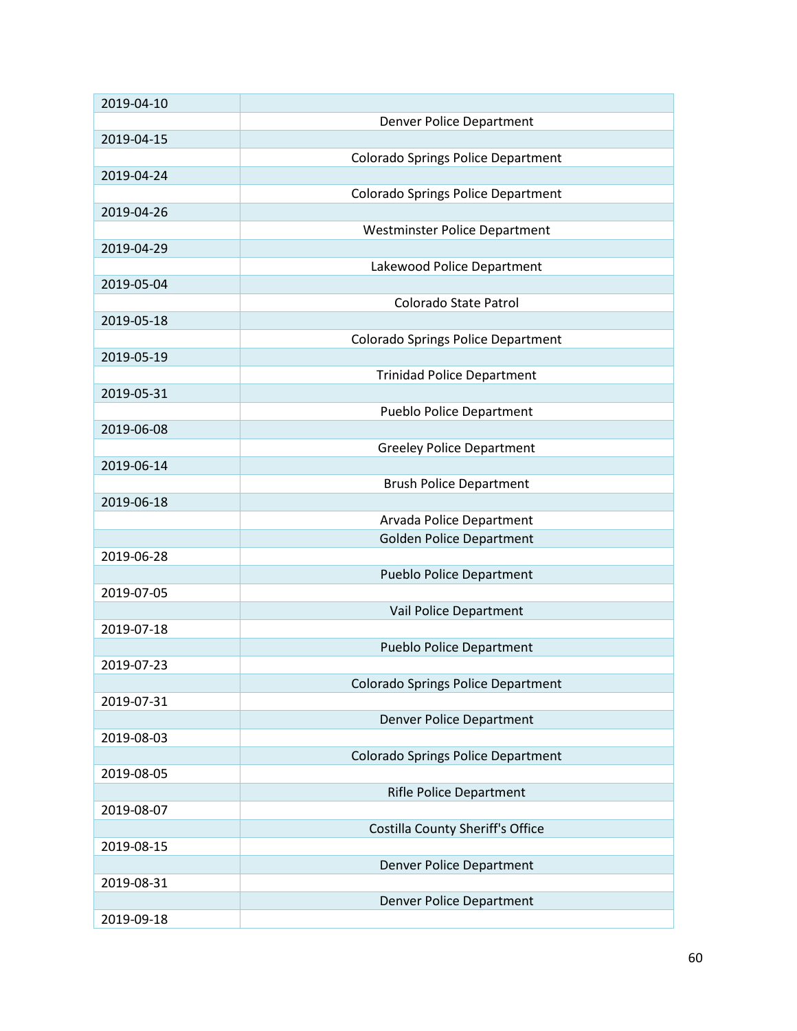| 2019-04-10 |                                           |
|------------|-------------------------------------------|
|            | Denver Police Department                  |
| 2019-04-15 |                                           |
|            | <b>Colorado Springs Police Department</b> |
| 2019-04-24 |                                           |
|            | <b>Colorado Springs Police Department</b> |
| 2019-04-26 |                                           |
|            |                                           |
|            | <b>Westminster Police Department</b>      |
| 2019-04-29 |                                           |
|            | Lakewood Police Department                |
| 2019-05-04 |                                           |
|            | Colorado State Patrol                     |
| 2019-05-18 |                                           |
|            | Colorado Springs Police Department        |
| 2019-05-19 |                                           |
|            | <b>Trinidad Police Department</b>         |
| 2019-05-31 |                                           |
|            | <b>Pueblo Police Department</b>           |
| 2019-06-08 |                                           |
|            | <b>Greeley Police Department</b>          |
| 2019-06-14 |                                           |
|            | <b>Brush Police Department</b>            |
| 2019-06-18 |                                           |
|            | Arvada Police Department                  |
|            |                                           |
|            | <b>Golden Police Department</b>           |
| 2019-06-28 |                                           |
|            | <b>Pueblo Police Department</b>           |
| 2019-07-05 |                                           |
|            | Vail Police Department                    |
| 2019-07-18 |                                           |
|            | <b>Pueblo Police Department</b>           |
| 2019-07-23 |                                           |
|            | <b>Colorado Springs Police Department</b> |
| 2019-07-31 |                                           |
|            | <b>Denver Police Department</b>           |
| 2019-08-03 |                                           |
|            | <b>Colorado Springs Police Department</b> |
| 2019-08-05 |                                           |
|            | <b>Rifle Police Department</b>            |
| 2019-08-07 |                                           |
|            | Costilla County Sheriff's Office          |
| 2019-08-15 |                                           |
|            | <b>Denver Police Department</b>           |
|            |                                           |
| 2019-08-31 |                                           |
|            | <b>Denver Police Department</b>           |
| 2019-09-18 |                                           |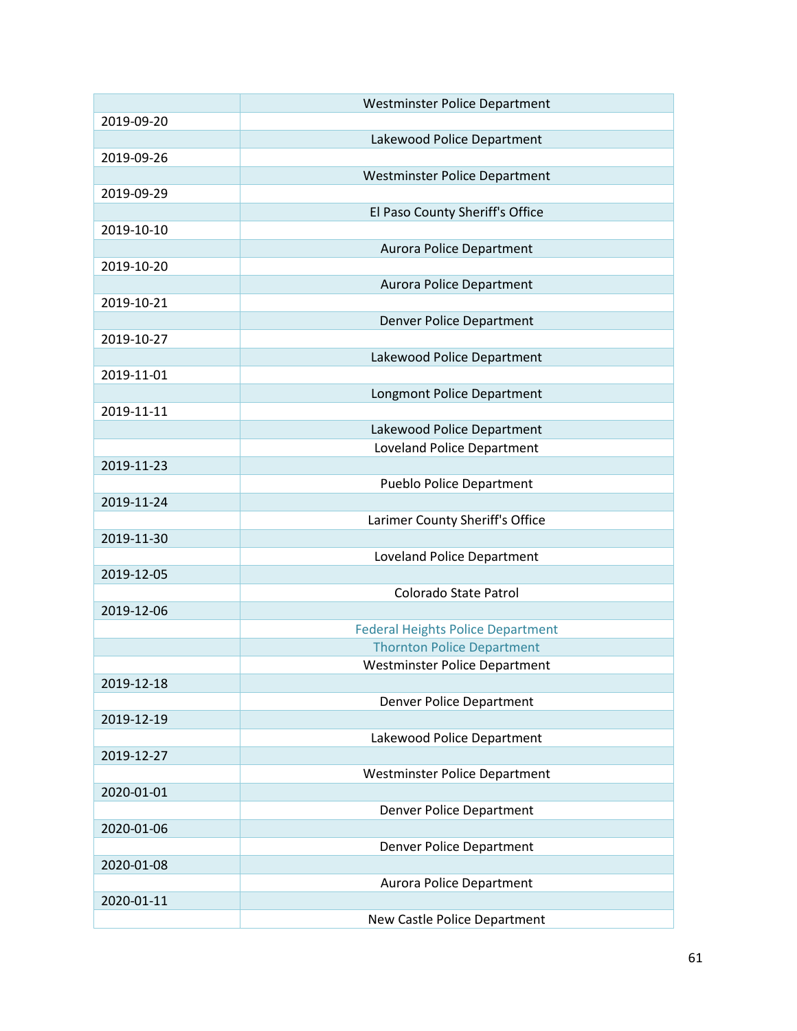|            | <b>Westminster Police Department</b>                                          |
|------------|-------------------------------------------------------------------------------|
| 2019-09-20 |                                                                               |
|            | Lakewood Police Department                                                    |
| 2019-09-26 |                                                                               |
|            | Westminster Police Department                                                 |
| 2019-09-29 |                                                                               |
|            | El Paso County Sheriff's Office                                               |
| 2019-10-10 |                                                                               |
|            | <b>Aurora Police Department</b>                                               |
| 2019-10-20 |                                                                               |
|            | <b>Aurora Police Department</b>                                               |
| 2019-10-21 |                                                                               |
|            | <b>Denver Police Department</b>                                               |
| 2019-10-27 |                                                                               |
|            | Lakewood Police Department                                                    |
| 2019-11-01 |                                                                               |
|            | Longmont Police Department                                                    |
| 2019-11-11 |                                                                               |
|            | Lakewood Police Department                                                    |
|            | Loveland Police Department                                                    |
| 2019-11-23 |                                                                               |
|            | <b>Pueblo Police Department</b>                                               |
| 2019-11-24 |                                                                               |
|            | Larimer County Sheriff's Office                                               |
| 2019-11-30 |                                                                               |
|            | Loveland Police Department                                                    |
| 2019-12-05 |                                                                               |
|            | Colorado State Patrol                                                         |
| 2019-12-06 |                                                                               |
|            | <b>Federal Heights Police Department</b><br><b>Thornton Police Department</b> |
|            |                                                                               |
| 2019-12-18 | Westminster Police Department                                                 |
|            |                                                                               |
| 2019-12-19 | Denver Police Department                                                      |
|            | Lakewood Police Department                                                    |
| 2019-12-27 |                                                                               |
|            | Westminster Police Department                                                 |
| 2020-01-01 |                                                                               |
|            | Denver Police Department                                                      |
| 2020-01-06 |                                                                               |
|            | Denver Police Department                                                      |
| 2020-01-08 |                                                                               |
|            | Aurora Police Department                                                      |
| 2020-01-11 |                                                                               |
|            | New Castle Police Department                                                  |
|            |                                                                               |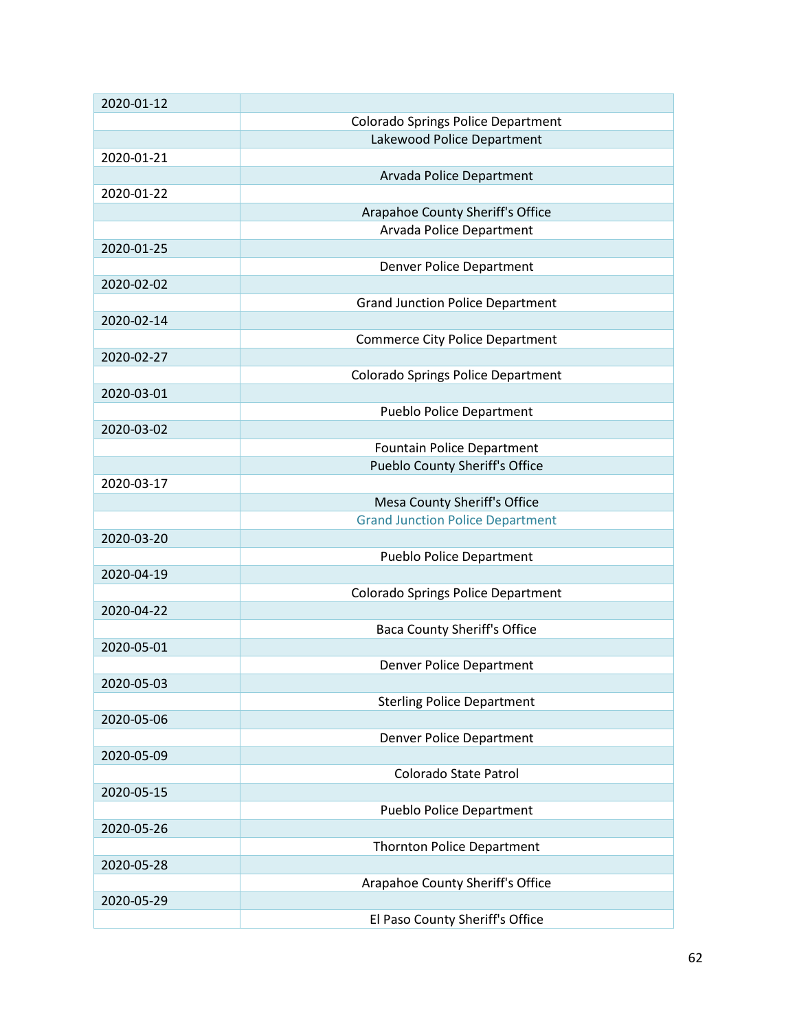| 2020-01-12 |                                           |
|------------|-------------------------------------------|
|            | Colorado Springs Police Department        |
|            | Lakewood Police Department                |
| 2020-01-21 |                                           |
|            | Arvada Police Department                  |
| 2020-01-22 |                                           |
|            | Arapahoe County Sheriff's Office          |
|            | Arvada Police Department                  |
| 2020-01-25 |                                           |
|            | <b>Denver Police Department</b>           |
| 2020-02-02 |                                           |
|            | <b>Grand Junction Police Department</b>   |
| 2020-02-14 |                                           |
|            | <b>Commerce City Police Department</b>    |
| 2020-02-27 |                                           |
|            | <b>Colorado Springs Police Department</b> |
| 2020-03-01 |                                           |
|            | <b>Pueblo Police Department</b>           |
| 2020-03-02 |                                           |
|            | Fountain Police Department                |
|            | <b>Pueblo County Sheriff's Office</b>     |
| 2020-03-17 |                                           |
|            | Mesa County Sheriff's Office              |
|            | <b>Grand Junction Police Department</b>   |
| 2020-03-20 |                                           |
|            | <b>Pueblo Police Department</b>           |
| 2020-04-19 |                                           |
|            | Colorado Springs Police Department        |
| 2020-04-22 |                                           |
|            | <b>Baca County Sheriff's Office</b>       |
| 2020-05-01 |                                           |
|            | Denver Police Department                  |
| 2020-05-03 |                                           |
|            | <b>Sterling Police Department</b>         |
| 2020-05-06 |                                           |
|            | Denver Police Department                  |
| 2020-05-09 |                                           |
|            | Colorado State Patrol                     |
| 2020-05-15 |                                           |
|            | <b>Pueblo Police Department</b>           |
| 2020-05-26 |                                           |
|            | <b>Thornton Police Department</b>         |
| 2020-05-28 |                                           |
|            | Arapahoe County Sheriff's Office          |
| 2020-05-29 |                                           |
|            | El Paso County Sheriff's Office           |